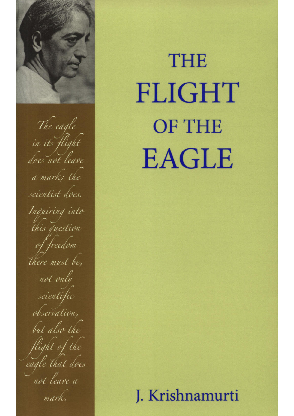

The eagle in its flight does not leave a mark; the scientist does. Inquiring into this question of freedom there must be, not only scientific observation, but also the llight of the eagle that does not leave a mark.

# **THE FLIGHT OF THE EAGLE**

# J. Krishnamurti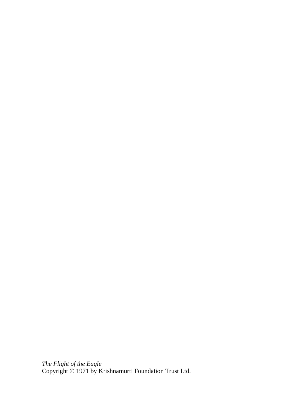*The Flight of the Eagle*  Copyright © 1971 by Krishnamurti Foundation Trust Ltd.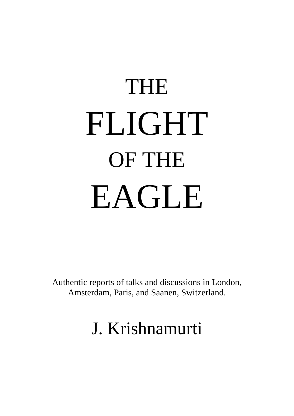# THE FLIGHT OF THE EAGLE

Authentic reports of talks and discussions in London, Amsterdam, Paris, and Saanen, Switzerland.

# J. Krishnamurti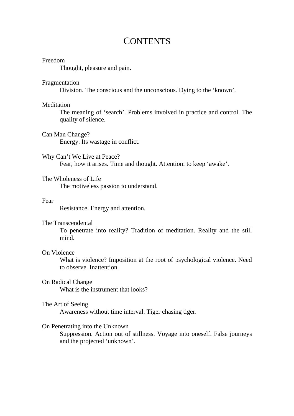### **CONTENTS**

#### Freedom

Thought, pleasure and pain.

#### Fragmentation

Division. The conscious and the unconscious. Dying to the 'known'.

#### Meditation

The meaning of 'search'. Problems involved in practice and control. The quality of silence.

Can Man Change?

Energy. Its wastage in conflict.

#### Why Can't We Live at Peace?

Fear, how it arises. Time and thought. Attention: to keep 'awake'.

#### The Wholeness of Life

The motiveless passion to understand.

#### Fear

Resistance. Energy and attention.

#### The Transcendental

To penetrate into reality? Tradition of meditation. Reality and the still mind.

#### On Violence

What is violence? Imposition at the root of psychological violence. Need to observe. Inattention.

#### On Radical Change

What is the instrument that looks?

#### The Art of Seeing

Awareness without time interval. Tiger chasing tiger.

#### On Penetrating into the Unknown

Suppression. Action out of stillness. Voyage into oneself. False journeys and the projected 'unknown'.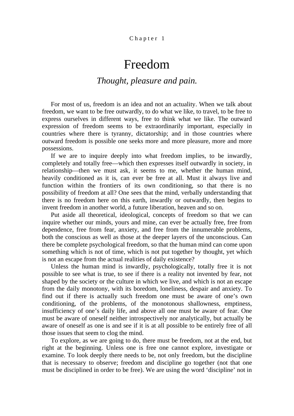# Freedom

#### *Thought, pleasure and pain.*

For most of us, freedom is an idea and not an actuality. When we talk about freedom, we want to be free outwardly, to do what we like, to travel, to be free to express ourselves in different ways, free to think what we like. The outward expression of freedom seems to be extraordinarily important, especially in countries where there is tyranny, dictatorship; and in those countries where outward freedom is possible one seeks more and more pleasure, more and more possessions.

If we are to inquire deeply into what freedom implies, to be inwardly, completely and totally free—which then expresses itself outwardly in society, in relationship—then we must ask, it seems to me, whether the human mind, heavily conditioned as it is, can ever be free at all. Must it always live and function within the frontiers of its own conditioning, so that there is no possibility of freedom at all? One sees that the mind, verbally understanding that there is no freedom here on this earth, inwardly or outwardly, then begins to invent freedom in another world, a future liberation, heaven and so on.

Put aside all theoretical, ideological, concepts of freedom so that we can inquire whether our minds, yours and mine, can ever be actually free, free from dependence, free from fear, anxiety, and free from the innumerable problems, both the conscious as well as those at the deeper layers of the unconscious. Can there be complete psychological freedom, so that the human mind can come upon something which is not of time, which is not put together by thought, yet which is not an escape from the actual realities of daily existence?

Unless the human mind is inwardly, psychologically, totally free it is not possible to see what is true, to see if there is a reality not invented by fear, not shaped by the society or the culture in which we live, and which is not an escape from the daily monotony, with its boredom, loneliness, despair and anxiety. To find out if there is actually such freedom one must be aware of one's own conditioning, of the problems, of the monotonous shallowness, emptiness, insufficiency of one's daily life, and above all one must be aware of fear. One must be aware of oneself neither introspectively nor analytically, but actually be aware of oneself as one is and see if it is at all possible to be entirely free of all those issues that seem to clog the mind.

To explore, as we are going to do, there must be freedom, not at the end, but right at the beginning. Unless one is free one cannot explore, investigate or examine. To look deeply there needs to be, not only freedom, but the discipline that is necessary to observe; freedom and discipline go together (not that one must be disciplined in order to be free). We are using the word 'discipline' not in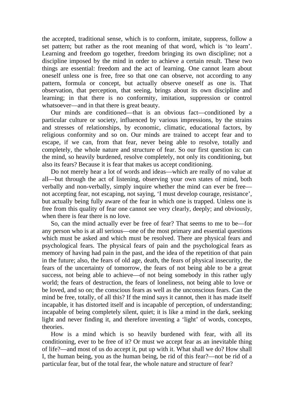the accepted, traditional sense, which is to conform, imitate, suppress, follow a set pattern; but rather as the root meaning of that word, which is 'to learn'. Learning and freedom go together, freedom bringing its own discipline; not a discipline imposed by the mind in order to achieve a certain result. These two things are essential: freedom and the act of learning. One cannot learn about oneself unless one is free, free so that one can observe, not according to any pattern, formula or concept, but actually observe oneself as one is. That observation, that perception, that seeing, brings about its own discipline and learning; in that there is no conformity, imitation, suppression or control whatsoever—and in that there is great beauty.

Our minds are conditioned—that is an obvious fact—conditioned by a particular culture or society, influenced by various impressions, by the strains and stresses of relationships, by economic, climatic, educational factors, by religious conformity and so on. Our minds are trained to accept fear and to escape, if we can, from that fear, never being able to resolve, totally and completely, the whole nature and structure of fear. So our first question is: can the mind, so heavily burdened, resolve completely, not only its conditioning, but also its fears? Because it is fear that makes us accept conditioning.

Do not merely hear a lot of words and ideas—which are really of no value at all—but through the act of listening, observing your own states of mind, both verbally and non-verbally, simply inquire whether the mind can ever be free not accepting fear, not escaping, not saying, 'I must develop courage, resistance', but actually being fully aware of the fear in which one is trapped. Unless one is free from this quality of fear one cannot see very clearly, deeply; and obviously, when there is fear there is no love.

So, can the mind actually ever be free of fear? That seems to me to be—for any person who is at all serious—one of the most primary and essential questions which must be asked and which must be resolved. There are physical fears and psychological fears. The physical fears of pain and the psychological fears as memory of having had pain in the past, and the idea of the repetition of that pain in the future; also, the fears of old age, death, the fears of physical insecurity, the fears of the uncertainty of tomorrow, the fears of not being able to be a great success, not being able to achieve—of not being somebody in this rather ugly world; the fears of destruction, the fears of loneliness, not being able to love or be loved, and so on; the conscious fears as well as the unconscious fears. Can the mind be free, totally, of all this? If the mind says it cannot, then it has made itself incapable, it has distorted itself and is incapable of perception, of understanding; incapable of being completely silent, quiet; it is like a mind in the dark, seeking light and never finding it, and therefore inventing a 'light' of words, concepts, theories.

How is a mind which is so heavily burdened with fear, with all its conditioning, ever to be free of it? Or must we accept fear as an inevitable thing of life?—and most of us do accept it, put up with it. What shall we do? How shall I, the human being, you as the human being, be rid of this fear?—not be rid of a particular fear, but of the total fear, the whole nature and structure of fear?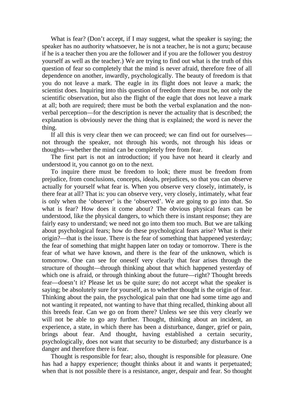What is fear? (Don't accept, if I may suggest, what the speaker is saying; the speaker has no authority whatsoever, he is not a teacher, he is not a guru; because if he is a teacher then you are the follower and if you are the follower you destroy yourself as well as the teacher.) We are trying to find out what is the truth of this question of fear so completely that the mind is never afraid, therefore free of all dependence on another, inwardly, psychologically. The beauty of freedom is that you do not leave a mark. The eagle in its flight does not leave a mark; the scientist does. Inquiring into this question of freedom there must be, not only the scientific observation, but also the flight of the eagle that does not leave a mark at all; both are required; there must be both the verbal explanation and the nonverbal perception—for the description is never the actuality that is described; the explanation is obviously never the thing that is explained; the word is never the thing.

If all this is very clear then we can proceed; we can find out for ourselves not through the speaker, not through his words, not through his ideas or thoughts—whether the mind can be completely free from fear.

The first part is not an introduction; if you have not heard it clearly and understood it, you cannot go on to the next.

To inquire there must be freedom to look; there must be freedom from prejudice, from conclusions, concepts, ideals, prejudices, so that you can observe actually for yourself what fear is. When you observe very closely, intimately, is there fear at all? That is: you can observe very, very closely, intimately, what fear is only when the 'observer' is the 'observed'. We are going to go into that. So what is fear? How does it come about? The obvious physical fears can be understood, like the physical dangers, to which there is instant response; they are fairly easy to understand; we need not go into them too much. But we are talking about psychological fears; how do these psychological fears arise? What is their origin?—that is the issue. There is the fear of something that happened yesterday; the fear of something that might happen later on today or tomorrow. There is the fear of what we have known, and there is the fear of the unknown, which is tomorrow. One can see for oneself very clearly that fear arises through the structure of thought—through thinking about that which happened yesterday of which one is afraid, or through thinking about the future—right? Thought breeds fear—doesn't it? Please let us be quite sure; do not accept what the speaker is saying; be absolutely sure for yourself, as to whether thought is the origin of fear. Thinking about the pain, the psychological pain that one had some time ago and not wanting it repeated, not wanting to have that thing recalled, thinking about all this breeds fear. Can we go on from there? Unless we see this very clearly we will not be able to go any further. Thought, thinking about an incident, an experience, a state, in which there has been a disturbance, danger, grief or pain, brings about fear. And thought, having established a certain security, psychologically, does not want that security to be disturbed; any disturbance is a danger and therefore there is fear.

Thought is responsible for fear; also, thought is responsible for pleasure. One has had a happy experience; thought thinks about it and wants it perpetuated; when that is not possible there is a resistance, anger, despair and fear. So thought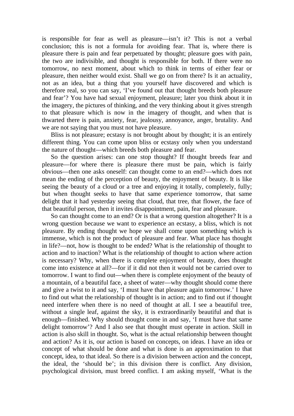is responsible for fear as well as pleasure—isn't it? This is not a verbal conclusion; this is not a formula for avoiding fear. That is, where there is pleasure there is pain and fear perpetuated by thought; pleasure goes with pain, the two are indivisible, and thought is responsible for both. If there were no tomorrow, no next moment, about which to think in terms of either fear or pleasure, then neither would exist. Shall we go on from there? Is it an actuality, not as an idea, but a thing that you yourself have discovered and which is therefore real, so you can say, 'I've found out that thought breeds both pleasure and fear'? You have had sexual enjoyment, pleasure; later you think about it in the imagery, the pictures of thinking, and the very thinking about it gives strength to that pleasure which is now in the imagery of thought, and when that is thwarted there is pain, anxiety, fear, jealousy, annoyance, anger, brutality. And we are not saying that you must not have pleasure.

Bliss is not pleasure; ecstasy is not brought about by thought; it is an entirely different thing. You can come upon bliss or ecstasy only when you understand the nature of thought—which breeds both pleasure and fear.

So the question arises: can one stop thought? If thought breeds fear and pleasure—for where there is pleasure there must be pain, which is fairly obvious—then one asks oneself: can thought come to an end?—which does not mean the ending of the perception of beauty, the enjoyment of beauty. It is like seeing the beauty of a cloud or a tree and enjoying it totally, completely, fully; but when thought seeks to have that same experience tomorrow, that same delight that it had yesterday seeing that cloud, that tree, that flower, the face of that beautiful person, then it invites disappointment, pain, fear and pleasure.

So can thought come to an end? Or is that a wrong question altogether? It is a wrong question because we want to experience an ecstasy, a bliss, which is not pleasure. By ending thought we hope we shall come upon something which is immense, which is not the product of pleasure and fear. What place has thought in life?—not, how is thought to be ended? What is the relationship of thought to action and to inaction? What is the relationship of thought to action where action is necessary? Why, when there is complete enjoyment of beauty, does thought come into existence at all?—for if it did not then it would not be carried over to tomorrow. I want to find out—when there is complete enjoyment of the beauty of a mountain, of a beautiful face, a sheet of water—why thought should come there and give a twist to it and say, 'I must have that pleasure again tomorrow.' I have to find out what the relationship of thought is in action; and to find out if thought need interfere when there is no need of thought at all. I see a beautiful tree, without a single leaf, against the sky, it is extraordinarily beautiful and that is enough—finished. Why should thought come in and say, 'I must have that same delight tomorrow'? And I also see that thought must operate in action. Skill in action is also skill in thought. So, what is the actual relationship between thought and action? As it is, our action is based on concepts, on ideas. I have an idea or concept of what should be done and what is done is an approximation to that concept, idea, to that ideal. So there is a division between action and the concept, the ideal, the 'should be'; in this division there is conflict. Any division, psychological division, must breed conflict. I am asking myself, 'What is the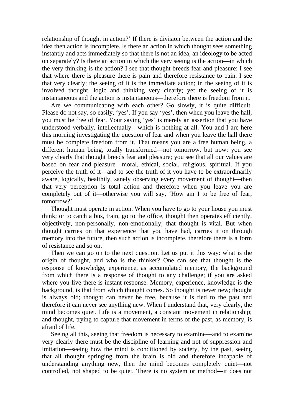relationship of thought in action?' If there is division between the action and the idea then action is incomplete. Is there an action in which thought sees something instantly and acts immediately so that there is not an idea, an ideology to be acted on separately? Is there an action in which the very seeing is the action—in which the very thinking is the action? I see that thought breeds fear and pleasure; I see that where there is pleasure there is pain and therefore resistance to pain. I see that very clearly; the seeing of it is the immediate action; in the seeing of it is involved thought, logic and thinking very clearly; yet the seeing of it is instantaneous and the action is instantaneous—therefore there is freedom from it.

Are we communicating with each other? Go slowly, it is quite difficult. Please do not say, so easily, 'yes'. If you say 'yes', then when you leave the hall, you must be free of fear. Your saying 'yes' is merely an assertion that you have understood verbally, intellectually—which is nothing at all. You and I are here this morning investigating the question of fear and when you leave the hall there must be complete freedom from it. That means you are a free human being, a different human being, totally transformed—not tomorrow, but now; you see very clearly that thought breeds fear and pleasure; you see that all our values are based on fear and pleasure—moral, ethical, social, religious, spiritual. If you perceive the truth of it—and to see the truth of it you have to be extraordinarily aware, logically, healthily, sanely observing every movement of thought—then that very perception is total action and therefore when you leave you are completely out of it—otherwise you will say, 'How am I to be free of fear, tomorrow?'

Thought must operate in action. When you have to go to your house you must think; or to catch a bus, train, go to the office, thought then operates efficiently, objectively, non-personally, non-emotionally; that thought is vital. But when thought carries on that experience that you have had, carries it on through memory into the future, then such action is incomplete, therefore there is a form of resistance and so on.

Then we can go on to the next question. Let us put it this way: what is the origin of thought, and who is the thinker? One can see that thought is the response of knowledge, experience, as accumulated memory, the background from which there is a response of thought to any challenge; if you are asked where you live there is instant response. Memory, experience, knowledge is the background, is that from which thought comes. So thought is never new; thought is always old; thought can never be free, because it is tied to the past and therefore it can never see anything new. When I understand that, very clearly, the mind becomes quiet. Life is a movement, a constant movement in relationship; and thought, trying to capture that movement in terms of the past, as memory, is afraid of life.

Seeing all this, seeing that freedom is necessary to examine—and to examine very clearly there must be the discipline of learning and not of suppression and imitation—seeing how the mind is conditioned by society, by the past, seeing that all thought springing from the brain is old and therefore incapable of understanding anything new, then the mind becomes completely quiet—not controlled, not shaped to be quiet. There is no system or method—it does not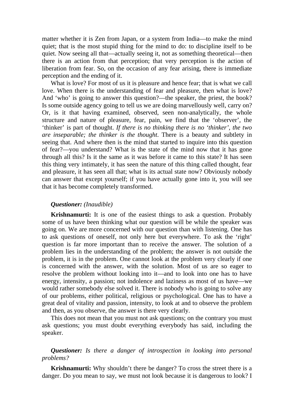matter whether it is Zen from Japan, or a system from India—to make the mind quiet; that is the most stupid thing for the mind to do: to discipline itself to be quiet. Now seeing all that—actually seeing it, not as something theoretical—then there is an action from that perception; that very perception is the action of liberation from fear. So, on the occasion of any fear arising, there is immediate perception and the ending of it.

What is love? For most of us it is pleasure and hence fear; that is what we call love. When there is the understanding of fear and pleasure, then what is love? And 'who' is going to answer this question?—the speaker, the priest, the book? Is some outside agency going to tell us we are doing marvellously well, carry on? Or, is it that having examined, observed, seen non-analytically, the whole structure and nature of pleasure, fear, pain, we find that the 'observer', the 'thinker' is part of thought. *If there is no thinking there is no 'thinker', the two are inseparable; the thinker is the thought*. There is a beauty and subtlety in seeing that. And where then is the mind that started to inquire into this question of fear?—you understand? What is the state of the mind now that it has gone through all this? Is it the same as it was before it came to this state? It has seen this thing very intimately, it has seen the nature of this thing called thought, fear and pleasure, it has seen all that; what is its actual state now? Obviously nobody can answer that except yourself; if you have actually gone into it, you will see that it has become completely transformed.

#### *Questioner: (Inaudible)*

**Krishnamurti:** It is one of the easiest things to ask a question. Probably some of us have been thinking what our question will be while the speaker was going on. We are more concerned with our question than with listening. One has to ask questions of oneself, not only here but everywhere. To ask the 'right' question is far more important than to receive the answer. The solution of a problem lies in the understanding of the problem; the answer is not outside the problem, it is in the problem. One cannot look at the problem very clearly if one is concerned with the answer, with the solution. Most of us are so eager to resolve the problem without looking into it—and to look into one has to have energy, intensity, a passion; not indolence and laziness as most of us have—we would rather somebody else solved it. There is nobody who is going to solve any of our problems, either political, religious or psychological. One has to have a great deal of vitality and passion, intensity, to look at and to observe the problem and then, as you observe, the answer is there very clearly.

This does not mean that you must not ask questions; on the contrary you must ask questions; you must doubt everything everybody has said, including the speaker.

*Questioner: Is there a danger of introspection in looking into personal problems?* 

**Krishnamurti:** Why shouldn't there be danger? To cross the street there is a danger. Do you mean to say, we must not look because it is dangerous to look? I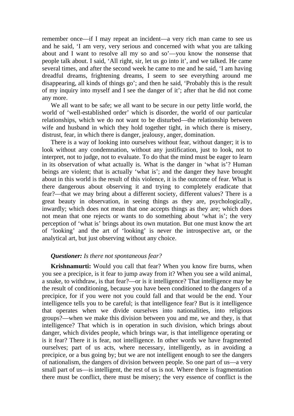remember once—if I may repeat an incident—a very rich man came to see us and he said, 'I am very, very serious and concerned with what you are talking about and I want to resolve all my so and so'—you know the nonsense that people talk about. I said, 'All right, sir, let us go into it', and we talked. He came several times, and after the second week he came to me and he said, 'I am having dreadful dreams, frightening dreams, I seem to see everything around me disappearing, all kinds of things go'; and then he said, 'Probably this is the result of my inquiry into myself and I see the danger of it'; after that he did not come any more.

We all want to be safe; we all want to be secure in our petty little world, the world of 'well-established order' which is disorder, the world of our particular relationships, which we do not want to be disturbed—the relationship between wife and husband in which they hold together tight, in which there is misery, distrust, fear, in which there is danger, jealousy, anger, domination.

There is a way of looking into ourselves without fear, without danger; it is to look without any condemnation, without any justification, just to look, not to interpret, not to judge, not to evaluate. To do that the mind must be eager to learn in its observation of what actually is. What is the danger in 'what is'? Human beings are violent; that is actually 'what is'; and the danger they have brought about in this world is the result of this violence, it is the outcome of fear. What is there dangerous about observing it and trying to completely eradicate that fear?—that we may bring about a different society, different values? There is a great beauty in observation, in seeing things as they are, psychologically, inwardly; which does not mean that one accepts things as they are; which does not mean that one rejects or wants to do something about 'what is'; the very perception of 'what is' brings about its own mutation. But one must know the art of 'looking' and the art of 'looking' is never the introspective art, or the analytical art, but just observing without any choice.

#### *Questioner: Is there not spontaneous fear?*

**Krishnamurti:** Would you call that fear? When you know fire burns, when you see a precipice, is it fear to jump away from it? When you see a wild animal, a snake, to withdraw, is that fear?—or is it intelligence? That intelligence may be the result of conditioning, because you have been conditioned to the dangers of a precipice, for if you were not you could fall and that would be the end. Your intelligence tells you to be careful; is that intelligence fear? But is it intelligence that operates when we divide ourselves into nationalities, into religious groups?—when we make this division between you and me, we and they, is that intelligence? That which is in operation in such division, which brings about danger, which divides people, which brings war, is that intelligence operating or is it fear? There it is fear, not intelligence. In other words we have fragmented ourselves; part of us acts, where necessary, intelligently, as in avoiding a precipice, or a bus going by; but we are not intelligent enough to see the dangers of nationalism, the dangers of division between people. So one part of us—a very small part of us—is intelligent, the rest of us is not. Where there is fragmentation there must be conflict, there must be misery; the very essence of conflict is the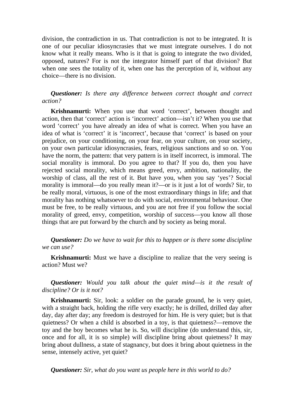division, the contradiction in us. That contradiction is not to be integrated. It is one of our peculiar idiosyncrasies that we must integrate ourselves. I do not know what it really means. Who is it that is going to integrate the two divided, opposed, natures? For is not the integrator himself part of that division? But when one sees the totality of it, when one has the perception of it, without any choice—there is no division.

#### *Questioner: Is there any difference between correct thought and correct action?*

**Krishnamurti:** When you use that word 'correct', between thought and action, then that 'correct' action is 'incorrect' action—isn't it? When you use that word 'correct' you have already an idea of what is correct. When you have an idea of what is 'correct' it is 'incorrect', because that 'correct' is based on your prejudice, on your conditioning, on your fear, on your culture, on your society, on your own particular idiosyncrasies, fears, religious sanctions and so on. You have the norm, the pattern: that very pattern is in itself incorrect, is immoral. The social morality is immoral. Do you agree to that? If you do, then you have rejected social morality, which means greed, envy, ambition, nationality, the worship of class, all the rest of it. But have you, when you say 'yes'? Social morality is immoral—do you really mean it?—or is it just a lot of words? Sir, to be really moral, virtuous, is one of the most extraordinary things in life; and that morality has nothing whatsoever to do with social, environmental behaviour. One must be free, to be really virtuous, and you are not free if you follow the social morality of greed, envy, competition, worship of success—you know all those things that are put forward by the church and by society as being moral.

*Questioner: Do we have to wait for this to happen or is there some discipline we can use?* 

**Krishnamurti:** Must we have a discipline to realize that the very seeing is action? Must we?

*Questioner: Would you talk about the quiet mind—is it the result of discipline? Or is it not?* 

**Krishnamurti:** Sir, look: a soldier on the parade ground, he is very quiet. with a straight back, holding the rifle very exactly; he is drilled, drilled day after day, day after day; any freedom is destroyed for him. He is very quiet; but is that quietness? Or when a child is absorbed in a toy, is that quietness?—remove the toy and the boy becomes what he is. So, will discipline (do understand this, sir, once and for all, it is so simple) will discipline bring about quietness? It may bring about dullness, a state of stagnancy, but does it bring about quietness in the sense, intensely active, yet quiet?

*Questioner: Sir, what do you want us people here in this world to do?*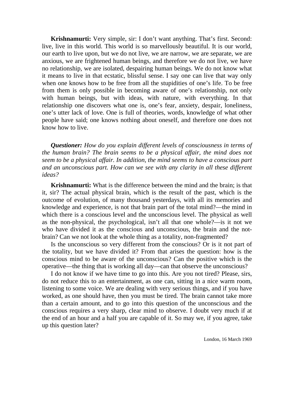**Krishnamurti:** Very simple, sir: I don't want anything. That's first. Second: live, live in this world. This world is so marvellously beautiful. It is our world, our earth to live upon, but we do not live, we are narrow, we are separate, we are anxious, we are frightened human beings, and therefore we do not live, we have no relationship, we are isolated, despairing human beings. We do not know what it means to live in that ecstatic, blissful sense. I say one can live that way only when one knows how to be free from all the stupidities of one's life. To be free from them is only possible in becoming aware of one's relationship, not only with human beings, but with ideas, with nature, with everything. In that relationship one discovers what one is, one's fear, anxiety, despair, loneliness, one's utter lack of love. One is full of theories, words, knowledge of what other people have said; one knows nothing about oneself, and therefore one does not know how to live.

*Questioner: How do you explain different levels of consciousness in terms of the human brain? The brain seems to be a physical affair, the mind does not seem to be a physical affair. In addition, the mind seems to have a conscious part*  and an unconscious part. How can we see with any clarity in all these different *ideas?* 

**Krishnamurti:** What is the difference between the mind and the brain; is that it, sir? The actual physical brain, which is the result of the past, which is the outcome of evolution, of many thousand yesterdays, with all its memories and knowledge and experience, is not that brain part of the total mind?—the mind in which there is a conscious level and the unconscious level. The physical as well as the non-physical, the psychological, isn't all that one whole?—is it not we who have divided it as the conscious and unconscious, the brain and the notbrain? Can we not look at the whole thing as a totality, non-fragmented?

Is the unconscious so very different from the conscious? Or is it not part of the totality, but we have divided it? From that arises the question: how is the conscious mind to be aware of the unconscious? Can the positive which is the operative—the thing that is working all day—can that observe the unconscious?

I do not know if we have time to go into this. Are you not tired? Please, sirs, do not reduce this to an entertainment, as one can, sitting in a nice warm room, listening to some voice. We are dealing with very serious things, and if you have worked, as one should have, then you must be tired. The brain cannot take more than a certain amount, and to go into this question of the unconscious and the conscious requires a very sharp, clear mind to observe. I doubt very much if at the end of an hour and a half you are capable of it. So may we, if you agree, take up this question later?

London, 16 March 1969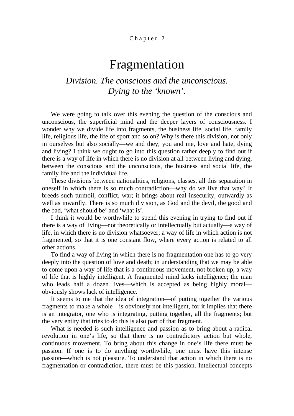#### Chapter 2

# Fragmentation

### *Division. The conscious and the unconscious. Dying to the 'known'.*

We were going to talk over this evening the question of the conscious and unconscious, the superficial mind and the deeper layers of consciousness. I wonder why we divide life into fragments, the business life, social life, family life, religious life, the life of sport and so on? Why is there this division, not only in ourselves but also socially—we and they, you and me, love and hate, dying and living? I think we ought to go into this question rather deeply to find out if there is a way of life in which there is no division at all between living and dying, between the conscious and the unconscious, the business and social life, the family life and the individual life.

These divisions between nationalities, religions, classes, all this separation in oneself in which there is so much contradiction—why do we live that way? It breeds such turmoil, conflict, war; it brings about real insecurity, outwardly as well as inwardly. There is so much division, as God and the devil, the good and the bad, 'what should be' and 'what is'.

I think it would be worthwhile to spend this evening in trying to find out if there is a way of living—not theoretically or intellectually but actually—a way of life, in which there is no division whatsoever; a way of life in which action is not fragmented, so that it is one constant flow, where every action is related to all other actions.

To find a way of living in which there is no fragmentation one has to go very deeply into the question of love and death; in understanding that we may be able to come upon a way of life that is a continuous movement, not broken up, a way of life that is highly intelligent. A fragmented mind lacks intelligence; the man who leads half a dozen lives—which is accepted as being highly moral obviously shows lack of intelligence.

It seems to me that the idea of integration—of putting together the various fragments to make a whole—is obviously not intelligent, for it implies that there is an integrator, one who is integrating, putting together, all the fragments; but the very entity that tries to do this is also part of that fragment.

What is needed is such intelligence and passion as to bring about a radical revolution in one's life, so that there is no contradictory action but whole, continuous movement. To bring about this change in one's life there must be passion. If one is to do anything worthwhile, one must have this intense passion—which is not pleasure. To understand that action in which there is no fragmentation or contradiction, there must be this passion. Intellectual concepts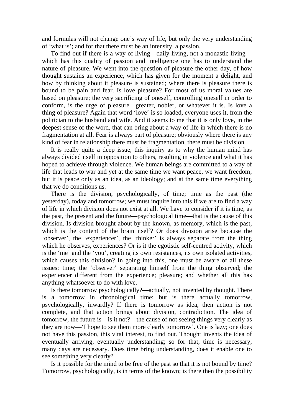and formulas will not change one's way of life, but only the very understanding of 'what is'; and for that there must be an intensity, a passion.

To find out if there is a way of living—daily living, not a monastic living which has this quality of passion and intelligence one has to understand the nature of pleasure. We went into the question of pleasure the other day, of how thought sustains an experience, which has given for the moment a delight, and how by thinking about it pleasure is sustained; where there is pleasure there is bound to be pain and fear. Is love pleasure? For most of us moral values are based on pleasure; the very sacrificing of oneself, controlling oneself in order to conform, is the urge of pleasure—greater, nobler, or whatever it is. Is love a thing of pleasure? Again that word 'love' is so loaded, everyone uses it, from the politician to the husband and wife. And it seems to me that it is only love, in the deepest sense of the word, that can bring about a way of life in which there is no fragmentation at all. Fear is always part of pleasure; obviously where there is any kind of fear in relationship there must be fragmentation, there must be division.

It is really quite a deep issue, this inquiry as to why the human mind has always divided itself in opposition to others, resulting in violence and what it has hoped to achieve through violence. We human beings are committed to a way of life that leads to war and yet at the same time we want peace, we want freedom; but it is peace only as an idea, as an ideology; and at the same time everything that we do conditions us.

There is the division, psychologically, of time; time as the past (the yesterday), today and tomorrow; we must inquire into this if we are to find a way of life in which division does not exist at all. We have to consider if it is time, as the past, the present and the future—psychological time—that is the cause of this division. Is division brought about by the known, as memory, which is the past, which is the content of the brain itself? Or does division arise because the 'observer', the 'experiencer', the 'thinker' is always separate from the thing which he observes, experiences? Or is it the egotistic self-centred activity, which is the 'me' and the 'you', creating its own resistances, its own isolated activities, which causes this division? In going into this, one must be aware of all these issues: time; the 'observer' separating himself from the thing observed; the experiencer different from the experience; pleasure; and whether all this has anything whatsoever to do with love.

Is there tomorrow psychologically?—actually, not invented by thought. There is a tomorrow in chronological time; but is there actually tomorrow, psychologically, inwardly? If there is tomorrow as idea, then action is not complete, and that action brings about division, contradiction. The idea of tomorrow, the future is—is it not?—the cause of not seeing things very clearly as they are now—'I hope to see them more clearly tomorrow'. One is lazy; one does not have this passion, this vital interest, to find out. Thought invents the idea of eventually arriving, eventually understanding; so for that, time is necessary, many days are necessary. Does time bring understanding, does it enable one to see something very clearly?

Is it possible for the mind to be free of the past so that it is not bound by time? Tomorrow, psychologically, is in terms of the known; is there then the possibility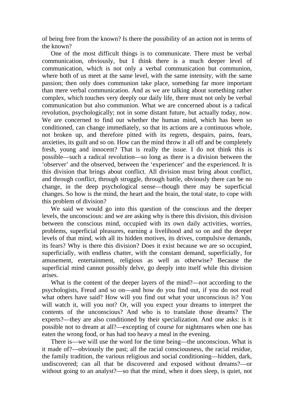of being free from the known? Is there the possibility of an action not in terms of the known?

One of the most difficult things is to communicate. There must be verbal communication, obviously, but I think there is a much deeper level of communication, which is not only a verbal communication but communion, where both of us meet at the same level, with the same intensity, with the same passion; then only does communion take place, something far more important than mere verbal communication. And as we are talking about something rather complex, which touches very deeply our daily life, there must not only be verbal communication but also communion. What we are concerned about is a radical revolution, psychologically; not in some distant future, but actually today, now. We are concerned to find out whether the human mind, which has been so conditioned, can change immediately, so that its actions are a continuous whole, not broken up, and therefore pitted with its regrets, despairs, pains, fears, anxieties, its guilt and so on. How can the mind throw it all off and be completely fresh, young and innocent? That is really the issue. I do not think this is possible—such a radical revolution—so long as there is a division between the 'observer' and the observed, between the 'experiencer' and the experienced. It is this division that brings about conflict. All division must bring about conflict, and through conflict, through struggle, through battle, obviously there can be no change, in the deep psychological sense—though there may be superficial changes. So how is the mind, the heart and the brain, the total state, to cope with this problem of division?

We said we would go into this question of the conscious and the deeper levels, the unconscious: and we are asking why is there this division, this division between the conscious mind, occupied with its own daily activities, worries, problems, superficial pleasures, earning a livelihood and so on and the deeper levels of that mind, with all its hidden motives, its drives, compulsive demands, its fears? Why is there this division? Does it exist because we are so occupied, superficially, with endless chatter, with the constant demand, superficially, for amusement, entertainment, religious as well as otherwise? Because the superficial mind cannot possibly delve, go deeply into itself while this division arises.

What is the content of the deeper layers of the mind?—not according to the psychologists, Freud and so on—and how do you find out, if you do not read what others have said? How will you find out what your unconscious is? You will watch it, will you not? Or, will you expect your dreams to interpret the contents of the unconscious? And who is to translate those dreams? The experts?—they are also conditioned by their specialization. And one asks: is it possible not to dream at all?—excepting of course for nightmares when one has eaten the wrong food, or has had too heavy a meal in the evening.

There is—we will use the word for the time being—the unconscious. What is it made of?—obviously the past; all the racial consciousness, the racial residue, the family tradition, the various religious and social conditioning—hidden, dark, undiscovered; can all that be discovered and exposed without dreams?—or without going to an analyst?—so that the mind, when it does sleep, is quiet, not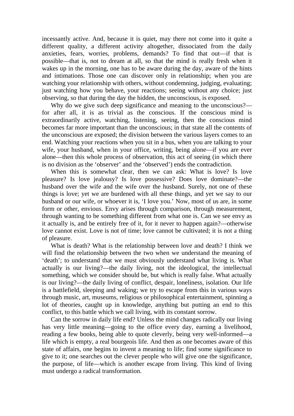incessantly active. And, because it is quiet, may there not come into it quite a different quality, a different activity altogether, dissociated from the daily anxieties, fears, worries, problems, demands? To find that out—if that is possible—that is, not to dream at all, so that the mind is really fresh when it wakes up in the morning, one has to be aware during the day, aware of the hints and intimations. Those one can discover only in relationship; when you are watching your relationship with others, without condemning, judging, evaluating; just watching how you behave, your reactions; seeing without any choice; just observing, so that during the day the hidden, the unconscious, is exposed.

Why do we give such deep significance and meaning to the unconscious? for after all, it is as trivial as the conscious. If the conscious mind is extraordinarily active, watching, listening, seeing, then the conscious mind becomes far more important than the unconscious; in that state all the contents of the unconscious are exposed; the division between the various layers comes to an end. Watching your reactions when you sit in a bus, when you are talking to your wife, your husband, when in your office, writing, being alone—if you are ever alone—then this whole process of observation, this act of seeing (in which there is no division as the 'observer' and the 'observed') ends the contradiction.

When this is somewhat clear, then we can ask: What is love? Is love pleasure? Is love jealousy? Is love possessive? Does love dominate?—the husband over the wife and the wife over the husband. Surely, not one of these things is love; yet we are burdened with all these things, and yet we say to our husband or our wife, or whoever it is, 'I love you.' Now, most of us are, in some form or other, envious. Envy arises through comparison, through measurement, through wanting to be something different from what one is. Can we see envy as it actually is, and be entirely free of it, for it never to happen again?—otherwise love cannot exist. Love is not of time; love cannot be cultivated; it is not a thing of pleasure.

What is death? What is the relationship between love and death? I think we will find the relationship between the two when we understand the meaning of 'death'; to understand that we must obviously understand what living is. What actually is our living?—the daily living, not the ideological, the intellectual something, which we consider should be, but which is really false. What actually is our living?—the daily living of conflict, despair, loneliness, isolation. Our life is a battlefield, sleeping and waking; we try to escape from this in various ways through music, art, museums, religious or philosophical entertainment, spinning a lot of theories, caught up in knowledge, anything but putting an end to this conflict, to this battle which we call living, with its constant sorrow.

Can the sorrow in daily life end? Unless the mind changes radically our living has very little meaning—going to the office every day, earning a livelihood, reading a few books, being able to quote cleverly, being very well-informed—a life which is empty, a real bourgeois life. And then as one becomes aware of this state of affairs, one begins to invent a meaning to life; find some significance to give to it; one searches out the clever people who will give one the significance, the purpose, of life—which is another escape from living. This kind of living must undergo a radical transformation.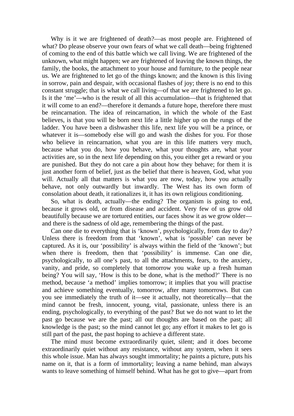Why is it we are frightened of death?—as most people are. Frightened of what? Do please observe your own fears of what we call death—being frightened of coming to the end of this battle which we call living. We are frightened of the unknown, what might happen; we are frightened of leaving the known things, the family, the books, the attachment to your house and furniture, to the people near us. We are frightened to let go of the things known; and the known is this living in sorrow, pain and despair, with occasional flashes of joy; there is no end to this constant struggle; that is what we call living—of that we are frightened to let go. Is it the 'me'—who is the result of all this accumulation—that is frightened that it will come to an end?—therefore it demands a future hope, therefore there must be reincarnation. The idea of reincarnation, in which the whole of the East believes, is that you will be born next life a little higher up on the rungs of the ladder. You have been a dishwasher this life, next life you will be a prince, or whatever it is—somebody else will go and wash the dishes for you. For those who believe in reincarnation, what you are in this life matters very much, because what you do, how you behave, what your thoughts are, what your activities are, so in the next life depending on this, you either get a reward or you are punished. But they do not care a pin about how they behave; for them it is just another form of belief, just as the belief that there is heaven, God, what you will. Actually all that matters is what you are now, today, how you actually behave, not only outwardly but inwardly. The West has its own form of consolation about death, it rationalizes it, it has its own religious conditioning.

So, what is death, actually—the ending? The organism is going to end, because it grows old, or from disease and accident. Very few of us grow old beautifully because we are tortured entities, our faces show it as we grow older and there is the sadness of old age, remembering the things of the past.

Can one die to everything that is 'known', psychologically, from day to day? Unless there is freedom from that 'known', what is 'possible' can never be captured. As it is, our 'possibility' is always within the field of the 'known'; but when there is freedom, then that 'possibility' is immense. Can one die, psychologically, to all one's past, to all the attachments, fears, to the anxiety, vanity, and pride, so completely that tomorrow you wake up a fresh human being? You will say, 'How is this to be done, what is the method?' There is no method, because 'a method' implies tomorrow; it implies that you will practise and achieve something eventually, tomorrow, after many tomorrows. But can you see immediately the truth of it—see it actually, not theoretically—that the mind cannot be fresh, innocent, young, vital, passionate, unless there is an ending, psychologically, to everything of the past? But we do not want to let the past go because we are the past; all our thoughts are based on the past; all knowledge is the past; so the mind cannot let go; any effort it makes to let go is still part of the past, the past hoping to achieve a different state.

The mind must become extraordinarily quiet, silent; and it does become extraordinarily quiet without any resistance, without any system, when it sees this whole issue. Man has always sought immortality; he paints a picture, puts his name on it, that is a form of immortality; leaving a name behind, man always wants to leave something of himself behind. What has he got to give—apart from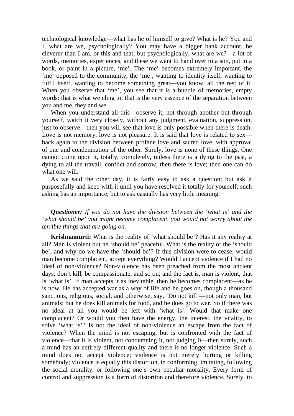technological knowledge—what has he of himself to give? What is he? You and I, what are we, psychologically? You may have a bigger bank account, be cleverer than I am, or this and that; but psychologically, what are we?—a lot of words, memories, experiences, and these we want to hand over to a son, put in a book, or paint in a picture, 'me'. The 'me' becomes extremely important, the 'me' opposed to the community, the 'me', wanting to identity itself, wanting to fulfil itself, wanting to become something great—you know, all the rest of it. When you observe that 'me', you see that it is a bundle of memories, empty words: that is what we cling to; that is the very essence of the separation between you and me, they and we.

When you understand all this—observe it, not through another but through yourself, watch it very closely, without any judgment, evaluation, suppression, just to observe—then you will see that love is only possible when there is death. Love is not memory, love is not pleasure. It is said that love is related to sex back again to the division between profane love and sacred love, with approval of one and condemnation of the other. Surely, love is none of these things. One cannot come upon it, totally, completely, unless there is a dying to the past, a dying to all the travail, conflict and sorrow; then there is love; then one can do what one will.

As we said the other day, it is fairly easy to ask a question; but ask it purposefully and keep with it until you have resolved it totally for yourself; such asking has an importance; but to ask casually has very little meaning.

#### *Questioner: If you do not have the division between the 'what is' and the 'what should be' you might become complacent, you would not worry about the terrible things that are going on.*

**Krishnamurti:** What is the reality of 'what should be'? Has it any reality at all? Man is violent but he 'should be' peaceful. What is the reality of the 'should be', and why do we have the 'should be'? If this division were to cease, would man become complacent, accept everything? Would I accept violence if I had no ideal of non-violence? Non-violence has been preached from the most ancient days: don't kill, be compassionate, and so on; and the fact is, man is violent, that is 'what is'. If man accepts it as inevitable, then he becomes complacent—as he is now. He has accepted war as a way of life and he goes on, though a thousand sanctions, religious, social, and otherwise, say, 'Do not kill'—not only man, but animals; but he does kill animals for food, and he does go to war. So if there was no ideal at all you would be left with 'what is'. Would that make one complacent? Or would you then have the energy, the interest, the vitality, to solve 'what is'? Is not the ideal of non-violence an escape from the fact of violence? When the mind is not escaping, but is confronted with the fact of violence—that it is violent, not condemning it, not judging it—then surely, such a mind has an entirely different quality and there is no longer violence. Such a mind does not accept violence; violence is not merely hurting or killing somebody; violence is equally this distortion, in conforming, imitating, following the social morality, or following one's own peculiar morality. Every form of control and suppression is a form of distortion and therefore violence. Surely, to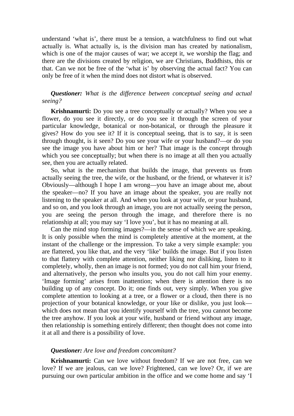understand 'what is', there must be a tension, a watchfulness to find out what actually is. What actually is, is the division man has created by nationalism, which is one of the major causes of war; we accept it, we worship the flag; and there are the divisions created by religion, we are Christians, Buddhists, this or that. Can we not be free of the 'what is' by observing the actual fact? You can only be free of it when the mind does not distort what is observed.

#### *Questioner: What is the difference between conceptual seeing and actual seeing?*

**Krishnamurti:** Do you see a tree conceptually or actually? When you see a flower, do you see it directly, or do you see it through the screen of your particular knowledge, botanical or non-botanical, or through the pleasure it gives? How do you see it? If it is conceptual seeing, that is to say, it is seen through thought, is it seen? Do you see your wife or your husband?—or do you see the image you have about him or her? That image is the concept through which you see conceptually; but when there is no image at all then you actually see, then you are actually related.

So, what is the mechanism that builds the image, that prevents us from actually seeing the tree, the wife, or the husband, or the friend, or whatever it is? Obviously—although I hope I am wrong—you have an image about me, about the speaker—no? If you have an image about the speaker, you are really not listening to the speaker at all. And when you look at your wife, or your husband, and so on, and you look through an image, you are not actually seeing the person, you are seeing the person through the image, and therefore there is no relationship at all; you may say 'I love you', but it has no meaning at all.

Can the mind stop forming images?—in the sense of which we are speaking. It is only possible when the mind is completely attentive at the moment, at the instant of the challenge or the impression. To take a very simple example: you are flattered, you like that, and the very 'like' builds the image. But if you listen to that flattery with complete attention, neither liking nor disliking, listen to it completely, wholly, then an image is not formed; you do not call him your friend, and alternatively, the person who insults you, you do not call him your enemy. 'Image forming' arises from inattention; when there is attention there is no building up of any concept. Do it; one finds out, very simply. When you give complete attention to looking at a tree, or a flower or a cloud, then there is no projection of your botanical knowledge, or your like or dislike, you just look which does not mean that you identify yourself with the tree, you cannot become the tree anyhow. If you look at your wife, husband or friend without any image, then relationship is something entirely different; then thought does not come into it at all and there is a possibility of love.

#### *Questioner: Are love and freedom concomitant?*

**Krishnamurti:** Can we love without freedom? If we are not free, can we love? If we are jealous, can we love? Frightened, can we love? Or, if we are pursuing our own particular ambition in the office and we come home and say 'I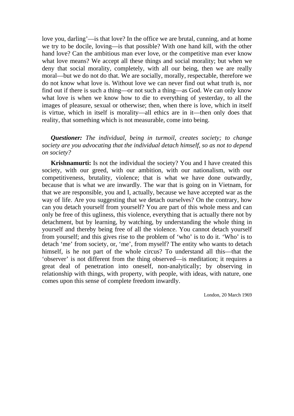love you, darling'—is that love? In the office we are brutal, cunning, and at home we try to be docile, loving—is that possible? With one hand kill, with the other hand love? Can the ambitious man ever love, or the competitive man ever know what love means? We accept all these things and social morality; but when we deny that social morality, completely, with all our being, then we are really moral—but we do not do that. We are socially, morally, respectable, therefore we do not know what love is. Without love we can never find out what truth is, nor find out if there is such a thing—or not such a thing—as God. We can only know what love is when we know how to die to everything of yesterday, to all the images of pleasure, sexual or otherwise; then, when there is love, which in itself is virtue, which in itself is morality—all ethics are in it—then only does that reality, that something which is not measurable, come into being.

#### *Questioner: The individual, being in turmoil, creates society; to change society are you advocating that the individual detach himself, so as not to depend on society?*

**Krishnamurti:** Is not the individual the society? You and I have created this society, with our greed, with our ambition, with our nationalism, with our competitiveness, brutality, violence; that is what we have done outwardly, because that is what we are inwardly. The war that is going on in Vietnam, for that we are responsible, you and I, actually, because we have accepted war as the way of life. Are you suggesting that we detach ourselves? On the contrary, how can you detach yourself from yourself? You are part of this whole mess and can only be free of this ugliness, this violence, everything that is actually there not by detachment, but by learning, by watching, by understanding the whole thing in yourself and thereby being free of all the violence. You cannot detach yourself from yourself; and this gives rise to the problem of 'who' is to do it. 'Who' is to detach 'me' from society, or, 'me', from myself? The entity who wants to detach himself, is he not part of the whole circus? To understand all this—that the 'observer' is not different from the thing observed—is meditation; it requires a great deal of penetration into oneself, non-analytically; by observing in relationship with things, with property, with people, with ideas, with nature, one comes upon this sense of complete freedom inwardly.

London, 20 March 1969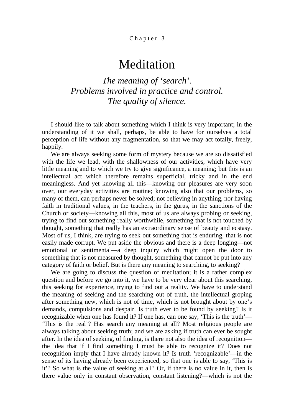Chapter 3

# Meditation

## *The meaning of 'search'. Problems involved in practice and control. The quality of silence.*

I should like to talk about something which I think is very important; in the understanding of it we shall, perhaps, be able to have for ourselves a total perception of life without any fragmentation, so that we may act totally, freely, happily.

We are always seeking some form of mystery because we are so dissatisfied with the life we lead, with the shallowness of our activities, which have very little meaning and to which we try to give significance, a meaning; but this is an intellectual act which therefore remains superficial, tricky and in the end meaningless. And yet knowing all this—knowing our pleasures are very soon over, our everyday activities are routine; knowing also that our problems, so many of them, can perhaps never be solved; not believing in anything, nor having faith in traditional values, in the teachers, in the gurus, in the sanctions of the Church or society—knowing all this, most of us are always probing or seeking, trying to find out something really worthwhile, something that is not touched by thought, something that really has an extraordinary sense of beauty and ecstasy. Most of us, I think, are trying to seek out something that is enduring, that is not easily made corrupt. We put aside the obvious and there is a deep longing—not emotional or sentimental—a deep inquiry which might open the door to something that is not measured by thought, something that cannot be put into any category of faith or belief. But is there any meaning to searching, to seeking?

We are going to discuss the question of meditation; it is a rather complex question and before we go into it, we have to be very clear about this searching, this seeking for experience, trying to find out a reality. We have to understand the meaning of seeking and the searching out of truth, the intellectual groping after something new, which is not of time, which is not brought about by one's demands, compulsions and despair. Is truth ever to be found by seeking? Is it recognizable when one has found it? If one has, can one say, 'This is the truth'— 'This is the real'? Has search any meaning at all? Most religious people are always talking about seeking truth; and we are asking if truth can ever be sought after. In the idea of seeking, of finding, is there not also the idea of recognition the idea that if I find something I must be able to recognize it? Does not recognition imply that I have already known it? Is truth 'recognizable'—in the sense of its having already been experienced, so that one is able to say, 'This is it'? So what is the value of seeking at all? Or, if there is no value in it, then is there value only in constant observation, constant listening?—which is not the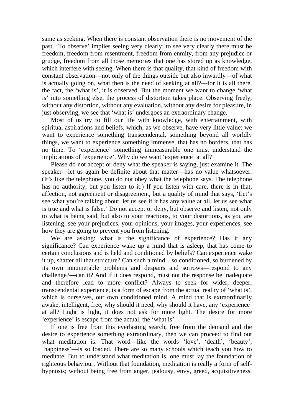same as seeking. When there is constant observation there is no movement of the past. 'To observe' implies seeing very clearly; to see very clearly there must be freedom, freedom from resentment, freedom from enmity, from any prejudice or grudge, freedom from all those memories that one has stored up as knowledge, which interfere with seeing. When there is that quality, that kind of freedom with constant observation—not only of the things outside but also inwardly—of what is actually going on, what then is the need of seeking at all?—for it is all there, the fact, the 'what is', it is observed. But the moment we want to change 'what is' into something else, the process of distortion takes place. Observing freely, without any distortion, without any evaluation, without any desire for pleasure, in just observing, we see that 'what is' undergoes an extraordinary change.

Most of us try to fill our life with knowledge, with entertainment, with spiritual aspirations and beliefs, which, as we observe, have very little value; we want to experience something transcendental, something beyond all worldly things, we want to experience something immense, that has no borders, that has no time. To 'experience' something immeasurable one must understand the implications of 'experience'. Why do we want 'experience' at all?

Please do not accept or deny what the speaker is saying, just examine it. The speaker—let us again be definite about that matter—has no value whatsoever. (It's like the telephone, you do not obey what the telephone says. The telephone has no authority, but you listen to it.) If you listen with care, there is in that, affection, not agreement or disagreement, but a quality of mind that says, 'Let's see what you're talking about, let us see if it has any value at all, let us see what is true and what is false.' Do not accept or deny, but observe and listen, not only to what is being said, but also to your reactions, to your distortions, as you are listening; see your prejudices, your opinions, your images, your experiences, see how they are going to prevent you from listening.

We are asking: what is the significance of experience? Has it any significance? Can experience wake up a mind that is asleep, that has come to certain conclusions and is held and conditioned by beliefs? Can experience wake it up, shatter all that structure? Can such a mind—so conditioned, so burdened by its own innumerable problems and despairs and sorrows—respond to any challenge?—can it? And if it does respond, must not the response be inadequate and therefore lead to more conflict? Always to seek for wider, deeper, transcendental experience, is a form of escape from the actual reality of 'what is', which is ourselves, our own conditioned mind. A mind that is extraordinarily awake, intelligent, free, why should it need, why should it have, any 'experience' at all? Light is light, it does not ask for more light. The desire for more 'experience' is escape from the actual, the 'what is'.

If one is free from this everlasting search, free from the demand and the desire to experience something extraordinary, then we can proceed to find out what meditation is. That word—like the words 'love', 'death', 'beauty', 'happiness'—is so loaded. There are so many schools which teach you how to meditate. But to understand what meditation is, one must lay the foundation of righteous behaviour. Without that foundation, meditation is really a form of selfhypnosis; without being free from anger, jealousy, envy, greed, acquisitiveness,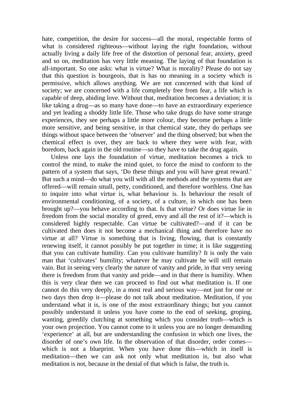hate, competition, the desire for success—all the moral, respectable forms of what is considered righteous—without laying the right foundation, without actually living a daily life free of the distortion of personal fear, anxiety, greed and so on, meditation has very little meaning. The laying of that foundation is all-important. So one asks: what is virtue? What is morality? Please do not say that this question is bourgeois, that is has no meaning in a society which is permissive, which allows anything. We are not concerned with that kind of society; we are concerned with a life completely free from fear, a life which is capable of deep, abiding love. Without that, meditation becomes a deviation; it is like taking a drug—as so many have done—to have an extraordinary experience and yet leading a shoddy little life. Those who take drugs do have some strange experiences, they see perhaps a little more colour, they become perhaps a little more sensitive, and being sensitive, in that chemical state, they do perhaps see things without space between the 'observer' and the thing observed; but when the chemical effect is over, they are back to where they were with fear, with boredom, back again in the old routine—so they have to take the drug again.

Unless one lays the foundation of virtue, meditation becomes a trick to control the mind, to make the mind quiet, to force the mind to conform to the pattern of a system that says, 'Do these things and you will have great reward.' But such a mind—do what you will with all the methods and the systems that are offered—will remain small, petty, conditioned, and therefore worthless. One has to inquire into what virtue is, what behaviour is. Is behaviour the result of environmental conditioning, of a society, of a culture, in which one has been brought up?—you behave according to that. Is that virtue? Or does virtue lie in freedom from the social morality of greed, envy and all the rest of it?—which is considered highly respectable. Can virtue be cultivated?—and if it can be cultivated then does it not become a mechanical thing and therefore have no virtue at all? Virtue is something that is living, flowing, that is constantly renewing itself, it cannot possibly be put together in time; it is like suggesting that you can cultivate humility. Can you cultivate humility? It is only the vain man that 'cultivates' humility; whatever he may cultivate he will still remain vain. But in seeing very clearly the nature of vanity and pride, in that very seeing there is freedom from that vanity and pride—and in that there is humility. When this is very clear then we can proceed to find out what meditation is. If one cannot do this very deeply, in a most real and serious way—not just for one or two days then drop it—please do not talk about meditation. Meditation, if you understand what it is, is one of the most extraordinary things; but you cannot possibly understand it unless you have come to the end of seeking, groping, wanting, greedily clutching at something which you consider truth—which is your own projection. You cannot come to it unless you are no longer demanding 'experience' at all, but are understanding the confusion in which one lives, the disorder of one's own life. In the observation of that disorder, order comes which is not a blueprint. When you have done this—which in itself is meditation—then we can ask not only what meditation is, but also what meditation is not, because in the denial of that which is false, the truth is.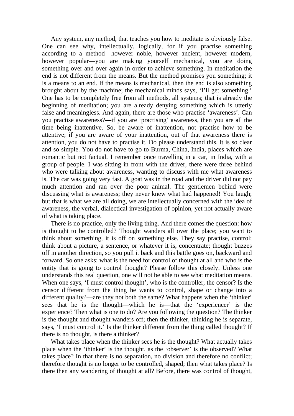Any system, any method, that teaches you how to meditate is obviously false. One can see why, intellectually, logically, for if you practise something according to a method—however noble, however ancient, however modern, however popular—you are making yourself mechanical, you are doing something over and over again in order to achieve something. In meditation the end is not different from the means. But the method promises you something; it is a means to an end. If the means is mechanical, then the end is also something brought about by the machine; the mechanical minds says, 'I'll get something.' One has to be completely free from all methods, all systems; that is already the beginning of meditation; you are already denying something which is utterly false and meaningless. And again, there are those who practise 'awareness'. Can you practise awareness?—if you are 'practising' awareness, then you are all the time being inattentive. So, be aware of inattention, not practise how to be attentive; if you are aware of your inattention, out of that awareness there is attention, you do not have to practise it. Do please understand this, it is so clear and so simple. You do not have to go to Burma, China, India, places which are romantic but not factual. I remember once travelling in a car, in India, with a group of people. I was sitting in front with the driver, there were three behind who were talking about awareness, wanting to discuss with me what awareness is. The car was going very fast. A goat was in the road and the driver did not pay much attention and ran over the poor animal. The gentlemen behind were discussing what is awareness; they never knew what had happened! You laugh; but that is what we are all doing, we are intellectually concerned with the idea of awareness, the verbal, dialectical investigation of opinion, yet not actually aware of what is taking place.

There is no practice, only the living thing. And there comes the question: how is thought to be controlled? Thought wanders all over the place; you want to think about something, it is off on something else. They say practise, control; think about a picture, a sentence, or whatever it is, concentrate; thought buzzes off in another direction, so you pull it back and this battle goes on, backward and forward. So one asks: what is the need for control of thought at all and who is the entity that is going to control thought? Please follow this closely. Unless one understands this real question, one will not be able to see what meditation means. When one says, 'I must control thought', who is the controller, the censor? Is the censor different from the thing he wants to control, shape or change into a different quality?—are they not both the same? What happens when the 'thinker' sees that he is the thought—which he is—that the 'experiencer' is the experience? Then what is one to do? Are you following the question? The thinker is the thought and thought wanders off; then the thinker, thinking he is separate, says, 'I must control it.' Is the thinker different from the thing called thought? If there is no thought, is there a thinker?

What takes place when the thinker sees he is the thought? What actually takes place when the 'thinker' is the thought, as the 'observer' is the observed? What takes place? In that there is no separation, no division and therefore no conflict; therefore thought is no longer to be controlled, shaped; then what takes place? Is there then any wandering of thought at all? Before, there was control of thought,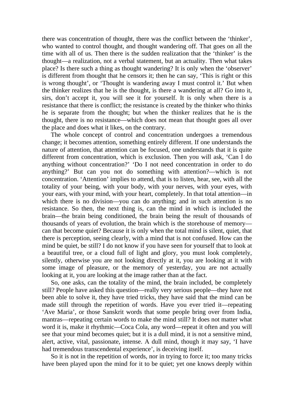there was concentration of thought, there was the conflict between the 'thinker', who wanted to control thought, and thought wandering off. That goes on all the time with all of us. Then there is the sudden realization that the 'thinker' is the thought—a realization, not a verbal statement, but an actuality. Then what takes place? Is there such a thing as thought wandering? It is only when the 'observer' is different from thought that he censors it; then he can say, 'This is right or this is wrong thought', or 'Thought is wandering away I must control it.' But when the thinker realizes that he is the thought, is there a wandering at all? Go into it, sirs, don't accept it, you will see it for yourself. It is only when there is a resistance that there is conflict; the resistance is created by the thinker who thinks he is separate from the thought; but when the thinker realizes that he is the thought, there is no resistance—which does not mean that thought goes all over the place and does what it likes, on the contrary.

The whole concept of control and concentration undergoes a tremendous change; it becomes attention, something entirely different. If one understands the nature of attention, that attention can be focused, one understands that it is quite different from concentration, which is exclusion. Then you will ask, 'Can I do anything without concentration?' 'Do I not need concentration in order to do anything?' But can you not do something with attention?—which is not concentration. 'Attention' implies to attend, that is to listen, hear, see, with all the totality of your being, with your body, with your nerves, with your eyes, with your ears, with your mind, with your heart, completely. In that total attention—in which there is no division—you can do anything; and in such attention is no resistance. So then, the next thing is, can the mind in which is included the brain—the brain being conditioned, the brain being the result of thousands of thousands of years of evolution, the brain which is the storehouse of memory can that become quiet? Because it is only when the total mind is silent, quiet, that there is perception, seeing clearly, with a mind that is not confused. How can the mind be quiet, be still? I do not know if you have seen for yourself that to look at a beautiful tree, or a cloud full of light and glory, you must look completely, silently, otherwise you are not looking directly at it, you are looking at it with some image of pleasure, or the memory of yesterday, you are not actually looking at it, you are looking at the image rather than at the fact.

So, one asks, can the totality of the mind, the brain included, be completely still? People have asked this question—really very serious people—they have not been able to solve it, they have tried tricks, they have said that the mind can be made still through the repetition of words. Have you ever tried it—repeating 'Ave Maria', or those Sanskrit words that some people bring over from India, mantras—repeating certain words to make the mind still? It does not matter what word it is, make it rhythmic—Coca Cola, any word—repeat it often and you will see that your mind becomes quiet; but it is a dull mind, it is not a sensitive mind, alert, active, vital, passionate, intense. A dull mind, though it may say, 'I have had tremendous transcendental experience', is deceiving itself.

So it is not in the repetition of words, nor in trying to force it; too many tricks have been played upon the mind for it to be quiet; yet one knows deeply within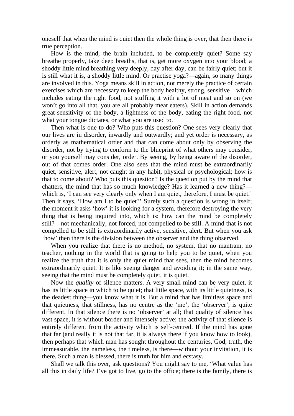oneself that when the mind is quiet then the whole thing is over, that then there is true perception.

How is the mind, the brain included, to be completely quiet? Some say breathe properly, take deep breaths, that is, get more oxygen into your blood; a shoddy little mind breathing very deeply, day after day, can be fairly quiet; but it is still what it is, a shoddy little mind. Or practise yoga?—again, so many things are involved in this. Yoga means skill in action, not merely the practice of certain exercises which are necessary to keep the body healthy, strong, sensitive—which includes eating the right food, not stuffing it with a lot of meat and so on (we won't go into all that, you are all probably meat eaters). Skill in action demands great sensitivity of the body, a lightness of the body, eating the right food, not what your tongue dictates, or what you are used to.

Then what is one to do? Who puts this question? One sees very clearly that our lives are in disorder, inwardly and outwardly; and yet order is necessary, as orderly as mathematical order and that can come about only by observing the disorder, not by trying to conform to the blueprint of what others may consider, or you yourself may consider, order. By seeing, by being aware of the disorder, out of that comes order. One also sees that the mind must be extraordinarily quiet, sensitive, alert, not caught in any habit, physical or psychological; how is that to come about? Who puts this question? Is the question put by the mind that chatters, the mind that has so much knowledge? Has it learned a new thing? which is, 'I can see very clearly only when I am quiet, therefore, I must be quiet.' Then it says, 'How am I to be quiet?' Surely such a question is wrong in itself; the moment it asks 'how' it is looking for a system, therefore destroying the very thing that is being inquired into, which is: how can the mind be completely still?—not mechanically, not forced, not compelled to be still. A mind that is not compelled to be still is extraordinarily active, sensitive, alert. But when you ask 'how' then there is the division between the observer and the thing observed.

When you realize that there is no method, no system, that no mantram, no teacher, nothing in the world that is going to help you to be quiet, when you realize the truth that it is only the quiet mind that sees, then the mind becomes extraordinarily quiet. It is like seeing danger and avoiding it; in the same way, seeing that the mind must be completely quiet, it is quiet.

Now the *quality* of silence matters. A very small mind can be very quiet, it has its little space in which to be quiet; that little space, with its little quietness, is the deadest thing—you know what it is. But a mind that has limitless space and that quietness, that stillness, has no centre as the 'me', the 'observer', is quite different. In that silence there is no 'observer' at all; that quality of silence has vast space, it is without border and intensely active; the activity of that silence is entirely different from the activity which is self-centred. If the mind has gone that far (and really it is not that far, it is always there if you know how to look), then perhaps that which man has sought throughout the centuries, God, truth, the immeasurable, the nameless, the timeless, is there—without your invitation, it is there. Such a man is blessed, there is truth for him and ecstasy.

Shall we talk this over, ask questions? You might say to me, 'What value has all this in daily life? I've got to live, go to the office; there is the family, there is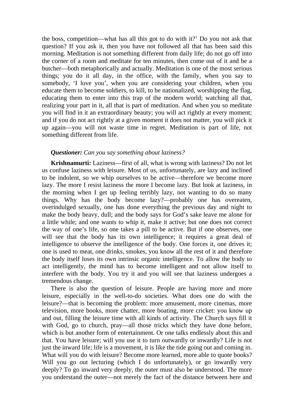the boss, competition—what has all this got to do with it?' Do you not ask that question? If you ask it, then you have not followed all that has been said this morning. Meditation is not something different from daily life; do not go off into the corner of a room and meditate for ten minutes, then come out of it and be a butcher—both metaphorically and actually. Meditation is one of the most serious things; you do it all day, in the office, with the family, when you say to somebody, 'I love you', when you are considering your children, when you educate them to become soldiers, to kill, to be nationalized, worshipping the flag, educating them to enter into this trap of the modern world; watching all that, realizing your part in it, all that is part of meditation. And when you so meditate you will find in it an extraordinary beauty; you will act rightly at every moment; and if you do not act rightly at a given moment it does not matter, you will pick it up again—you will not waste time in regret. Meditation is part of life, not something different from life.

#### *Questioner: Can you say something about laziness?*

**Krishnamurti:** Laziness—first of all, what is wrong with laziness? Do not let us confuse laziness with leisure. Most of us, unfortunately, are lazy and inclined to be indolent, so we whip ourselves to be active—therefore we become more lazy. The more I resist laziness the more I become lazy. But look at laziness, in the morning when I get up feeling terribly lazy, not wanting to do so many things. Why has the body become lazy?—probably one has overeaten, overindulged sexually, one has done everything the previous day and night to make the body heavy, dull; and the body says for God's sake leave me alone for a little while; and one wants to whip it, make it active; but one does not correct the way of one's life, so one takes a pill to be active. But if one observes, one will see that the body has its own intelligence; it requires a great deal of intelligence to observe the intelligence of the body. One forces it, one drives it; one is used to meat, one drinks, smokes, you know all the rest of it and therefore the body itself loses its own intrinsic organic intelligence. To allow the body to act intelligently, the mind has to become intelligent and not allow itself to interfere with the body. You try it and you will see that laziness undergoes a tremendous change.

There is also the question of leisure. People are having more and more leisure, especially in the well-to-do societies. What does one do with the leisure?—that is becoming the problem: more amusement, more cinemas, more television, more books, more chatter, more boating, more cricket: you know up and out, filling the leisure time with all kinds of activity. The Church says fill it with God, go to church, pray—all those tricks which they have done before, which is but another form of entertainment. Or one talks endlessly about this and that. You have leisure; will you use it to turn outwardly or inwardly? Life is not just the inward life; life is a movement, it is like the tide going out and coming in. What will you do with leisure? Become more learned, more able to quote books? Will you go out lecturing (which I do unfortunately), or go inwardly very deeply? To go inward very deeply, the outer must also be understood. The more you understand the outer—not merely the fact of the distance between here and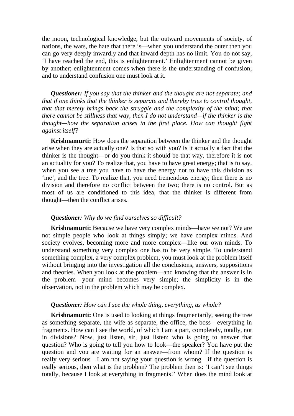the moon, technological knowledge, but the outward movements of society, of nations, the wars, the hate that there is—when you understand the outer then you can go very deeply inwardly and that inward depth has no limit. You do not say, 'I have reached the end, this is enlightenment.' Enlightenment cannot be given by another; enlightenment comes when there is the understanding of confusion; and to understand confusion one must look at it.

*Questioner: If you say that the thinker and the thought are not separate; and that if one thinks that the thinker is separate and thereby tries to control thought, that that merely brings back the struggle and the complexity of the mind; that there cannot be stillness that way, then I do not understand—if the thinker is the thought—how the separation arises in the first place. How can thought fight against itself?* 

**Krishnamurti:** How does the separation between the thinker and the thought arise when they are actually one? Is that so with you? Is it actually a fact that the thinker is the thought—or do you think it should be that way, therefore it is not an actuality for you? To realize that, you have to have great energy; that is to say, when you see a tree you have to have the energy not to have this division as 'me', and the tree. To realize that, you need tremendous energy; then there is no division and therefore no conflict between the two; there is no control. But as most of us are conditioned to this idea, that the thinker is different from thought—then the conflict arises.

#### *Questioner: Why do we find ourselves so difficult?*

**Krishnamurti:** Because we have very complex minds—have we not? We are not simple people who look at things simply; we have complex minds. And society evolves, becoming more and more complex—like our own minds. To understand something very complex one has to be very simple. To understand something complex, a very complex problem, you must look at the problem itself without bringing into the investigation all the conclusions, answers, suppositions and theories. When you look at the problem—and knowing that the answer is in the problem—your mind becomes very simple; the simplicity is in the observation, not in the problem which may be complex.

#### *Questioner: How can I see the whole thing, everything, as whole?*

**Krishnamurti:** One is used to looking at things fragmentarily, seeing the tree as something separate, the wife as separate, the office, the boss—everything in fragments. How can I see the world, of which I am a part, completely, totally, not in divisions? Now, just listen, sir, just listen: who is going to answer that question? Who is going to tell you how to look—the speaker? You have put the question and you are waiting for an answer—from whom? If the question is really very serious—I am not saying your question is wrong—if the question is really serious, then what is the problem? The problem then is: 'I can't see things totally, because I look at everything in fragments!' When does the mind look at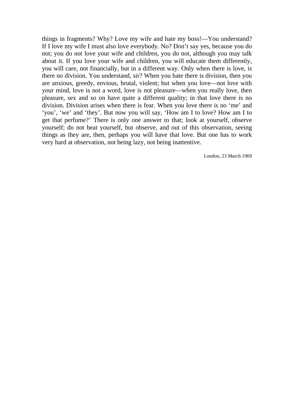things in fragments? Why? Love my wife and hate my boss!—You understand? If I love my wife I must also love everybody. No? Don't say yes, because you do not; you do not love your wife and children, you do not, although you may talk about it. If you love your wife and children, you will educate them differently, you will care, not financially, but in a different way. Only when there is love, is there no division. You understand, sir? When you hate there is division, then you are anxious, greedy, envious, brutal, violent; but when you love—not love with your mind, love is not a word, love is not pleasure—when you really love, then pleasure, sex and so on have quite a different quality; in that love there is no division. Division arises when there is fear. When you love there is no 'me' and 'you', 'we' and 'they'. But now you will say, 'How am I to love? How am I to get that perfume?' There is only one answer to that; look at yourself, observe yourself; do not beat yourself, but observe, and out of this observation, seeing things as they are, then, perhaps you will have that love. But one has to work very hard at observation, not being lazy, not being inattentive.

London, 23 March 1969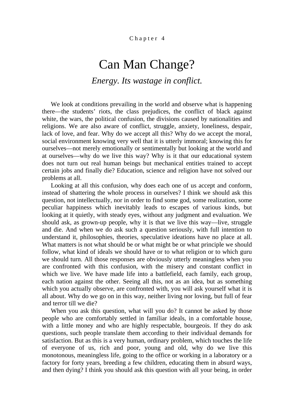# Can Man Change?

#### *Energy. Its wastage in conflict.*

We look at conditions prevailing in the world and observe what is happening there—the students' riots, the class prejudices, the conflict of black against white, the wars, the political confusion, the divisions caused by nationalities and religions. We are also aware of conflict, struggle, anxiety, loneliness, despair, lack of love, and fear. Why do we accept all this? Why do we accept the moral, social environment knowing very well that it is utterly immoral; knowing this for ourselves—not merely emotionally or sentimentally but looking at the world and at ourselves—why do we live this way? Why is it that our educational system does not turn out real human beings but mechanical entities trained to accept certain jobs and finally die? Education, science and religion have not solved our problems at all.

Looking at all this confusion, why does each one of us accept and conform, instead of shattering the whole process in ourselves? I think we should ask this question, not intellectually, nor in order to find some god, some realization, some peculiar happiness which inevitably leads to escapes of various kinds, but looking at it quietly, with steady eyes, without any judgment and evaluation. We should ask, as grown-up people, why it is that we live this way—live, struggle and die. And when we do ask such a question seriously, with full intention to understand it, philosophies, theories, speculative ideations have no place at all. What matters is not what should be or what might be or what principle we should follow, what kind of ideals we should have or to what religion or to which guru we should turn. All those responses are obviously utterly meaningless when you are confronted with this confusion, with the misery and constant conflict in which we live. We have made life into a battlefield, each family, each group, each nation against the other. Seeing all this, not as an idea, but as something which you actually observe, are confronted with, you will ask yourself what it is all about. Why do we go on in this way, neither living nor loving, but full of fear and terror till we die?

When you ask this question, what will you do? It cannot be asked by those people who are comfortably settled in familiar ideals, in a comfortable house, with a little money and who are highly respectable, bourgeois. If they do ask questions, such people translate them according to their individual demands for satisfaction. But as this is a very human, ordinary problem, which touches the life of everyone of us, rich and poor, young and old, why do we live this monotonous, meaningless life, going to the office or working in a laboratory or a factory for forty years, breeding a few children, educating them in absurd ways, and then dying? I think you should ask this question with all your being, in order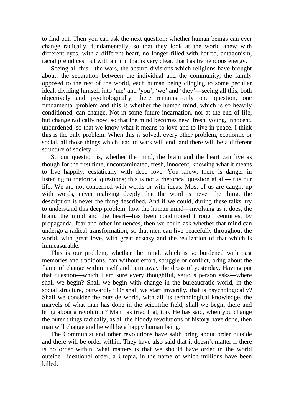to find out. Then you can ask the next question: whether human beings can ever change radically, fundamentally, so that they look at the world anew with different eyes, with a different heart, no longer filled with hatred, antagonism, racial prejudices, but with a mind that is very clear, that has tremendous energy.

Seeing all this—the wars, the absurd divisions which religions have brought about, the separation between the individual and the community, the family opposed to the rest of the world, each human being clinging to some peculiar ideal, dividing himself into 'me' and 'you', 'we' and 'they'—seeing all this, both objectively and psychologically, there remains only one question, one fundamental problem and this is whether the human mind, which is so heavily conditioned, can change. Not in some future incarnation, nor at the end of life, but change radically now, so that the mind becomes new, fresh, young, innocent, unburdened, so that we know what it means to love and to live in peace. I think this is the only problem. When this is solved, every other problem, economic or social, all those things which lead to wars will end, and there will be a different structure of society.

So our question is, whether the mind, the brain and the heart can live as though for the first time, uncontaminated, fresh, innocent, knowing what it means to live happily, ecstatically with deep love. You know, there is danger in listening to rhetorical questions; this is not a rhetorical question at all—it is our life. We are not concerned with words or with ideas. Most of us are caught up with words, never realizing deeply that the word is never the thing, the description is never the thing described. And if we could, during these talks, try to understand this deep problem, how the human mind—involving as it does, the brain, the mind and the heart—has been conditioned through centuries, by propaganda, fear and other influences, then we could ask whether that mind can undergo a radical transformation; so that men can live peacefully throughout the world, with great love, with great ecstasy and the realization of that which is immeasurable.

This is our problem, whether the mind, which is so burdened with past memories and traditions, can without effort, struggle or conflict, bring about the flame of change within itself and burn away the dross of yesterday. Having put that question—which I am sure every thoughtful, serious person asks—where shall we begin? Shall we begin with change in the bureaucratic world, in the social structure, outwardly? Or shall we start inwardly, that is psychologically? Shall we consider the outside world, with all its technological knowledge, the marvels of what man has done in the scientific field, shall we begin there and bring about a revolution? Man has tried that, too. He has said, when you change the outer things radically, as all the bloody revolutions of history have done, then man will change and he will be a happy human being.

The Communist and other revolutions have said: bring about order outside and there will be order within. They have also said that it doesn't matter if there is no order within, what matters is that we should have order in the world outside—ideational order, a Utopia, in the name of which millions have been killed.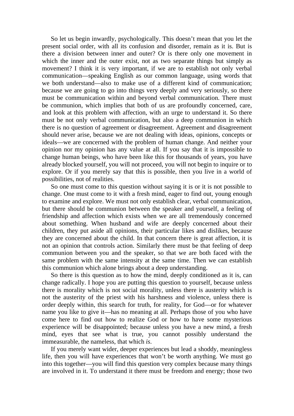So let us begin inwardly, psychologically. This doesn't mean that you let the present social order, with all its confusion and disorder, remain as it is. But is there a division between inner and outer? Or is there only one movement in which the inner and the outer exist, not as two separate things but simply as movement? I think it is very important, if we are to establish not only verbal communication—speaking English as our common language, using words that we both understand—also to make use of a different kind of communication; because we are going to go into things very deeply and very seriously, so there must be communication within and beyond verbal communication. There must be communion, which implies that both of us are profoundly concerned, care, and look at this problem with affection, with an urge to understand it. So there must be not only verbal communication, but also a deep communion in which there is no question of agreement or disagreement. Agreement and disagreement should never arise, because we are not dealing with ideas, opinions, concepts or ideals—we are concerned with the problem of human change. And neither your opinion nor my opinion has any value at all. If you say that it is impossible to change human beings, who have been like this for thousands of years, you have already blocked yourself, you will not proceed, you will not begin to inquire or to explore. Or if you merely say that this is possible, then you live in a world of possibilities, not of realities.

So one must come to this question without saying it is or it is not possible to change. One must come to it with a fresh mind, eager to find out, young enough to examine and explore. We must not only establish clear, verbal communication, but there should be communion between the speaker and yourself, a feeling of friendship and affection which exists when we are all tremendously concerned about something. When husband and wife are deeply concerned about their children, they put aside all opinions, their particular likes and dislikes, because they are concerned about the child. In that concern there is great affection, it is not an opinion that controls action. Similarly there must be that feeling of deep communion between you and the speaker, so that we are both faced with the same problem with the same intensity at the same time. Then we can establish this communion which alone brings about a deep understanding.

So there is this question as to how the mind, deeply conditioned as it is, can change radically. I hope you are putting this question to yourself, because unless there is morality which is not social morality, unless there is austerity which is not the austerity of the priest with his harshness and violence, unless there is order deeply within, this search for truth, for reality, for God—or for whatever name you like to give it—has no meaning at all. Perhaps those of you who have come here to find out how to realize God or how to have some mysterious experience will be disappointed; because unless you have a new mind, a fresh mind, eyes that see what is true, you cannot possibly understand the immeasurable, the nameless, that which *is*.

If you merely want wider, deeper experiences but lead a shoddy, meaningless life, then you will have experiences that won't be worth anything. We must go into this together—you will find this question very complex because many things are involved in it. To understand it there must be freedom and energy; those two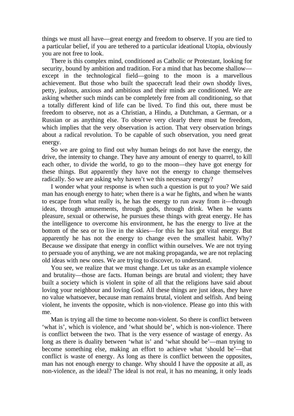things we must all have—great energy and freedom to observe. If you are tied to a particular belief, if you are tethered to a particular ideational Utopia, obviously you are not free to look.

There is this complex mind, conditioned as Catholic or Protestant, looking for security, bound by ambition and tradition. For a mind that has become shallow except in the technological field—going to the moon is a marvellous achievement. But those who built the spacecraft lead their own shoddy lives, petty, jealous, anxious and ambitious and their minds are conditioned. We are asking whether such minds can be completely free from all conditioning, so that a totally different kind of life can be lived. To find this out, there must be freedom to observe, not as a Christian, a Hindu, a Dutchman, a German, or a Russian or as anything else. To observe very clearly there must be freedom, which implies that the very observation is action. That very observation brings about a radical revolution. To be capable of such observation, you need great energy.

So we are going to find out why human beings do not have the energy, the drive, the intensity to change. They have any amount of energy to quarrel, to kill each other, to divide the world, to go to the moon—they have got energy for these things. But apparently they have not the energy to change themselves radically. So we are asking why haven't we this necessary energy?

I wonder what your response is when such a question is put to you? We said man has enough energy to hate; when there is a war he fights, and when he wants to escape from what really is, he has the energy to run away from it—through ideas, through amusements, through gods, through drink. When he wants pleasure, sexual or otherwise, he pursues these things with great energy. He has the intelligence to overcome his environment, he has the energy to live at the bottom of the sea or to live in the skies—for this he has got vital energy. But apparently he has not the energy to change even the smallest habit. Why? Because we dissipate that energy in conflict within ourselves. We are not trying to persuade you of anything, we are not making propaganda, we are not replacing old ideas with new ones. We are trying to discover, to understand.

You see, we realize that we must change. Let us take as an example violence and brutality—those are facts. Human beings are brutal and violent; they have built a society which is violent in spite of all that the religions have said about loving your neighbour and loving God. All these things are just ideas, they have no value whatsoever, because man remains brutal, violent and selfish. And being violent, he invents the opposite, which is non-violence. Please go into this with me.

Man is trying all the time to become non-violent. So there is conflict between 'what is', which is violence, and 'what should be', which is non-violence. There is conflict between the two. That is the very essence of wastage of energy. As long as there is duality between 'what is' and 'what should be'—man trying to become something else, making an effort to achieve what 'should be'—that conflict is waste of energy. As long as there is conflict between the opposites, man has not enough energy to change. Why should I have the opposite at all, as non-violence, as the ideal? The ideal is not real, it has no meaning, it only leads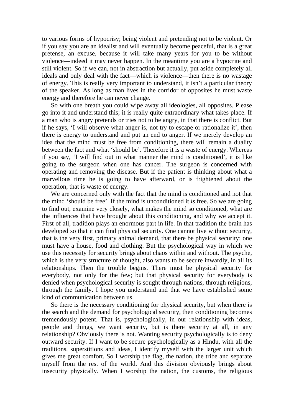to various forms of hypocrisy; being violent and pretending not to be violent. Or if you say you are an idealist and will eventually become peaceful, that is a great pretense, an excuse, because it will take many years for you to be without violence—indeed it may never happen. In the meantime you are a hypocrite and still violent. So if we can, not in abstraction but actually, put aside completely all ideals and only deal with the fact—which is violence—then there is no wastage of energy. This is really very important to understand, it isn't a particular theory of the speaker. As long as man lives in the corridor of opposites he must waste energy and therefore he can never change.

So with one breath you could wipe away all ideologies, all opposites. Please go into it and understand this; it is really quite extraordinary what takes place. If a man who is angry pretends or tries not to be angry, in that there is conflict. But if he says, 'I will observe what anger is, not try to escape or rationalize it', then there is energy to understand and put an end to anger. If we merely develop an idea that the mind must be free from conditioning, there will remain a duality between the fact and what 'should be'. Therefore it is a waste of energy. Whereas if you say, 'I will find out in what manner the mind is conditioned', it is like going to the surgeon when one has cancer. The surgeon is concerned with operating and removing the disease. But if the patient is thinking about what a marvellous time he is going to have afterward, or is frightened about the operation, that is waste of energy.

We are concerned only with the fact that the mind is conditioned and not that the mind 'should be free'. If the mind is unconditioned it *is* free. So we are going to find out, examine very closely, what makes the mind so conditioned, what are the influences that have brought about this conditioning, and why we accept it. First of all, tradition plays an enormous part in life. In that tradition the brain has developed so that it can find physical security. One cannot live without security, that is the very first, primary animal demand, that there be physical security; one must have a house, food and clothing. But the psychological way in which we use this necessity for security brings about chaos within and without. The psyche, which is the very structure of thought, also wants to be secure inwardly, in all its relationships. Then the trouble begins. There must be physical security for everybody, not only for the few; but that physical security for everybody is denied when psychological security is sought through nations, through religions, through the family. I hope you understand and that we have established some kind of communication between us.

So there is the necessary conditioning for physical security, but when there is the search and the demand for psychological security, then conditioning becomes tremendously potent. That is, psychologically, in our relationship with ideas, people and things, we want security, but is there security at all, in any relationship? Obviously there is not. Wanting security psychologically is to deny outward security. If I want to be secure psychologically as a Hindu, with all the traditions, superstitions and ideas, I identify myself with the larger unit which gives me great comfort. So I worship the flag, the nation, the tribe and separate myself from the rest of the world. And this division obviously brings about insecurity physically. When I worship the nation, the customs, the religious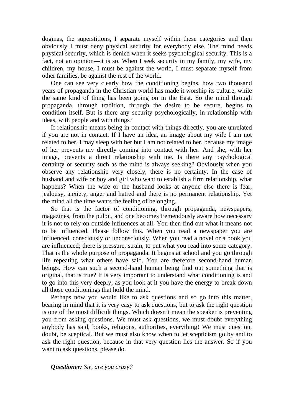dogmas, the superstitions, I separate myself within these categories and then obviously I must deny physical security for everybody else. The mind needs physical security, which is denied when it seeks psychological security. This is a fact, not an opinion—it is so. When I seek security in my family, my wife, my children, my house, I must be against the world, I must separate myself from other families, be against the rest of the world.

One can see very clearly how the conditioning begins, how two thousand years of propaganda in the Christian world has made it worship its culture, while the same kind of thing has been going on in the East. So the mind through propaganda, through tradition, through the desire to be secure, begins to condition itself. But is there any security psychologically, in relationship with ideas, with people and with things?

If relationship means being in contact with things directly, you are unrelated if you are not in contact. If I have an idea, an image about my wife I am not related to her. I may sleep with her but I am not related to her, because my image of her prevents my directly coming into contact with her. And she, with her image, prevents a direct relationship with me. Is there any psychological certainty or security such as the mind is always seeking? Obviously when you observe any relationship very closely, there is no certainty. In the case of husband and wife or boy and girl who want to establish a firm relationship, what happens? When the wife or the husband looks at anyone else there is fear, jealousy, anxiety, anger and hatred and there is no permanent relationship. Yet the mind all the time wants the feeling of belonging.

So that is the factor of conditioning, through propaganda, newspapers, magazines, from the pulpit, and one becomes tremendously aware how necessary it is not to rely on outside influences at all. You then find out what it means not to be influenced. Please follow this. When you read a newspaper you are influenced, consciously or unconsciously. When you read a novel or a book you are influenced; there is pressure, strain, to put what you read into some category. That is the whole purpose of propaganda. It begins at school and you go through life repeating what others have said. You are therefore second-hand human beings. How can such a second-hand human being find out something that is original, that is true? It is very important to understand what conditioning is and to go into this very deeply; as you look at it you have the energy to break down all those conditionings that hold the mind.

Perhaps now you would like to ask questions and so go into this matter, bearing in mind that it is very easy to ask questions, but to ask the right question is one of the most difficult things. Which doesn't mean the speaker is preventing you from asking questions. We must ask questions, we must doubt everything anybody has said, books, religions, authorities, everything! We must question, doubt, be sceptical. But we must also know when to let scepticism go by and to ask the right question, because in that very question lies the answer. So if you want to ask questions, please do.

*Questioner: Sir, are you crazy?*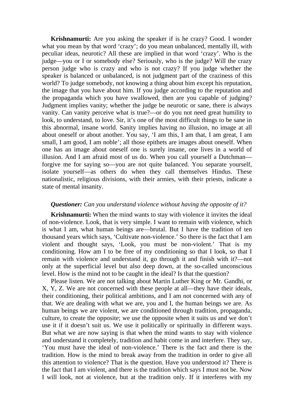**Krishnamurti:** Are you asking the speaker if is he crazy? Good. I wonder what you mean by that word 'crazy'; do you mean unbalanced, mentally ill, with peculiar ideas, neurotic? All these are implied in that word 'crazy'. Who is the judge—you or I or somebody else? Seriously, who is the judge? Will the crazy person judge who is crazy and who is not crazy? If you judge whether the speaker is balanced or unbalanced, is not judgment part of the craziness of this world? To judge somebody, not knowing a thing about him except his reputation, the image that you have about him. If you judge according to the reputation and the propaganda which you have swallowed, then are you capable of judging? Judgment implies vanity; whether the judge be neurotic or sane, there is always vanity. Can vanity perceive what is true?—or do you not need great humility to look, to understand, to love. Sir, it's one of the most difficult things to be sane in this abnormal, insane world. Sanity implies having no illusion, no image at all about oneself or about another. You say, 'I am this, I am that, I am great, I am small, I am good, I am noble'; all those epithets are images about oneself. When one has an image about oneself one is surely insane, one lives in a world of illusion. And I am afraid most of us do. When you call yourself a Dutchman forgive me for saying so—you are not quite balanced. You separate yourself, isolate yourself—as others do when they call themselves Hindus. These nationalistic, religious divisions, with their armies, with their priests, indicate a state of mental insanity.

## *Questioner: Can you understand violence without having the opposite of it?*

**Krishnamurti:** When the mind wants to stay with violence it invites the ideal of non-violence. Look, that is very simple. I want to remain with violence, which is what I am, what human beings are—brutal. But I have the tradition of ten thousand years which says, 'Cultivate non-violence.' So there is the fact that I am violent and thought says, 'Look, you must be non-violent.' That is my conditioning. How am I to be free of my conditioning so that I look, so that I remain with violence and understand it, go through it and finish with it?—not only at the superficial level but also deep down, at the so-called unconscious level. How is the mind not to be caught in the ideal? Is that the question?

Please listen. We are not talking about Martin Luther King or Mr. Gandhi, or X, Y, Z. We are not concerned with these people at all—they have their ideals, their conditioning, their political ambitions, and I am not concerned with any of that. We are dealing with what we are, you and I, the human beings we are. As human beings we are violent, we are conditioned through tradition, propaganda, culture, to create the opposite; we use the opposite when it suits us and we don't use it if it doesn't suit us. We use it politically or spiritually in different ways. But what we are now saying is that when the mind wants to stay with violence and understand it completely, tradition and habit come in and interfere. They say, 'You must have the ideal of non-violence.' There is the fact and there is the tradition. How is the mind to break away from the tradition in order to give all this attention to violence? That is the question. Have you understood it? There is the fact that I am violent, and there is the tradition which says I must not be. Now I will look, not at violence, but at the tradition only. If it interferes with my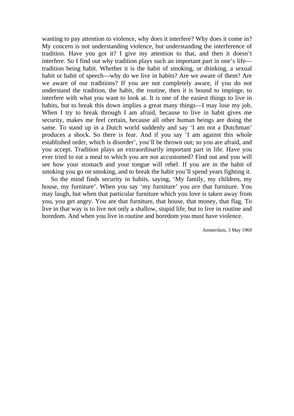wanting to pay attention to violence, why does it interfere? Why does it come in? My concern is not understanding violence, but understanding the interference of tradition. Have you got it? I give my attention to that, and then it doesn't interfere. So I find out why tradition plays such an important part in one's life tradition being habit. Whether it is the habit of smoking, or drinking, a sexual habit or habit of speech—why do we live in habits? Are we aware of them? Are we aware of our traditions? If you are not completely aware, if you do not understand the tradition, the habit, the routine, then it is bound to impinge, to interfere with what you want to look at. It is one of the easiest things to live in habits, but to break this down implies a great many things—I may lose my job. When I try to break through I am afraid, because to live in habit gives me security, makes me feel certain, because all other human beings are doing the same. To stand up in a Dutch world suddenly and say 'I am not a Dutchman' produces a shock. So there is fear. And if you say 'I am against this whole established order, which is disorder', you'll be thrown out; so you are afraid, and you accept. Tradition plays an extraordinarily important part in life. Have you ever tried to eat a meal to which you are not accustomed? Find out and you will see how your stomach and your tongue will rebel. If you are in the habit of smoking you go on smoking, and to break the habit you'll spend years fighting it.

So the mind finds security in habits, saying, 'My family, my children, my house, my furniture'. When you say 'my furniture' you *are* that furniture. You may laugh, but when that particular furniture which you love is taken away from you, you get angry. You are that furniture, that house, that money, that flag. To live in that way is to live not only a shallow, stupid life, but to live in routine and boredom. And when you live in routine and boredom you must have violence.

Amsterdam, 3 May 1969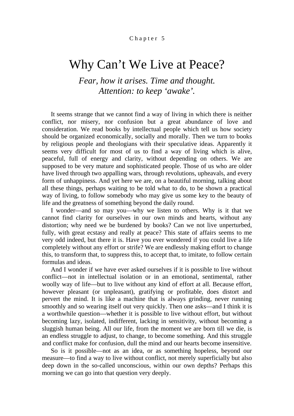### Chapter 5

# Why Can't We Live at Peace?

# *Fear, how it arises. Time and thought. Attention: to keep 'awake'.*

It seems strange that we cannot find a way of living in which there is neither conflict, nor misery, nor confusion but a great abundance of love and consideration. We read books by intellectual people which tell us how society should be organized economically, socially and morally. Then we turn to books by religious people and theologians with their speculative ideas. Apparently it seems very difficult for most of us to find a way of living which is alive, peaceful, full of energy and clarity, without depending on others. We are supposed to be very mature and sophisticated people. Those of us who are older have lived through two appalling wars, through revolutions, upheavals, and every form of unhappiness. And yet here we are, on a beautiful morning, talking about all these things, perhaps waiting to be told what to do, to be shown a practical way of living, to follow somebody who may give us some key to the beauty of life and the greatness of something beyond the daily round.

I wonder—and so may you—why we listen to others. Why is it that we cannot find clarity for ourselves in our own minds and hearts, without any distortion; why need we be burdened by books? Can we not live unperturbed, fully, with great ecstasy and really at peace? This state of affairs seems to me very odd indeed, but there it is. Have you ever wondered if you could live a life completely without any effort or strife? We are endlessly making effort to change this, to transform that, to suppress this, to accept that, to imitate, to follow certain formulas and ideas.

And I wonder if we have ever asked ourselves if it is possible to live without conflict—not in intellectual isolation or in an emotional, sentimental, rather woolly way of life—but to live without any kind of effort at all. Because effort, however pleasant (or unpleasant), gratifying or profitable, does distort and pervert the mind. It is like a machine that is always grinding, never running smoothly and so wearing itself out very quickly. Then one asks—and I think it is a worthwhile question—whether it is possible to live without effort, but without becoming lazy, isolated, indifferent, lacking in sensitivity, without becoming a sluggish human being. All our life, from the moment we are born till we die, is an endless struggle to adjust, to change, to become something. And this struggle and conflict make for confusion, dull the mind and our hearts become insensitive.

So is it possible—not as an idea, or as something hopeless, beyond our measure—to find a way to live without conflict, not merely superficially but also deep down in the so-called unconscious, within our own depths? Perhaps this morning we can go into that question very deeply.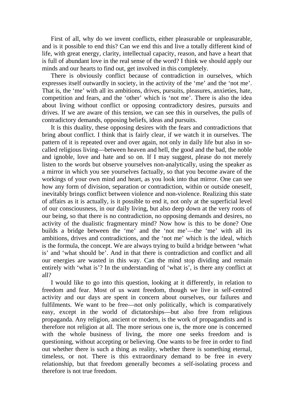First of all, why do we invent conflicts, either pleasurable or unpleasurable, and is it possible to end this? Can we end this and live a totally different kind of life, with great energy, clarity, intellectual capacity, reason, and have a heart that is full of abundant love in the real sense of the word? I think we should apply our minds and our hearts to find out, get involved in this completely.

There is obviously conflict because of contradiction in ourselves, which expresses itself outwardly in society, in the activity of the 'me' and the 'not me'. That is, the 'me' with all its ambitions, drives, pursuits, pleasures, anxieties, hate, competition and fears, and the 'other' which is 'not me'. There is also the idea about living without conflict or opposing contradictory desires, pursuits and drives. If we are aware of this tension, we can see this in ourselves, the pulls of contradictory demands, opposing beliefs, ideas and pursuits.

It is this duality, these opposing desires with the fears and contradictions that bring about conflict. I think that is fairly clear, if we watch it in ourselves. The pattern of it is repeated over and over again, not only in daily life but also in socalled religious living—between heaven and hell, the good and the bad, the noble and ignoble, love and hate and so on. If I may suggest, please do not merely listen to the words but observe yourselves non-analytically, using the speaker as a mirror in which you see yourselves factually, so that you become aware of the workings of your own mind and heart, as you look into that mirror. One can see how any form of division, separation or contradiction, within or outside oneself, inevitably brings conflict between violence and non-violence. Realizing this state of affairs as it is actually, is it possible to end it, not only at the superficial level of our consciousness, in our daily living, but also deep down at the very roots of our being, so that there is no contradiction, no opposing demands and desires, no activity of the dualistic fragmentary mind? Now how is this to be done? One builds a bridge between the 'me' and the 'not me'—the 'me' with all its ambitions, drives and contradictions, and the 'not me' which is the ideal, which is the formula, the concept. We are always trying to build a bridge between 'what is' and 'what should be'. And in that there is contradiction and conflict and all our energies are wasted in this way. Can the mind stop dividing and remain entirely with 'what is'? In the understanding of 'what is', is there any conflict at all?

I would like to go into this question, looking at it differently, in relation to freedom and fear. Most of us want freedom, though we live in self-centred activity and our days are spent in concern about ourselves, our failures and fulfilments. We want to be free—not only politically, which is comparatively easy, except in the world of dictatorships—but also free from religious propaganda. Any religion, ancient or modern, is the work of propagandists and is therefore not religion at all. The more serious one is, the more one is concerned with the whole business of living, the more one seeks freedom and is questioning, without accepting or believing. One wants to be free in order to find out whether there is such a thing as reality, whether there is something eternal, timeless, or not. There is this extraordinary demand to be free in every relationship, but that freedom generally becomes a self-isolating process and therefore is not true freedom.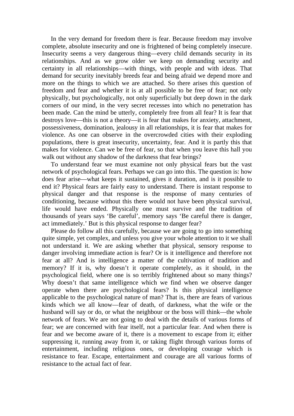In the very demand for freedom there is fear. Because freedom may involve complete, absolute insecurity and one is frightened of being completely insecure. Insecurity seems a very dangerous thing—every child demands security in its relationships. And as we grow older we keep on demanding security and certainty in all relationships—with things, with people and with ideas. That demand for security inevitably breeds fear and being afraid we depend more and more on the things to which we are attached. So there arises this question of freedom and fear and whether it is at all possible to be free of fear; not only physically, but psychologically, not only superficially but deep down in the dark corners of our mind, in the very secret recesses into which no penetration has been made. Can the mind be utterly, completely free from all fear? It is fear that destroys love—this is not a theory—it is fear that makes for anxiety, attachment, possessiveness, domination, jealousy in all relationships, it is fear that makes for violence. As one can observe in the overcrowded cities with their exploding populations, there is great insecurity, uncertainty, fear. And it is partly this that makes for violence. Can we be free of fear, so that when you leave this hall you walk out without any shadow of the darkness that fear brings?

To understand fear we must examine not only physical fears but the vast network of psychological fears. Perhaps we can go into this. The question is: how does fear arise—what keeps it sustained, gives it duration, and is it possible to end it? Physical fears are fairly easy to understand. There is instant response to physical danger and that response is the response of many centuries of conditioning, because without this there would not have been physical survival, life would have ended. Physically one must survive and the tradition of thousands of years says 'Be careful', memory says 'Be careful there is danger, act immediately.' But is this physical response to danger fear?

Please do follow all this carefully, because we are going to go into something quite simple, yet complex, and unless you give your whole attention to it we shall not understand it. We are asking whether that physical, sensory response to danger involving immediate action is fear? Or is it intelligence and therefore not fear at all? And is intelligence a matter of the cultivation of tradition and memory? If it is, why doesn't it operate completely, as it should, in the psychological field, where one is so terribly frightened about so many things? Why doesn't that same intelligence which we find when we observe danger operate when there are psychological fears? Is this physical intelligence applicable to the psychological nature of man? That is, there are fears of various kinds which we all know—fear of death, of darkness, what the wife or the husband will say or do, or what the neighbour or the boss will think—the whole network of fears. We are not going to deal with the details of various forms of fear; we are concerned with fear itself, not a particular fear. And when there is fear and we become aware of it, there is a movement to escape from it; either suppressing it, running away from it, or taking flight through various forms of entertainment, including religious ones, or developing courage which is resistance to fear. Escape, entertainment and courage are all various forms of resistance to the actual fact of fear.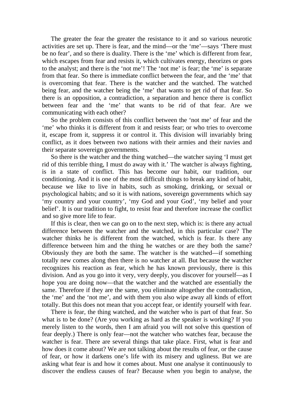The greater the fear the greater the resistance to it and so various neurotic activities are set up. There is fear, and the mind—or the 'me'—says 'There must be no fear', and so there is duality. There is the 'me' which is different from fear, which escapes from fear and resists it, which cultivates energy, theorizes or goes to the analyst; and there is the 'not me'! The 'not me' is fear; the 'me' is separate from that fear. So there is immediate conflict between the fear, and the 'me' that is overcoming that fear. There is the watcher and the watched. The watched being fear, and the watcher being the 'me' that wants to get rid of that fear. So there is an opposition, a contradiction, a separation and hence there is conflict between fear and the 'me' that wants to be rid of that fear. Are we communicating with each other?

So the problem consists of this conflict between the 'not me' of fear and the 'me' who thinks it is different from it and resists fear; or who tries to overcome it, escape from it, suppress it or control it. This division will invariably bring conflict, as it does between two nations with their armies and their navies and their separate sovereign governments.

So there is the watcher and the thing watched—the watcher saying 'I must get rid of this terrible thing, I must do away with it.' The watcher is always fighting, is in a state of conflict. This has become our habit, our tradition, our conditioning. And it is one of the most difficult things to break any kind of habit, because we like to live in habits, such as smoking, drinking, or sexual or psychological habits; and so it is with nations, sovereign governments which say 'my country and your country', 'my God and your God', 'my belief and your belief'. It is our tradition to fight, to resist fear and therefore increase the conflict and so give more life to fear.

If this is clear, then we can go on to the next step, which is: is there any actual difference between the watcher and the watched, in this particular case? The watcher thinks he is different from the watched, which is fear. Is there any difference between him and the thing he watches or are they both the same? Obviously they are both the same. The watcher is the watched—if something totally new comes along then there is no watcher at all. But because the watcher recognizes his reaction as fear, which he has known previously, there is this division. And as you go into it very, very deeply, you discover for yourself—as I hope you are doing now—that the watcher and the watched are essentially the same. Therefore if they are the same, you eliminate altogether the contradiction, the 'me' and the 'not me', and with them you also wipe away all kinds of effort totally. But this does not mean that you accept fear, or identify yourself with fear.

There is fear, the thing watched, and the watcher who is part of that fear. So what is to be done? (Are you working as hard as the speaker is working? If you merely listen to the words, then I am afraid you will not solve this question of fear deeply.) There is only fear—not the watcher who watches fear, because the watcher is fear. There are several things that take place. First, what is fear and how does it come about? We are not talking about the results of fear, or the cause of fear, or how it darkens one's life with its misery and ugliness. But we are asking what fear is and how it comes about. Must one analyse it continuously to discover the endless causes of fear? Because when you begin to analyse, the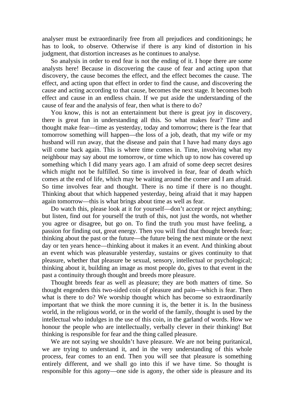analyser must be extraordinarily free from all prejudices and conditionings; he has to look, to observe. Otherwise if there is any kind of distortion in his judgment, that distortion increases as he continues to analyse.

So analysis in order to end fear is not the ending of it. I hope there are some analysts here! Because in discovering the cause of fear and acting upon that discovery, the cause becomes the effect, and the effect becomes the cause. The effect, and acting upon that effect in order to find the cause, and discovering the cause and acting according to that cause, becomes the next stage. It becomes both effect and cause in an endless chain. If we put aside the understanding of the cause of fear and the analysis of fear, then what is there to do?

You know, this is not an entertainment but there is great joy in discovery, there is great fun in understanding all this. So what makes fear? Time and thought make fear—time as yesterday, today and tomorrow; there is the fear that tomorrow something will happen—the loss of a job, death, that my wife or my husband will run away, that the disease and pain that I have had many days ago will come back again. This is where time comes in. Time, involving what my neighbour may say about me tomorrow, or time which up to now has covered up something which I did many years ago. I am afraid of some deep secret desires which might not be fulfilled. So time is involved in fear, fear of death which comes at the end of life, which may be waiting around the corner and I am afraid. So time involves fear and thought. There is no time if there is no thought. Thinking about that which happened yesterday, being afraid that it may happen again tomorrow—this is what brings about time as well as fear.

Do watch this, please look at it for yourself—don't accept or reject anything; but listen, find out for yourself the truth of this, not just the words, not whether you agree or disagree, but go on. To find the truth you must have feeling, a passion for finding out, great energy. Then you will find that thought breeds fear; thinking about the past or the future—the future being the next minute or the next day or ten years hence—thinking about it makes it an event. And thinking about an event which was pleasurable yesterday, sustains or gives continuity to that pleasure, whether that pleasure be sexual, sensory, intellectual or psychological; thinking about it, building an image as most people do, gives to that event in the past a continuity through thought and breeds more pleasure.

Thought breeds fear as well as pleasure; they are both matters of time. So thought engenders this two-sided coin of pleasure and pain—which is fear. Then what is there to do? We worship thought which has become so extraordinarily important that we think the more cunning it is, the better it is. In the business world, in the religious world, or in the world of the family, thought is used by the intellectual who indulges in the use of this coin, in the garland of words. How we honour the people who are intellectually, verbally clever in their thinking! But thinking is responsible for fear and the thing called pleasure.

We are not saying we shouldn't have pleasure. We are not being puritanical, we are trying to understand it, and in the very understanding of this whole process, fear comes to an end. Then you will see that pleasure is something entirely different, and we shall go into this if we have time. So thought is responsible for this agony—one side is agony, the other side is pleasure and its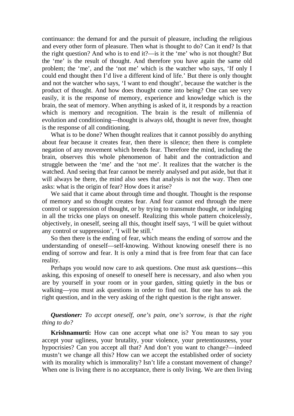continuance: the demand for and the pursuit of pleasure, including the religious and every other form of pleasure. Then what is thought to do? Can it end? Is that the right question? And who is to end it?—is it the 'me' who is not thought? But the 'me' is the result of thought. And therefore you have again the same old problem; the 'me', and the 'not me' which is the watcher who says, 'If only I could end thought then I'd live a different kind of life.' But there is only thought and not the watcher who says, 'I want to end thought', because the watcher is the product of thought. And how does thought come into being? One can see very easily, it is the response of memory, experience and knowledge which is the brain, the seat of memory. When anything is asked of it, it responds by a reaction which is memory and recognition. The brain is the result of millennia of evolution and conditioning—thought is always old, thought is never free, thought is the response of all conditioning.

What is to be done? When thought realizes that it cannot possibly do anything about fear because it creates fear, then there is silence; then there is complete negation of any movement which breeds fear. Therefore the mind, including the brain, observes this whole phenomenon of habit and the contradiction and struggle between the 'me' and the 'not me'. It realizes that the watcher is the watched. And seeing that fear cannot be merely analysed and put aside, but that it will always be there, the mind also sees that analysis is not the way. Then one asks: what is the origin of fear? How does it arise?

We said that it came about through time and thought. Thought is the response of memory and so thought creates fear. And fear cannot end through the mere control or suppression of thought, or by trying to transmute thought, or indulging in all the tricks one plays on oneself. Realizing this whole pattern choicelessly, objectively, in oneself, seeing all this, thought itself says, 'I will be quiet without any control or suppression', 'I will be still.'

So then there is the ending of fear, which means the ending of sorrow and the understanding of oneself—self-knowing. Without knowing oneself there is no ending of sorrow and fear. It is only a mind that is free from fear that can face reality.

Perhaps you would now care to ask questions. One must ask questions—this asking, this exposing of oneself to oneself here is necessary, and also when you are by yourself in your room or in your garden, sitting quietly in the bus or walking—you must ask questions in order to find out. But one has to ask the right question, and in the very asking of the right question is the right answer.

*Questioner: To accept oneself, one's pain, one's sorrow, is that the right thing to do?* 

**Krishnamurti:** How can one accept what one is? You mean to say you accept your ugliness, your brutality, your violence, your pretentiousness, your hypocrisies? Can you accept all that? And don't you want to change?—indeed mustn't we change all this? How can we accept the established order of society with its morality which is immorality? Isn't life a constant movement of change? When one is living there is no acceptance, there is only living. We are then living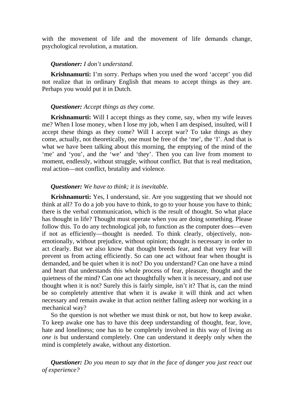with the movement of life and the movement of life demands change, psychological revolution, a mutation.

# *Questioner: I don't understand.*

**Krishnamurti:** I'm sorry. Perhaps when you used the word 'accept' you did not realize that in ordinary English that means to accept things as they are. Perhaps you would put it in Dutch.

### *Questioner: Accept things as they come.*

**Krishnamurti:** Will I accept things as they come, say, when my wife leaves me? When I lose money, when I lose my job, when I am despised, insulted, will I accept these things as they come? Will I accept war? To take things as they come, actually, not theoretically, one must be free of the 'me', the 'I'. And that is what we have been talking about this morning, the emptying of the mind of the 'me' and 'you', and the 'we' and 'they'. Then you can live from moment to moment, endlessly, without struggle, without conflict. But that is real meditation, real action—not conflict, brutality and violence.

#### *Questioner: We have to think; it is inevitable.*

**Krishnamurti:** Yes, I understand, sir. Are you suggesting that we should not think at all? To do a job you have to think, to go to your house you have to think; there is the verbal communication, which is the result of thought. So what place has thought in life? Thought must operate when you are doing something. Please follow this. To do any technological job, to function as the computer does—even if not as efficiently—thought is needed. To think clearly, objectively, nonemotionally, without prejudice, without opinion; thought is necessary in order to act clearly. But we also know that thought breeds fear, and that very fear will prevent us from acting efficiently. So can one act without fear when thought is demanded, and be quiet when it is not? Do you understand? Can one have a mind and heart that understands this whole process of fear, pleasure, thought and the quietness of the mind? Can one act thoughtfully when it is necessary, and not use thought when it is not? Surely this is fairly simple, isn't it? That is, can the mind be so completely attentive that when it is awake it will think and act when necessary and remain awake in that action neither falling asleep nor working in a mechanical way?

So the question is not whether we must think or not, but how to keep awake. To keep awake one has to have this deep understanding of thought, fear, love, hate and loneliness; one has to be completely involved in this way of living *as one is* but understand completely. One can understand it deeply only when the mind is completely awake, without any distortion.

*Questioner: Do you mean to say that in the face of danger you just react out of experience?*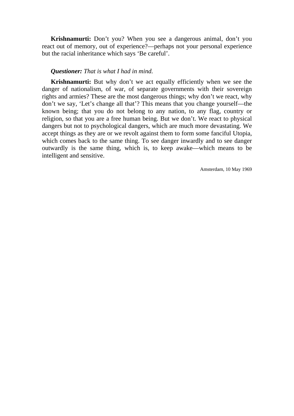**Krishnamurti:** Don't you? When you see a dangerous animal, don't you react out of memory, out of experience?—perhaps not your personal experience but the racial inheritance which says 'Be careful'.

# *Questioner: That is what I had in mind.*

**Krishnamurti:** But why don't we act equally efficiently when we see the danger of nationalism, of war, of separate governments with their sovereign rights and armies? These are the most dangerous things; why don't we react, why don't we say, 'Let's change all that'? This means that you change yourself—the known being; that you do not belong to any nation, to any flag, country or religion, so that you are a free human being. But we don't. We react to physical dangers but not to psychological dangers, which are much more devastating. We accept things as they are or we revolt against them to form some fanciful Utopia, which comes back to the same thing. To see danger inwardly and to see danger outwardly is the same thing, which is, to keep awake—which means to be intelligent and sensitive.

Amsterdam, 10 May 1969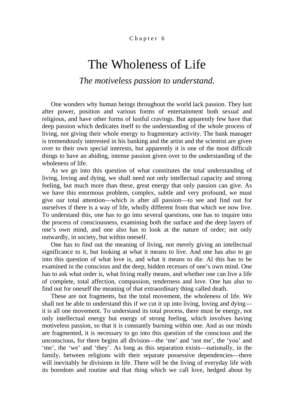# The Wholeness of Life

# *The motiveless passion to understand.*

One wonders why human beings throughout the world lack passion. They lust after power, position and various forms of entertainment both sexual and religious, and have other forms of lustful cravings. But apparently few have that deep passion which dedicates itself to the understanding of the whole process of living, not giving their whole energy to fragmentary activity. The bank manager is tremendously interested in his banking and the artist and the scientist are given over to their own special interests, but apparently it is one of the most difficult things to have an abiding, intense passion given over to the understanding of the wholeness of life.

As we go into this question of what constitutes the total understanding of living, loving and dying, we shall need not only intellectual capacity and strong feeling, but much more than these, great energy that only passion can give. As we have this enormous problem, complex, subtle and very profound, we must give our total attention—which is after all passion—to see and find out for ourselves if there is a way of life, wholly different from that which we now live. To understand this, one has to go into several questions, one has to inquire into the process of consciousness, examining both the surface and the deep layers of one's own mind, and one also has to look at the nature of order; not only outwardly, in society, but within oneself.

One has to find out the meaning of living, not merely giving an intellectual significance to it, but looking at what it means to live. And one has also to go into this question of what love is, and what it means to die. Al this has to be examined in the conscious and the deep, hidden recesses of one's own mind. One has to ask what order is, what living really means, and whether one can live a life of complete, total affection, compassion, tenderness and love. One has also to find out for oneself the meaning of that extraordinary thing called death.

These are not fragments, but the total movement, the wholeness of life. We shall not be able to understand this if we cut it up into living, loving and dying it is all one movement. To understand its total process, there must be energy, not only intellectual energy but energy of strong feeling, which involves having motiveless passion, so that it is constantly burning within one. And as our minds are fragmented, it is necessary to go into this question of the conscious and the unconscious, for there begins all division—the 'me' and 'not me', the 'you' and 'me', the 'we' and 'they'. As long as this separation exists—nationally, in the family, between religions with their separate possessive dependencies—there will inevitably be divisions in life. There will be the living of everyday life with its boredom and routine and that thing which we call love, hedged about by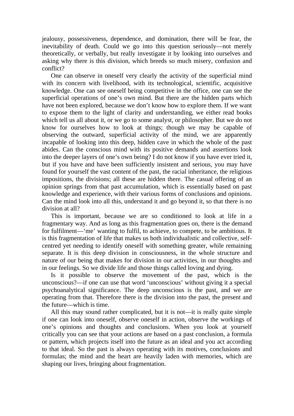jealousy, possessiveness, dependence, and domination, there will be fear, the inevitability of death. Could we go into this question seriously—not merely theoretically, or verbally, but really investigate it by looking into ourselves and asking why there is this division, which breeds so much misery, confusion and conflict?

One can observe in oneself very clearly the activity of the superficial mind with its concern with livelihood, with its technological, scientific, acquisitive knowledge. One can see oneself being competitive in the office, one can see the superficial operations of one's own mind. But there are the hidden parts which have not been explored, because we don't know how to explore them. If we want to expose them to the light of clarity and understanding, we either read books which tell us all about it, or we go to some analyst, or philosopher. But we do not know for ourselves how to look at things; though we may be capable of observing the outward, superficial activity of the mind, we are apparently incapable of looking into this deep, hidden cave in which the whole of the past abides. Can the conscious mind with its positive demands and assertions look into the deeper layers of one's own being? I do not know if you have ever tried it, but if you have and have been sufficiently insistent and serious, you may have found for yourself the vast content of the past, the racial inheritance, the religious impositions, the divisions; all these are hidden there. The casual offering of an opinion springs from that past accumulation, which is essentially based on past knowledge and experience, with their various forms of conclusions and opinions. Can the mind look into all this, understand it and go beyond it, so that there is no division at all?

This is important, because we are so conditioned to look at life in a fragmentary way. And as long as this fragmentation goes on, there is the demand for fulfilment—'me' wanting to fulfil, to achieve, to compete, to be ambitious. It is this fragmentation of life that makes us both individualistic and collective, selfcentred yet needing to identify oneself with something greater, while remaining separate. It is this deep division in consciousness, in the whole structure and nature of our being that makes for division in our activities, in our thoughts and in our feelings. So we divide life and those things called loving and dying.

Is it possible to observe the movement of the past, which is the unconscious?—if one can use that word 'unconscious' without giving it a special psychoanalytical significance. The deep unconscious is the past, and we are operating from that. Therefore there is the division into the past, the present and the future—which is time.

All this may sound rather complicated, but it is not—it is really quite simple if one can look into oneself, observe oneself in action, observe the workings of one's opinions and thoughts and conclusions. When you look at yourself critically you can see that your actions are based on a past conclusion, a formula or pattern, which projects itself into the future as an ideal and you act according to that ideal. So the past is always operating with its motives, conclusions and formulas; the mind and the heart are heavily laden with memories, which are shaping our lives, bringing about fragmentation.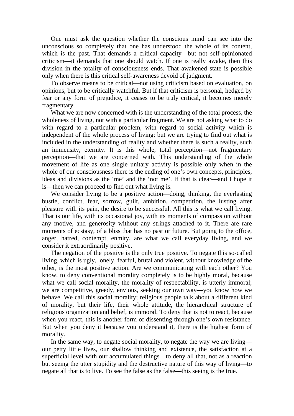One must ask the question whether the conscious mind can see into the unconscious so completely that one has understood the whole of its content, which is the past. That demands a critical capacity—but not self-opinionated criticism—it demands that one should watch. If one is really awake, then this division in the totality of consciousness ends. That awakened state is possible only when there is this critical self-awareness devoid of judgment.

To observe means to be critical—not using criticism based on evaluation, on opinions, but to be critically watchful. But if that criticism is personal, hedged by fear or any form of prejudice, it ceases to be truly critical, it becomes merely fragmentary.

What we are now concerned with is the understanding of the total process, the wholeness of living, not with a particular fragment. We are not asking what to do with regard to a particular problem, with regard to social activity which is independent of the whole process of living; but we are trying to find out what is included in the understanding of reality and whether there is such a reality, such an immensity, eternity. It is this whole, total perception—not fragmentary perception—that we are concerned with. This understanding of the whole movement of life as one single unitary activity is possible only when in the whole of our consciousness there is the ending of one's own concepts, principles, ideas and divisions as the 'me' and the 'not me'. If that is clear—and I hope it is—then we can proceed to find out what living is.

We consider living to be a positive action—doing, thinking, the everlasting bustle, conflict, fear, sorrow, guilt, ambition, competition, the lusting after pleasure with its pain, the desire to be successful. All this is what we call living. That is our life, with its occasional joy, with its moments of compassion without any motive, and generosity without any strings attached to it. There are rare moments of ecstasy, of a bliss that has no past or future. But going to the office, anger, hatred, contempt, enmity, are what we call everyday living, and we consider it extraordinarily positive.

The negation of the positive is the only true positive. To negate this so-called living, which is ugly, lonely, fearful, brutal and violent, without knowledge of the other, is the most positive action. Are we communicating with each other? You know, to deny conventional morality completely is to be highly moral, because what we call social morality, the morality of respectability, is utterly immoral; we are competitive, greedy, envious, seeking our own way—you know how we behave. We call this social morality; religious people talk about a different kind of morality, but their life, their whole attitude, the hierarchical structure of religious organization and belief, is immoral. To deny that is not to react, because when you react, this is another form of dissenting through one's own resistance. But when you deny it because you understand it, there is the highest form of morality.

In the same way, to negate social morality, to negate the way we are living our petty little lives, our shallow thinking and existence, the satisfaction at a superficial level with our accumulated things—to deny all that, not as a reaction but seeing the utter stupidity and the destructive nature of this way of living—to negate all that is to live. To see the false as the false—this seeing is the true.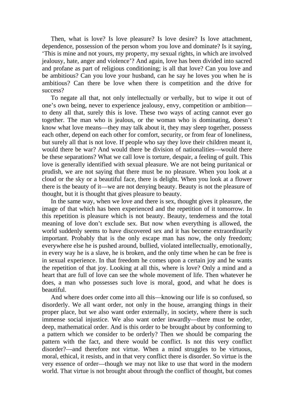Then, what is love? Is love pleasure? Is love desire? Is love attachment, dependence, possession of the person whom you love and dominate? Is it saying, 'This is mine and not yours, my property, my sexual rights, in which are involved jealousy, hate, anger and violence'? And again, love has been divided into sacred and profane as part of religious conditioning; is all that love? Can you love and be ambitious? Can you love your husband, can he say he loves you when he is ambitious? Can there be love when there is competition and the drive for success?

To negate all that, not only intellectually or verbally, but to wipe it out of one's own being, never to experience jealousy, envy, competition or ambition to deny all that, surely this is love. These two ways of acting cannot ever go together. The man who is jealous, or the woman who is dominating, doesn't know what love means—they may talk about it, they may sleep together, possess each other, depend on each other for comfort, security, or from fear of loneliness, but surely all that is not love. If people who say they love their children meant it, would there be war? And would there be division of nationalities—would there be these separations? What we call love is torture, despair, a feeling of guilt. This love is generally identified with sexual pleasure. We are not being puritanical or prudish, we are not saying that there must be no pleasure. When you look at a cloud or the sky or a beautiful face, there is delight. When you look at a flower there is the beauty of it—we are not denying beauty. Beauty is not the pleasure of thought, but it is thought that gives pleasure to beauty.

In the same way, when we love and there is sex, thought gives it pleasure, the image of that which has been experienced and the repetition of it tomorrow. In this repetition is pleasure which is not beauty. Beauty, tenderness and the total meaning of love don't exclude sex. But now when everything is allowed, the world suddenly seems to have discovered sex and it has become extraordinarily important. Probably that is the only escape man has now, the only freedom; everywhere else he is pushed around, bullied, violated intellectually, emotionally, in every way he is a slave, he is broken, and the only time when he can be free is in sexual experience. In that freedom he comes upon a certain joy and he wants the repetition of that joy. Looking at all this, where is love? Only a mind and a heart that are full of love can see the whole movement of life. Then whatever he does, a man who possesses such love is moral, good, and what he does is beautiful.

And where does order come into all this—knowing our life is so confused, so disorderly. We all want order, not only in the house, arranging things in their proper place, but we also want order externally, in society, where there is such immense social injustice. We also want order inwardly—there must be order, deep, mathematical order. And is this order to be brought about by conforming to a pattern which we consider to be orderly? Then we should be comparing the pattern with the fact, and there would be conflict. Is not this very conflict disorder?—and therefore not virtue. When a mind struggles to be virtuous, moral, ethical, it resists, and in that very conflict there is disorder. So virtue is the very essence of order—though we may not like to use that word in the modern world. That virtue is not brought about through the conflict of thought, but comes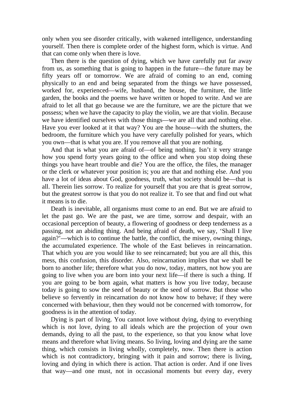only when you see disorder critically, with wakened intelligence, understanding yourself. Then there is complete order of the highest form, which is virtue. And that can come only when there is love.

Then there is the question of dying, which we have carefully put far away from us, as something that is going to happen in the future—the future may be fifty years off or tomorrow. We are afraid of coming to an end, coming physically to an end and being separated from the things we have possessed, worked for, experienced—wife, husband, the house, the furniture, the little garden, the books and the poems we have written or hoped to write. And we are afraid to let all that go because we are the furniture, we are the picture that we possess; when we have the capacity to play the violin, we are that violin. Because we have identified ourselves with those things—we are all that and nothing else. Have you ever looked at it that way? You are the house—with the shutters, the bedroom, the furniture which you have very carefully polished for years, which you own—that is what you are. If you remove all that you are nothing.

And that is what you are afraid of—of being nothing. Isn't it very strange how you spend forty years going to the office and when you stop doing these things you have heart trouble and die? You are the office, the files, the manager or the clerk or whatever your position is; you are that and nothing else. And you have a lot of ideas about God, goodness, truth, what society should be—that is all. Therein lies sorrow. To realize for yourself that you are that is great sorrow, but the greatest sorrow is that you do not realize it. To see that and find out what it means is to die.

Death is inevitable, all organisms must come to an end. But we are afraid to let the past go. We are the past, we are time, sorrow and despair, with an occasional perception of beauty, a flowering of goodness or deep tenderness as a passing, not an abiding thing. And being afraid of death, we say, 'Shall I live again?'—which is to continue the battle, the conflict, the misery, owning things, the accumulated experience. The whole of the East believes in reincarnation. That which you are you would like to see reincarnated; but you are all this, this mess, this confusion, this disorder. Also, reincarnation implies that we shall be born to another life; therefore what you do now, today, matters, not how you are going to live when you are born into your next life—if there is such a thing. If you are going to be born again, what matters is how you live today, because today is going to sow the seed of beauty or the seed of sorrow. But those who believe so fervently in reincarnation do not know how to behave; if they were concerned with behaviour, then they would not be concerned with tomorrow, for goodness is in the attention of today.

Dying is part of living. You cannot love without dying, dying to everything which is not love, dying to all ideals which are the projection of your own demands, dying to all the past, to the experience, so that you know what love means and therefore what living means. So living, loving and dying are the same thing, which consists in living wholly, completely, now. Then there is action which is not contradictory, bringing with it pain and sorrow; there is living, loving and dying in which there is action. That action is order. And if one lives that way—and one must, not in occasional moments but every day, every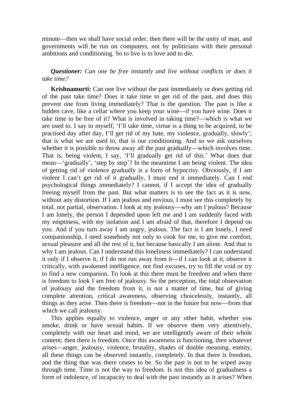minute—then we shall have social order, then there will be the unity of man, and governments will be run on computers, not by politicians with their personal ambitions and conditioning. So to live is to love and to die.

# *Questioner: Can one be free instantly and live without conflicts or does it take time?*

**Krishnamurti:** Can one live without the past immediately or does getting rid of the past take time? Does it take time to get rid of the past, and does this prevent one from living immediately? That is the question. The past is like a hidden cave, like a cellar where you keep your wine—if you have wine. Does it take time to be free of it? What is involved in taking time?—which is what we are used to. I say to myself, 'I'll take time, virtue is a thing to be acquired, to be practised day after day, I'll get rid of my hate, my violence, gradually, slowly'; that is what we are used to, that is our conditioning. And so we ask ourselves whether it is possible to throw away all the past gradually—which involves time. That is, being violent, I say, 'I'll gradually get rid of this.' What does that mean—'gradually', 'step by step'? In the meantime I am being violent. The idea of getting rid of violence gradually is a form of hypocrisy. Obviously, if I am violent I can't get rid of it gradually, I must end it immediately. Can I end psychological things immediately? I cannot, if I accept the idea of gradually freeing myself from the past. But what matters is to see the fact as it is now, without any distortion. If I am jealous and envious, I must see this completely by total, not partial, observation. I look at my jealousy—why am I jealous? Because I am lonely, the person I depended upon left me and I am suddenly faced with my emptiness, with my isolation and I am afraid of that, therefore I depend on you. And if you turn away I am angry, jealous. The fact is I am lonely, I need companionship, I need somebody not only to cook for me, to give me comfort, sexual pleasure and all the rest of it, but because basically I am alone. And that is why I am jealous. Can I understand this loneliness immediately? I can understand it only if I observe it, if I do not run away from it—if I can look at it, observe it critically, with awakened intelligence, not find excuses, try to fill the void or try to find a new companion. To look at this there must be freedom and when there is freedom to look I am free of jealousy. So the perception, the total observation of jealousy and the freedom from it, is not a matter of time, but of giving complete attention, critical awareness, observing choicelessly, instantly, all things as they arise. Then there is freedom—not in the future but now—from that which we call jealousy.

This applies equally to violence, anger or any other habit, whether you smoke, drink or have sexual habits. If we observe them very attentively, completely with our heart and mind, we are intelligently aware of their whole content; then there is freedom. Once this awareness is functioning, then whatever arises—anger, jealousy, violence, brutality, shades of double meaning, enmity, all these things can be observed instantly, completely. In that there is freedom, and the thing that was there ceases to be. So the past is not to be wiped away through time. Time is not the way to freedom. Is not this idea of gradualness a form of indolence, of incapacity to deal with the past instantly as it arises? When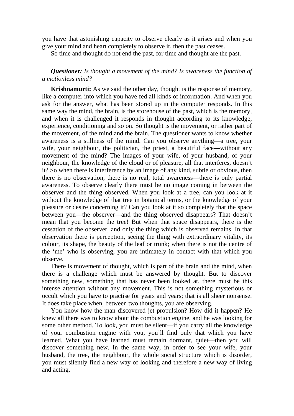you have that astonishing capacity to observe clearly as it arises and when you give your mind and heart completely to observe it, then the past ceases.

So time and thought do not end the past, for time and thought are the past.

# *Questioner: Is thought a movement of the mind? Is awareness the function of a motionless mind?*

**Krishnamurti:** As we said the other day, thought is the response of memory, like a computer into which you have fed all kinds of information. And when you ask for the answer, what has been stored up in the computer responds. In this same way the mind, the brain, is the storehouse of the past, which is the memory, and when it is challenged it responds in thought according to its knowledge, experience, conditioning and so on. So thought is the movement, or rather part of the movement, of the mind and the brain. The questioner wants to know whether awareness is a stillness of the mind. Can you observe anything—a tree, your wife, your neighbour, the politician, the priest, a beautiful face—without any movement of the mind? The images of your wife, of your husband, of your neighbour, the knowledge of the cloud or of pleasure, all that interferes, doesn't it? So when there is interference by an image of any kind, subtle or obvious, then there is no observation, there is no real, total awareness—there is only partial awareness. To observe clearly there must be no image coming in between the observer and the thing observed. When you look at a tree, can you look at it without the knowledge of that tree in botanical terms, or the knowledge of your pleasure or desire concerning it? Can you look at it so completely that the space between you—the observer—and the thing observed disappears? That doesn't mean that you become the tree! But when that space disappears, there is the cessation of the observer, and only the thing which is observed remains. In that observation there is perception, seeing the thing with extraordinary vitality, its colour, its shape, the beauty of the leaf or trunk; when there is not the centre of the 'me' who is observing, you are intimately in contact with that which you observe.

There is movement of thought, which is part of the brain and the mind, when there is a challenge which must be answered by thought. But to discover something new, something that has never been looked at, there must be this intense attention without any movement. This is not something mysterious or occult which you have to practise for years and years; that is all sheer nonsense. It does take place when, between two thoughts, you are observing.

You know how the man discovered jet propulsion? How did it happen? He knew all there was to know about the combustion engine, and he was looking for some other method. To look, you must be silent—if you carry all the knowledge of your combustion engine with you, you'll find only that which you have learned. What you have learned must remain dormant, quiet—then you will discover something new. In the same way, in order to see your wife, your husband, the tree, the neighbour, the whole social structure which is disorder, you must silently find a new way of looking and therefore a new way of living and acting.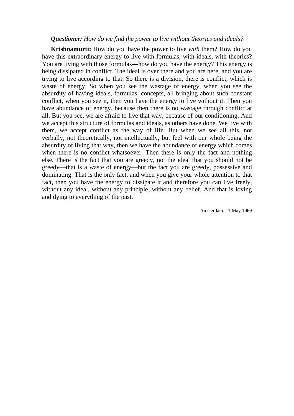#### *Questioner: How do we find the power to live without theories and ideals?*

**Krishnamurti:** How do you have the power to live *with* them? How do you have this extraordinary energy to live with formulas, with ideals, with theories? You are living with those formulas—how do you have the energy? This energy is being dissipated in conflict. The ideal is over there and you are here, and you are trying to live according to that. So there is a division, there is conflict, which is waste of energy. So when you see the wastage of energy, when you see the absurdity of having ideals, formulas, concepts, all bringing about such constant conflict, when you see it, then you have the energy to live without it. Then you have abundance of energy, because then there is no wastage through conflict at all. But you see, we are afraid to live that way, because of our conditioning. And we accept this structure of formulas and ideals, as others have done. We live with them, we accept conflict as the way of life. But when we see all this, not verbally, not theoretically, not intellectually, but feel with our whole being the absurdity of living that way, then we have the abundance of energy which comes when there is no conflict whatsoever. Then there is only the fact and nothing else. There is the fact that you are greedy, not the ideal that you should not be greedy—that is a waste of energy—but the fact you are greedy, possessive and dominating. That is the only fact, and when you give your whole attention to that fact, then you have the energy to dissipate it and therefore you can live freely, without any ideal, without any principle, without any belief. And that is loving and dying to everything of the past.

Amsterdam, 11 May 1969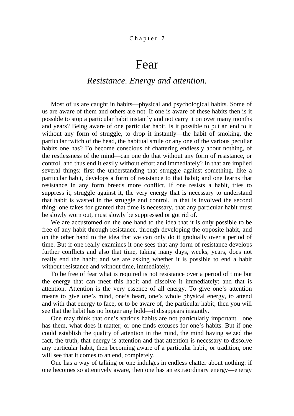# Fear

# *Resistance. Energy and attention.*

Most of us are caught in habits—physical and psychological habits. Some of us are aware of them and others are not. If one is aware of these habits then is it possible to stop a particular habit instantly and not carry it on over many months and years? Being aware of one particular habit, is it possible to put an end to it without any form of struggle, to drop it instantly—the habit of smoking, the particular twitch of the head, the habitual smile or any one of the various peculiar habits one has? To become conscious of chattering endlessly about nothing, of the restlessness of the mind—can one do that without any form of resistance, or control, and thus end it easily without effort and immediately? In that are implied several things: first the understanding that struggle against something, like a particular habit, develops a form of resistance to that habit; and one learns that resistance in any form breeds more conflict. If one resists a habit, tries to suppress it, struggle against it, the very energy that is necessary to understand that habit is wasted in the struggle and control. In that is involved the second thing: one takes for granted that time is necessary, that any particular habit must be slowly worn out, must slowly be suppressed or got rid of.

We are accustomed on the one hand to the idea that it is only possible to be free of any habit through resistance, through developing the opposite habit, and on the other hand to the idea that we can only do it gradually over a period of time. But if one really examines it one sees that any form of resistance develops further conflicts and also that time, taking many days, weeks, years, does not really end the habit; and we are asking whether it is possible to end a habit without resistance and without time, immediately.

To be free of fear what is required is not resistance over a period of time but the energy that can meet this habit and dissolve it immediately: and that is attention. Attention is the very essence of all energy. To give one's attention means to give one's mind, one's heart, one's whole physical energy, to attend and with that energy to face, or to be aware of, the particular habit; then you will see that the habit has no longer any hold—it disappears instantly.

One may think that one's various habits are not particularly important—one has them, what does it matter; or one finds excuses for one's habits. But if one could establish the quality of attention in the mind, the mind having seized the fact, the truth, that energy is attention and that attention is necessary to dissolve any particular habit, then becoming aware of a particular habit, or tradition, one will see that it comes to an end, completely.

One has a way of talking or one indulges in endless chatter about nothing: if one becomes so attentively aware, then one has an extraordinary energy—energy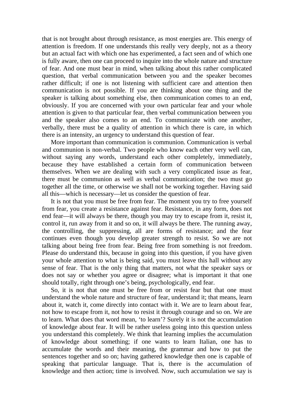that is not brought about through resistance, as most energies are. This energy of attention is freedom. If one understands this really very deeply, not as a theory but an actual fact with which one has experimented, a fact seen and of which one is fully aware, then one can proceed to inquire into the whole nature and structure of fear. And one must bear in mind, when talking about this rather complicated question, that verbal communication between you and the speaker becomes rather difficult; if one is not listening with sufficient care and attention then communication is not possible. If you are thinking about one thing and the speaker is talking about something else, then communication comes to an end, obviously. If you are concerned with your own particular fear and your whole attention is given to that particular fear, then verbal communication between you and the speaker also comes to an end. To communicate with one another, verbally, there must be a quality of attention in which there is care, in which there is an intensity, an urgency to understand this question of fear.

More important than communication is communion. Communication is verbal and communion is non-verbal. Two people who know each other very well can, without saying any words, understand each other completely, immediately, because they have established a certain form of communication between themselves. When we are dealing with such a very complicated issue as fear, there must be communion as well as verbal communication; the two must go together all the time, or otherwise we shall not be working together. Having said all this—which is necessary—let us consider the question of fear.

It is not that you must be free from fear. The moment you try to free yourself from fear, you create a resistance against fear. Resistance, in any form, does not end fear—it will always be there, though you may try to escape from it, resist it, control it, run away from it and so on, it will always be there. The running away, the controlling, the suppressing, all are forms of resistance; and the fear continues even though you develop greater strength to resist. So we are not talking about being free from fear. Being free from something is not freedom. Please do understand this, because in going into this question, if you have given your whole attention to what is being said, you must leave this hall without any sense of fear. That is the only thing that matters, not what the speaker says or does not say or whether you agree or disagree; what is important it that one should totally, right through one's being, psychologically, end fear.

So, it is not that one must be free from or resist fear but that one must understand the whole nature and structure of fear, understand it; that means, learn about it, watch it, come directly into contact with it. We are to learn about fear, not how to escape from it, not how to resist it through courage and so on. We are to learn. What does that word mean, 'to learn'? Surely it is not the accumulation of knowledge about fear. It will be rather useless going into this question unless you understand this completely. We think that learning implies the accumulation of knowledge about something; if one wants to learn Italian, one has to accumulate the words and their meaning, the grammar and how to put the sentences together and so on; having gathered knowledge then one is capable of speaking that particular language. That is, there is the accumulation of knowledge and then action; time is involved. Now, such accumulation we say is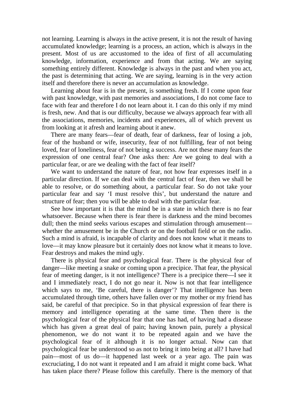not learning. Learning is always in the active present, it is not the result of having accumulated knowledge; learning is a process, an action, which is always in the present. Most of us are accustomed to the idea of first of all accumulating knowledge, information, experience and from that acting. We are saying something entirely different. Knowledge is always in the past and when you act, the past is determining that acting. We are saying, learning is in the very action itself and therefore there is never an accumulation as knowledge.

Learning about fear is in the present, is something fresh. If I come upon fear with past knowledge, with past memories and associations, I do not come face to face with fear and therefore I do not learn about it. I can do this only if my mind is fresh, new. And that is our difficulty, because we always approach fear with all the associations, memories, incidents and experiences, all of which prevent us from looking at it afresh and learning about it anew.

There are many fears—fear of death, fear of darkness, fear of losing a job, fear of the husband or wife, insecurity, fear of not fulfilling, fear of not being loved, fear of loneliness, fear of not being a success. Are not these many fears the expression of one central fear? One asks then: Are we going to deal with a particular fear, or are we dealing with the fact of fear itself?

We want to understand the nature of fear, not how fear expresses itself in a particular direction. If we can deal with the central fact of fear, then we shall be able to resolve, or do something about, a particular fear. So do not take your particular fear and say 'I must resolve this', but understand the nature and structure of fear; then you will be able to deal with the particular fear.

See how important it is that the mind be in a state in which there is no fear whatsoever. Because when there is fear there is darkness and the mind becomes dull; then the mind seeks various escapes and stimulation through amusement whether the amusement be in the Church or on the football field or on the radio. Such a mind is afraid, is incapable of clarity and does not know what it means to love—it may know pleasure but it certainly does not know what it means to love. Fear destroys and makes the mind ugly.

There is physical fear and psychological fear. There is the physical fear of danger—like meeting a snake or coming upon a precipice. That fear, the physical fear of meeting danger, is it not intelligence? There is a precipice there—I see it and I immediately react, I do not go near it. Now is not that fear intelligence which says to me, 'Be careful, there is danger'? That intelligence has been accumulated through time, others have fallen over or my mother or my friend has said, be careful of that precipice. So in that physical expression of fear there is memory and intelligence operating at the same time. Then there is the psychological fear of the physical fear that one has had, of having had a disease which has given a great deal of pain; having known pain, purely a physical phenomenon, we do not want it to be repeated again and we have the psychological fear of it although it is no longer actual. Now can that psychological fear be understood so as not to bring it into being at all? I have had pain—most of us do—it happened last week or a year ago. The pain was excruciating, I do not want it repeated and I am afraid it might come back. What has taken place there? Please follow this carefully. There is the memory of that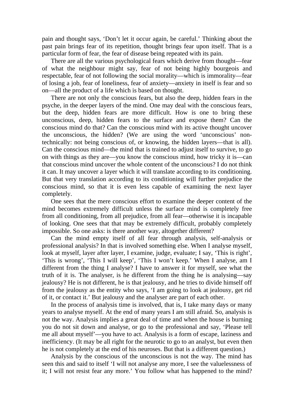pain and thought says, 'Don't let it occur again, be careful.' Thinking about the past pain brings fear of its repetition, thought brings fear upon itself. That is a particular form of fear, the fear of disease being repeated with its pain.

There are all the various psychological fears which derive from thought—fear of what the neighbour might say, fear of not being highly bourgeois and respectable, fear of not following the social morality—which is immorality—fear of losing a job, fear of loneliness, fear of anxiety—anxiety in itself is fear and so on—all the product of a life which is based on thought.

There are not only the conscious fears, but also the deep, hidden fears in the psyche, in the deeper layers of the mind. One may deal with the conscious fears, but the deep, hidden fears are more difficult. How is one to bring these unconscious, deep, hidden fears to the surface and expose them? Can the conscious mind do that? Can the conscious mind with its active thought uncover the unconscious, the hidden? (We are using the word 'unconscious' nontechnically: not being conscious of, or knowing, the hidden layers—that is all). Can the conscious mind—the mind that is trained to adjust itself to survive, to go on with things as they are—you know the conscious mind, how tricky it is—can that conscious mind uncover the whole content of the unconscious? I do not think it can. It may uncover a layer which it will translate according to its conditioning. But that very translation according to its conditioning will further prejudice the conscious mind, so that it is even less capable of examining the next layer completely.

One sees that the mere conscious effort to examine the deeper content of the mind becomes extremely difficult unless the surface mind is completely free from all conditioning, from all prejudice, from all fear—otherwise it is incapable of looking. One sees that that may be extremely difficult, probably completely impossible. So one asks: is there another way, altogether different?

Can the mind empty itself of all fear through analysis, self-analysis or professional analysis? In that is involved something else. When I analyse myself, look at myself, layer after layer, I examine, judge, evaluate; I say, 'This is right', 'This is wrong', 'This I will keep', 'This I won't keep.' When I analyse, am I different from the thing I analyse? I have to answer it for myself, see what the truth of it is. The analyser, is he different from the thing he is analysing—say jealousy? He is not different, he is that jealousy, and he tries to divide himself off from the jealousy as the entity who says, 'I am going to look at jealousy, get rid of it, or contact it.' But jealousy and the analyser are part of each other.

In the process of analysis time is involved, that is, I take many days or many years to analyse myself. At the end of many years I am still afraid. So, analysis is not the way. Analysis implies a great deal of time and when the house is burning you do not sit down and analyse, or go to the professional and say, 'Please tell me all about myself'—you have to act. Analysis is a form of escape, laziness and inefficiency. (It may be all right for the neurotic to go to an analyst, but even then he is not completely at the end of his neuroses. But that is a different question.)

Analysis by the conscious of the unconscious is not the way. The mind has seen this and said to itself 'I will not analyse any more, I see the valuelessness of it; I will not resist fear any more.' You follow what has happened to the mind?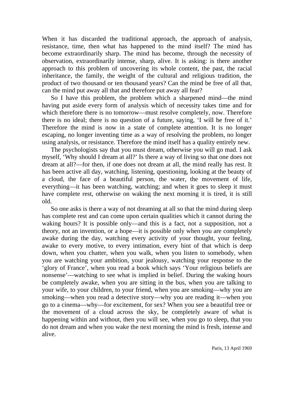When it has discarded the traditional approach, the approach of analysis, resistance, time, then what has happened to the mind itself? The mind has become extraordinarily sharp. The mind has become, through the necessity of observation, extraordinarily intense, sharp, alive. It is asking: is there another approach to this problem of uncovering its whole content, the past, the racial inheritance, the family, the weight of the cultural and religious tradition, the product of two thousand or ten thousand years? Can the mind be free of all that, can the mind put away all that and therefore put away all fear?

So I have this problem, the problem which a sharpened mind—the mind having put aside every form of analysis which of necessity takes time and for which therefore there is no tomorrow—must resolve completely, now. Therefore there is no ideal; there is no question of a future, saying, 'I will be free of it.' Therefore the mind is now in a state of complete attention. It is no longer escaping, no longer inventing time as a way of resolving the problem, no longer using analysis, or resistance. Therefore the mind itself has a quality entirely new.

The psychologists say that you must dream, otherwise you will go mad. I ask myself, 'Why should I dream at all?' Is there a way of living so that one does not dream at all?—for then, if one does not dream at all, the mind really has rest. It has been active all day, watching, listening, questioning, looking at the beauty of a cloud, the face of a beautiful person, the water, the movement of life, everything—it has been watching, watching; and when it goes to sleep it must have complete rest, otherwise on waking the next morning it is tired, it is still old.

So one asks is there a way of not dreaming at all so that the mind during sleep has complete rest and can come upon certain qualities which it cannot during the waking hours? It is possible only—and this is a fact, not a supposition, not a theory, not an invention, or a hope—it is possible only when you are completely awake during the day, watching every activity of your thought, your feeling, awake to every motive, to every intimation, every hint of that which is deep down, when you chatter, when you walk, when you listen to somebody, when you are watching your ambition, your jealousy, watching your response to the 'glory of France', when you read a book which says 'Your religious beliefs are nonsense'—watching to see what is implied in belief. During the waking hours be completely awake, when you are sitting in the bus, when you are talking to your wife, to your children, to your friend, when you are smoking—why you are smoking—when you read a detective story—why you are reading it—when you go to a cinema—why—for excitement, for sex? When you see a beautiful tree or the movement of a cloud across the sky, be completely aware of what is happening within and without, then you will see, when you go to sleep, that you do not dream and when you wake the next morning the mind is fresh, intense and alive.

Paris, 13 April 1969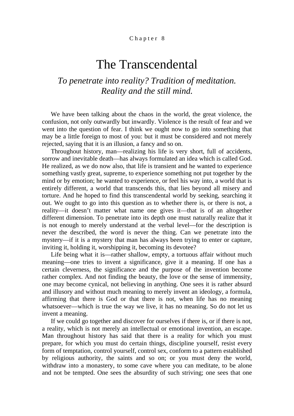## Chapter 8

# The Transcendental

# *To penetrate into reality? Tradition of meditation. Reality and the still mind.*

We have been talking about the chaos in the world, the great violence, the confusion, not only outwardly but inwardly. Violence is the result of fear and we went into the question of fear. I think we ought now to go into something that may be a little foreign to most of you: but it must be considered and not merely rejected, saying that it is an illusion, a fancy and so on.

Throughout history, man—realizing his life is very short, full of accidents, sorrow and inevitable death—has always formulated an idea which is called God. He realized, as we do now also, that life is transient and he wanted to experience something vastly great, supreme, to experience something not put together by the mind or by emotion; he wanted to experience, or feel his way into, a world that is entirely different, a world that transcends this, that lies beyond all misery and torture. And he hoped to find this transcendental world by seeking, searching it out. We ought to go into this question as to whether there is, or there is not, a reality—it doesn't matter what name one gives it—that is of an altogether different dimension. To penetrate into its depth one must naturally realize that it is not enough to merely understand at the verbal level—for the description is never the described, the word is never the thing. Can we penetrate into the mystery—if it is a mystery that man has always been trying to enter or capture, inviting it, holding it, worshipping it, becoming its devotee?

Life being what it is—rather shallow, empty, a tortuous affair without much meaning—one tries to invent a significance, give it a meaning. If one has a certain cleverness, the significance and the purpose of the invention become rather complex. And not finding the beauty, the love or the sense of immensity, one may become cynical, not believing in anything. One sees it is rather absurd and illusory and without much meaning to merely invent an ideology, a formula, affirming that there is God or that there is not, when life has no meaning whatsoever—which is true the way we live, it has no meaning. So do not let us invent a meaning.

If we could go together and discover for ourselves if there is, or if there is not, a reality, which is not merely an intellectual or emotional invention, an escape. Man throughout history has said that there is a reality for which you must prepare, for which you must do certain things, discipline yourself, resist every form of temptation, control yourself, control sex, conform to a pattern established by religious authority, the saints and so on; or you must deny the world, withdraw into a monastery, to some cave where you can meditate, to be alone and not be tempted. One sees the absurdity of such striving; one sees that one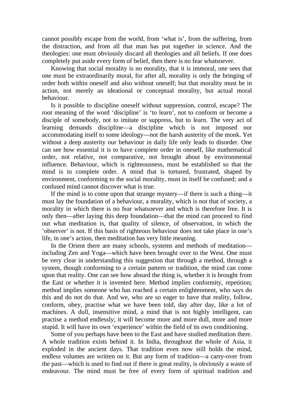cannot possibly escape from the world, from 'what is', from the suffering, from the distraction, and from all that man has put together in science. And the theologies: one must obviously discard all theologies and all beliefs. If one does completely put aside every form of belief, then there is no fear whatsoever.

Knowing that social morality is no morality, that it is immoral, one sees that one must be extraordinarily moral, for after all, morality is only the bringing of order both within oneself and also without oneself; but that morality must be in action, not merely an ideational or conceptual morality, but actual moral behaviour.

Is it possible to discipline oneself without suppression, control, escape? The root meaning of the word 'discipline' is 'to learn', not to conform or become a disciple of somebody, not to imitate or suppress, but to learn. The very act of learning demands discipline—a discipline which is not imposed nor accommodating itself to some ideology—not the harsh austerity of the monk. Yet without a deep austerity our behaviour in daily life only leads to disorder. One can see how essential it is to have complete order in oneself, like mathematical order, not relative, not comparative, not brought about by environmental influence. Behaviour, which is righteousness, must be established so that the mind is in complete order. A mind that is tortured, frustrated, shaped by environment, conforming to the social morality, must in itself be confused; and a confused mind cannot discover what is true.

If the mind is to come upon that strange mystery—if there is such a thing—it must lay the foundation of a behaviour, a morality, which is not that of society, a morality in which there is no fear whatsoever and which is therefore free. It is only then—after laying this deep foundation—that the mind can proceed to find out what meditation is, that quality of silence, of observation, in which the 'observer' is not. If this basis of righteous behaviour does not take place in one's life, in one's action, then meditation has very little meaning.

In the Orient there are many schools, systems and methods of meditation including Zen and Yoga—which have been brought over to the West. One must be very clear in understanding this suggestion that through a method, through a system, though conforming to a certain pattern or tradition, the mind can come upon that reality. One can see how absurd the thing is, whether it is brought from the East or whether it is invented here. Method implies conformity, repetition; method implies someone who has reached a certain enlightenment, who says do this and do not do that. And we, who are so eager to have that reality, follow, conform, obey, practise what we have been told, day after day, like a lot of machines. A dull, insensitive mind, a mind that is not highly intelligent, can practise a method endlessly; it will become more and more dull, more and more stupid. It will have its own 'experience' within the field of its own conditioning.

Some of you perhaps have been to the East and have studied meditation there. A whole tradition exists behind it. In India, throughout the whole of Asia, it exploded in the ancient days. That tradition even now still holds the mind, endless volumes are written on it. But any form of tradition—a carry-over from the past—which is used to find out if there is great reality, is obviously a waste of endeavour. The mind must be free of every form of spiritual tradition and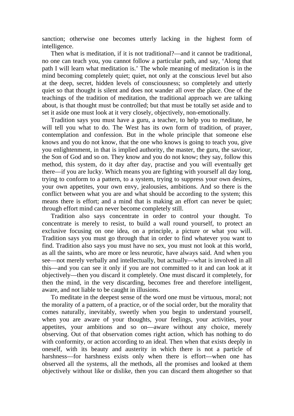sanction; otherwise one becomes utterly lacking in the highest form of intelligence.

Then what is meditation, if it is not traditional?—and it cannot be traditional, no one can teach you, you cannot follow a particular path, and say, 'Along that path I will learn what meditation is.' The whole meaning of meditation is in the mind becoming completely quiet; quiet, not only at the conscious level but also at the deep, secret, hidden levels of consciousness; so completely and utterly quiet so that thought is silent and does not wander all over the place. One of the teachings of the tradition of meditation, the traditional approach we are talking about, is that thought must be controlled; but that must be totally set aside and to set it aside one must look at it very closely, objectively, non-emotionally.

Tradition says you must have a guru, a teacher, to help you to meditate, he will tell you what to do. The West has its own form of tradition, of prayer, contemplation and confession. But in the whole principle that someone else knows and you do not know, that the one who knows is going to teach you, give you enlightenment, in that is implied authority, the master, the guru, the saviour, the Son of God and so on. They know and you do not know; they say, follow this method, this system, do it day after day, practise and you will eventually get there—if you are lucky. Which means you are fighting with yourself all day long, trying to conform to a pattern, to a system, trying to suppress your own desires, your own appetites, your own envy, jealousies, ambitions. And so there is the conflict between what you are and what should be according to the system; this means there is effort; and a mind that is making an effort can never be quiet; through effort mind can never become completely still.

Tradition also says concentrate in order to control your thought. To concentrate is merely to resist, to build a wall round yourself, to protect an exclusive focusing on one idea, on a principle, a picture or what you will. Tradition says you must go through that in order to find whatever you want to find. Tradition also says you must have no sex, you must not look at this world, as all the saints, who are more or less neurotic, have always said. And when you see—not merely verbally and intellectually, but actually—what is involved in all this—and you can see it only if you are not committed to it and can look at it objectively—then you discard it completely. One must discard it completely, for then the mind, in the very discarding, becomes free and therefore intelligent, aware, and not liable to be caught in illusions.

To meditate in the deepest sense of the word one must be virtuous, moral; not the morality of a pattern, of a practice, or of the social order, but the morality that comes naturally, inevitably, sweetly when you begin to understand yourself, when you are aware of your thoughts, your feelings, your activities, your appetites, your ambitions and so on—aware without any choice, merely observing. Out of that observation comes right action, which has nothing to do with conformity, or action according to an ideal. Then when that exists deeply in oneself, with its beauty and austerity in which there is not a particle of harshness—for harshness exists only when there is effort—when one has observed all the systems, all the methods, all the promises and looked at them objectively without like or dislike, then you can discard them altogether so that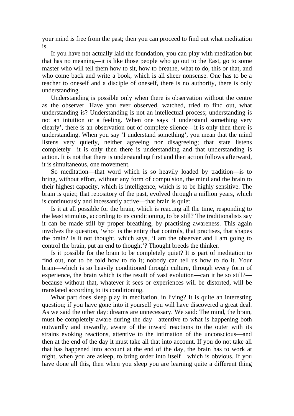your mind is free from the past; then you can proceed to find out what meditation is.

If you have not actually laid the foundation, you can play with meditation but that has no meaning—it is like those people who go out to the East, go to some master who will tell them how to sit, how to breathe, what to do, this or that, and who come back and write a book, which is all sheer nonsense. One has to be a teacher to oneself and a disciple of oneself, there is no authority, there is only understanding.

Understanding is possible only when there is observation without the centre as the observer. Have you ever observed, watched, tried to find out, what understanding is? Understanding is not an intellectual process; understanding is not an intuition or a feeling. When one says 'I understand something very clearly', there is an observation out of complete silence—it is only then there is understanding. When you say 'I understand something', you mean that the mind listens very quietly, neither agreeing nor disagreeing; that state listens completely—it is only then there is understanding and that understanding is action. It is not that there is understanding first and then action follows afterward, it is simultaneous, one movement.

So meditation—that word which is so heavily loaded by tradition—is to bring, without effort, without any form of compulsion, the mind and the brain to their highest capacity, which is intelligence, which is to be highly sensitive. The brain is quiet; that repository of the past, evolved through a million years, which is continuously and incessantly active—that brain is quiet.

Is it at all possible for the brain, which is reacting all the time, responding to the least stimulus, according to its conditioning, to be still? The traditionalists say it can be made still by proper breathing, by practising awareness. This again involves the question, 'who' is the entity that controls, that practises, that shapes the brain? Is it not thought, which says, 'I am the observer and I am going to control the brain, put an end to thought'? Thought breeds the thinker.

Is it possible for the brain to be completely quiet? It is part of meditation to find out, not to be told how to do it; nobody can tell us how to do it. Your brain—which is so heavily conditioned through culture, through every form of experience, the brain which is the result of vast evolution—can it be so still? because without that, whatever it sees or experiences will be distorted, will be translated according to its conditioning.

What part does sleep play in meditation, in living? It is quite an interesting question; if you have gone into it yourself you will have discovered a great deal. As we said the other day: dreams are unnecessary. We said: The mind, the brain, must be completely aware during the day—attentive to what is happening both outwardly and inwardly, aware of the inward reactions to the outer with its strains evoking reactions, attentive to the intimation of the unconscious—and then at the end of the day it must take all that into account. If you do not take all that has happened into account at the end of the day, the brain has to work at night, when you are asleep, to bring order into itself—which is obvious. If you have done all this, then when you sleep you are learning quite a different thing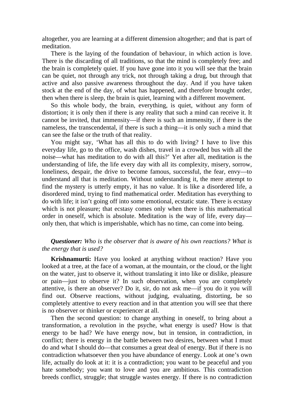altogether, you are learning at a different dimension altogether; and that is part of meditation.

There is the laying of the foundation of behaviour, in which action is love. There is the discarding of all traditions, so that the mind is completely free; and the brain is completely quiet. If you have gone into it you will see that the brain can be quiet, not through any trick, not through taking a drug, but through that active and also passive awareness throughout the day. And if you have taken stock at the end of the day, of what has happened, and therefore brought order, then when there is sleep, the brain is quiet, learning with a different movement.

So this whole body, the brain, everything, is quiet, without any form of distortion; it is only then if there is any reality that such a mind can receive it. It cannot be invited, that immensity—if there is such an immensity, if there is the nameless, the transcendental, if there is such a thing—it is only such a mind that can see the false or the truth of that reality.

You might say, 'What has all this to do with living? I have to live this everyday life, go to the office, wash dishes, travel in a crowded bus with all the noise—what has meditation to do with all this?' Yet after all, meditation is the understanding of life, the life every day with all its complexity, misery, sorrow, loneliness, despair, the drive to become famous, successful, the fear, envy—to understand all that is meditation. Without understanding it, the mere attempt to find the mystery is utterly empty, it has no value. It is like a disordered life, a disordered mind, trying to find mathematical order. Meditation has everything to do with life; it isn't going off into some emotional, ecstatic state. There is ecstasy which is not pleasure; that ecstasy comes only when there is this mathematical order in oneself, which is absolute. Meditation is the way of life, every day only then, that which is imperishable, which has no time, can come into being.

# *Questioner: Who is the observer that is aware of his own reactions? What is the energy that is used?*

**Krishnamurti:** Have you looked at anything without reaction? Have you looked at a tree, at the face of a woman, at the mountain, or the cloud, or the light on the water, just to observe it, without translating it into like or dislike, pleasure or pain—just to observe it? In such observation, when you are completely attentive, is there an observer? Do it, sir, do not ask me—if you do it you will find out. Observe reactions, without judging, evaluating, distorting, be so completely attentive to every reaction and in that attention you will see that there is no observer or thinker or experiencer at all.

Then the second question: to change anything in oneself, to bring about a transformation, a revolution in the psyche, what energy is used? How is that energy to be had? We have energy now, but in tension, in contradiction, in conflict; there is energy in the battle between two desires, between what I must do and what I should do—that consumes a great deal of energy. But if there is no contradiction whatsoever then you have abundance of energy. Look at one's own life, actually do look at it: it is a contradiction; you want to be peaceful and you hate somebody; you want to love and you are ambitious. This contradiction breeds conflict, struggle; that struggle wastes energy. If there is no contradiction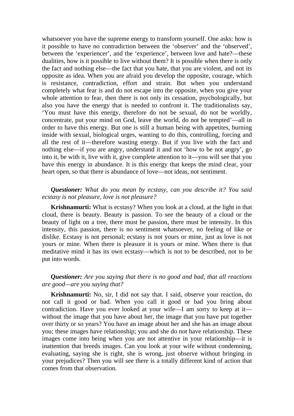whatsoever you have the supreme energy to transform yourself. One asks: how is it possible to have no contradiction between the 'observer' and the 'observed', between the 'experiencer', and the 'experience', between love and hate?—these dualities, how is it possible to live without them? It is possible when there is only the fact and nothing else—the fact that you hate, that you are violent, and not its opposite as idea. When you are afraid you develop the opposite, courage, which is resistance, contradiction, effort and strain. But when you understand completely what fear is and do not escape into the opposite, when you give your whole attention to fear, then there is not only its cessation, psychologically, but also you have the energy that is needed to confront it. The traditionalists say, 'You must have this energy, therefore do not be sexual, do not be worldly, concentrate, put your mind on God, leave the world, do not be tempted'—all in order to have this energy. But one is still a human being with appetites, burning inside with sexual, biological urges, wanting to do this, controlling, forcing and all the rest of it—therefore wasting energy. But if you live with the fact and nothing else—if you are angry, understand it and not 'how to be not angry', go into it, be with it, live with it, give complete attention to it—you will see that you have this energy in abundance. It is this energy that keeps the mind clear, your heart open, so that there is abundance of love—not ideas, not sentiment.

# *Questioner: What do you mean by ecstasy, can you describe it? You said ecstasy is not pleasure, love is not pleasure?*

**Krishnamurti:** What is ecstasy? When you look at a cloud, at the light in that cloud, there is beauty. Beauty is passion. To see the beauty of a cloud or the beauty of light on a tree, there must be passion, there must be intensity. In this intensity, this passion, there is no sentiment whatsoever, no feeling of like or dislike. Ecstasy is not personal; ecstasy is not yours or mine, just as love is not yours or mine. When there is pleasure it is yours or mine. When there is that meditative mind it has its own ecstasy—which is not to be described, not to be put into words.

# *Questioner: Are you saying that there is no good and bad, that all reactions are good—are you saying that?*

**Krishnamurti:** No, sir, I did not say that. I said, observe your reaction, do not call it good or bad. When you call it good or bad you bring about contradiction. Have you ever looked at your wife—I am sorry to keep at it without the image that you have about her, the image that you have put together over thirty or so years? You have an image about her and she has an image about you; these images have relationship; you and she do not have relationship. These images come into being when you are not attentive in your relationship—it is inattention that breeds images. Can you look at your wife without condemning, evaluating, saying she is right, she is wrong, just observe without bringing in your prejudices? Then you will see there is a totally different kind of action that comes from that observation.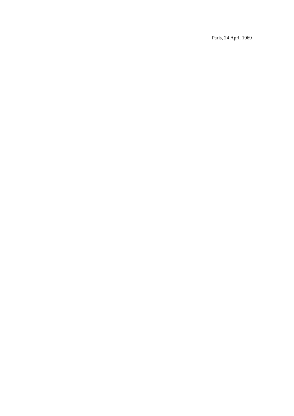Paris, 24 April 1969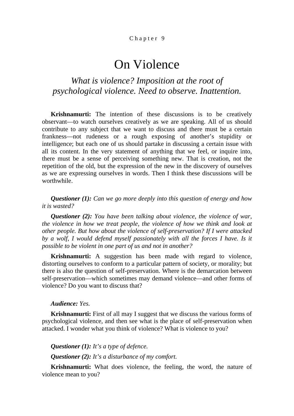# On Violence

# *What is violence? Imposition at the root of psychological violence. Need to observe. Inattention.*

**Krishnamurti:** The intention of these discussions is to be creatively observant—to watch ourselves creatively as we are speaking. All of us should contribute to any subject that we want to discuss and there must be a certain frankness—not rudeness or a rough exposing of another's stupidity or intelligence; but each one of us should partake in discussing a certain issue with all its content. In the very statement of anything that we feel, or inquire into, there must be a sense of perceiving something new. That is creation, not the repetition of the old, but the expression of the new in the discovery of ourselves as we are expressing ourselves in words. Then I think these discussions will be worthwhile.

*Questioner (1): Can we go more deeply into this question of energy and how it is wasted?* 

*Questioner (2): You have been talking about violence, the violence of war, the violence in how we treat people, the violence of how we think and look at other people. But how about the violence of self-preservation? If I were attacked*  by a wolf, I would defend myself passionately with all the forces I have. Is it *possible to be violent in one part of us and not in another?* 

**Krishnamurti:** A suggestion has been made with regard to violence, distorting ourselves to conform to a particular pattern of society, or morality; but there is also the question of self-preservation. Where is the demarcation between self-preservation—which sometimes may demand violence—and other forms of violence? Do you want to discuss that?

# *Audience: Yes.*

**Krishnamurti:** First of all may I suggest that we discuss the various forms of psychological violence, and then see what is the place of self-preservation when attacked. I wonder what you think of violence? What is violence to you?

# *Questioner (1): It's a type of defence.*

### *Questioner (2): It's a disturbance of my comfort.*

**Krishnamurti:** What does violence, the feeling, the word, the nature of violence mean to you?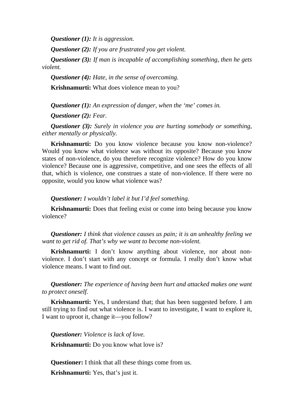*Questioner (1): It is aggression.* 

*Questioner (2): If you are frustrated you get violent.* 

*Questioner (3): If man is incapable of accomplishing something, then he gets violent.* 

*Questioner (4): Hate, in the sense of overcoming.* 

**Krishnamurti:** What does violence mean to you?

*Questioner (1): An expression of danger, when the 'me' comes in.* 

*Questioner (2): Fear.* 

*Questioner (3): Surely in violence you are hurting somebody or something, either mentally or physically.* 

**Krishnamurti:** Do you know violence because you know non-violence? Would you know what violence was without its opposite? Because you know states of non-violence, do you therefore recognize violence? How do you know violence? Because one is aggressive, competitive, and one sees the effects of all that, which is violence, one construes a state of non-violence. If there were no opposite, would you know what violence was?

# *Questioner: I wouldn't label it but I'd feel something.*

**Krishnamurti:** Does that feeling exist or come into being because you know violence?

*Questioner: I think that violence causes us pain; it is an unhealthy feeling we want to get rid of. That's why we want to become non-violent.* 

**Krishnamurti:** I don't know anything about violence, nor about nonviolence. I don't start with any concept or formula. I really don't know what violence means. I want to find out.

*Questioner: The experience of having been hurt and attacked makes one want to protect oneself.* 

**Krishnamurti:** Yes, I understand that; that has been suggested before. I am still trying to find out what violence is. I want to investigate, I want to explore it, I want to uproot it, change it—you follow?

*Questioner: Violence is lack of love.* 

**Krishnamurti:** Do you know what love is?

**Questioner:** I think that all these things come from us.

**Krishnamurti:** Yes, that's just it.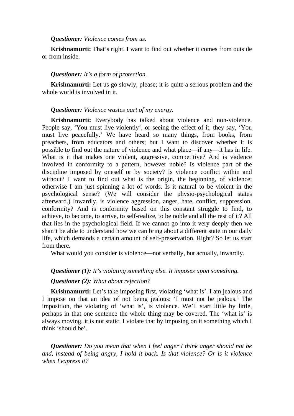### *Questioner: Violence comes from us.*

**Krishnamurti:** That's right. I want to find out whether it comes from outside or from inside.

# *Questioner: It's a form of protection.*

**Krishnamurti:** Let us go slowly, please; it is quite a serious problem and the whole world is involved in it.

### *Questioner: Violence wastes part of my energy.*

**Krishnamurti:** Everybody has talked about violence and non-violence. People say, 'You must live violently', or seeing the effect of it, they say, 'You must live peacefully.' We have heard so many things, from books, from preachers, from educators and others; but I want to discover whether it is possible to find out the nature of violence and what place—if any—it has in life. What is it that makes one violent, aggressive, competitive? And is violence involved in conformity to a pattern, however noble? Is violence part of the discipline imposed by oneself or by society? Is violence conflict within and without? I want to find out what is the origin, the beginning, of violence; otherwise I am just spinning a lot of words. Is it natural to be violent in the psychological sense? (We will consider the physio-psychological states afterward.) Inwardly, is violence aggression, anger, hate, conflict, suppression, conformity? And is conformity based on this constant struggle to find, to achieve, to become, to arrive, to self-realize, to be noble and all the rest of it? All that lies in the psychological field. If we cannot go into it very deeply then we shan't be able to understand how we can bring about a different state in our daily life, which demands a certain amount of self-preservation. Right? So let us start from there.

What would you consider is violence—not verbally, but actually, inwardly.

# *Questioner (1): It's violating something else. It imposes upon something.*

## *Questioner (2): What about rejection?*

**Krishnamurti:** Let's take imposing first, violating 'what is'. I am jealous and I impose on that an idea of not being jealous: 'I must not be jealous.' The imposition, the violating of 'what is', is violence. We'll start little by little, perhaps in that one sentence the whole thing may be covered. The 'what is' is always moving, it is not static. I violate that by imposing on it something which I think 'should be'.

*Questioner: Do you mean that when I feel anger I think anger should not be and, instead of being angry, I hold it back. Is that violence? Or is it violence when I express it?*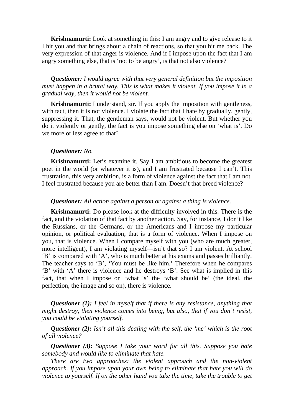**Krishnamurti:** Look at something in this: I am angry and to give release to it I hit you and that brings about a chain of reactions, so that you hit me back. The very expression of that anger is violence. And if I impose upon the fact that I am angry something else, that is 'not to be angry', is that not also violence?

*Questioner: I would agree with that very general definition but the imposition must happen in a brutal way. This is what makes it violent. If you impose it in a gradual way, then it would not be violent.* 

**Krishnamurti:** I understand, sir. If you apply the imposition with gentleness, with tact, then it is not violence. I violate the fact that I hate by gradually, gently, suppressing it. That, the gentleman says, would not be violent. But whether you do it violently or gently, the fact is you impose something else on 'what is'. Do we more or less agree to that?

### *Questioner: No.*

**Krishnamurti:** Let's examine it. Say I am ambitious to become the greatest poet in the world (or whatever it is), and I am frustrated because I can't. This frustration, this very ambition, is a form of violence against the fact that I am not. I feel frustrated because you are better than I am. Doesn't that breed violence?

#### *Questioner: All action against a person or against a thing is violence.*

**Krishnamurti:** Do please look at the difficulty involved in this. There is the fact, and the violation of that fact by another action. Say, for instance, I don't like the Russians, or the Germans, or the Americans and I impose my particular opinion, or political evaluation; that is a form of violence. When I impose on you, that is violence. When I compare myself with you (who are much greater, more intelligent), I am violating myself—isn't that so? I am violent. At school 'B' is compared with 'A', who is much better at his exams and passes brilliantly. The teacher says to 'B', 'You must be like him.' Therefore when he compares 'B' with 'A' there is violence and he destroys 'B'. See what is implied in this fact, that when I impose on 'what is' the 'what should be' (the ideal, the perfection, the image and so on), there is violence.

*Questioner (1): I feel in myself that if there is any resistance, anything that might destroy, then violence comes into being, but also, that if you don't resist, you could be violating yourself.* 

*Questioner (2): Isn't all this dealing with the self, the 'me' which is the root of all violence?* 

*Questioner (3): Suppose I take your word for all this. Suppose you hate somebody and would like to eliminate that hate.* 

*There are two approaches: the violent approach and the non-violent approach. If you impose upon your own being to eliminate that hate you will do violence to yourself. If on the other hand you take the time, take the trouble to get*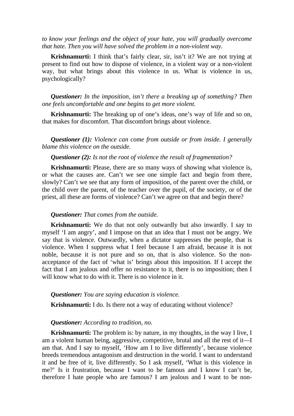*to know your feelings and the object of your hate, you will gradually overcome that hate. Then you will have solved the problem in a non-violent way.* 

**Krishnamurti:** I think that's fairly clear, sir, isn't it? We are not trying at present to find out how to dispose of violence, in a violent way or a non-violent way, but what brings about this violence in us. What is violence in us, psychologically?

*Questioner: In the imposition, isn't there a breaking up of something? Then one feels uncomfortable and one begins to get more violent.* 

**Krishnamurti:** The breaking up of one's ideas, one's way of life and so on, that makes for discomfort. That discomfort brings about violence.

*Questioner (1): Violence can come from outside or from inside. I generally blame this violence on the outside.* 

# *Questioner (2): Is not the root of violence the result of fragmentation?*

**Krishnamurti:** Please, there are so many ways of showing what violence is, or what the causes are. Can't we see one simple fact and begin from there, slowly? Can't we see that any form of imposition, of the parent over the child, or the child over the parent, of the teacher over the pupil, of the society, or of the priest, all these are forms of violence? Can't we agree on that and begin there?

#### *Questioner: That comes from the outside.*

**Krishnamurti:** We do that not only outwardly but also inwardly. I say to myself 'I am angry', and I impose on that an idea that I must not be angry. We say that is violence. Outwardly, when a dictator suppresses the people, that is violence. When I suppress what I feel because I am afraid, because it is not noble, because it is not pure and so on, that is also violence. So the nonacceptance of the fact of 'what is' brings about this imposition. If I accept the fact that I am jealous and offer no resistance to it, there is no imposition; then I will know what to do with it. There is no violence in it.

### *Questioner: You are saying education is violence.*

**Krishnamurti:** I do. Is there not a way of educating without violence?

## *Questioner: According to tradition, no.*

**Krishnamurti:** The problem is: by nature, in my thoughts, in the way I live, I am a violent human being, aggressive, competitive, brutal and all the rest of it—I am that. And I say to myself, 'How am I to live differently', because violence breeds tremendous antagonism and destruction in the world. I want to understand it and be free of it, live differently. So I ask myself, 'What is this violence in me?' Is it frustration, because I want to be famous and I know I can't be, therefore I hate people who are famous? I am jealous and I want to be non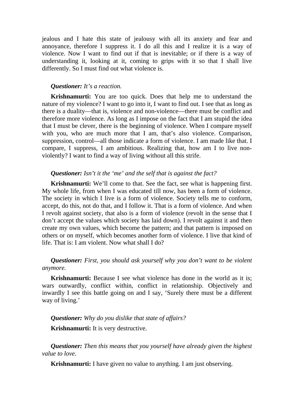jealous and I hate this state of jealousy with all its anxiety and fear and annoyance, therefore I suppress it. I do all this and I realize it is a way of violence. Now I want to find out if that is inevitable; or if there is a way of understanding it, looking at it, coming to grips with it so that I shall live differently. So I must find out what violence is.

## *Questioner: It's a reaction.*

**Krishnamurti:** You are too quick. Does that help me to understand the nature of my violence? I want to go into it, I want to find out. I see that as long as there is a duality—that is, violence and non-violence—there must be conflict and therefore more violence. As long as I impose on the fact that I am stupid the idea that I must be clever, there is the beginning of violence. When I compare myself with you, who are much more that I am, that's also violence. Comparison, suppression, control—all those indicate a form of violence. I am made like that. I compare, I suppress, I am ambitious. Realizing that, how am I to live nonviolently? I want to find a way of living without all this strife.

### *Questioner: Isn't it the 'me' and the self that is against the fact?*

**Krishnamurti:** We'll come to that. See the fact, see what is happening first. My whole life, from when I was educated till now, has been a form of violence. The society in which I live is a form of violence. Society tells me to conform, accept, do this, not do that, and I follow it. That is a form of violence. And when I revolt against society, that also is a form of violence (revolt in the sense that I don't accept the values which society has laid down). I revolt against it and then create my own values, which become the pattern; and that pattern is imposed on others or on myself, which becomes another form of violence. I live that kind of life. That is: I am violent. Now what shall I do?

*Questioner: First, you should ask yourself why you don't want to be violent anymore.* 

**Krishnamurti:** Because I see what violence has done in the world as it is; wars outwardly, conflict within, conflict in relationship. Objectively and inwardly I see this battle going on and I say, 'Surely there must be a different way of living.'

*Questioner: Why do you dislike that state of affairs?* 

**Krishnamurti:** It is very destructive.

*Questioner: Then this means that you yourself have already given the highest value to love.* 

**Krishnamurti:** I have given no value to anything. I am just observing.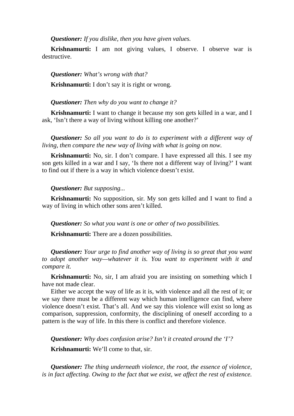*Questioner: If you dislike, then you have given values.* 

**Krishnamurti:** I am not giving values, I observe. I observe war is destructive.

#### *Questioner: What's wrong with that?*

**Krishnamurti:** I don't say it is right or wrong.

#### *Questioner: Then why do you want to change it?*

**Krishnamurti:** I want to change it because my son gets killed in a war, and I ask, 'Isn't there a way of living without killing one another?'

*Questioner: So all you want to do is to experiment with a different way of living, then compare the new way of living with what is going on now.* 

**Krishnamurti:** No, sir. I don't compare. I have expressed all this. I see my son gets killed in a war and I say, 'Is there not a different way of living?' I want to find out if there is a way in which violence doesn't exist.

#### *Questioner: But supposing...*

**Krishnamurti:** No supposition, sir. My son gets killed and I want to find a way of living in which other sons aren't killed.

*Questioner: So what you want is one or other of two possibilities.* 

**Krishnamurti:** There are a dozen possibilities.

*Questioner: Your urge to find another way of living is so great that you want to adopt another way—whatever it is. You want to experiment with it and compare it.* 

**Krishnamurti:** No, sir, I am afraid you are insisting on something which I have not made clear.

Either we accept the way of life as it is, with violence and all the rest of it; or we say there must be a different way which human intelligence can find, where violence doesn't exist. That's all. And we say this violence will exist so long as comparison, suppression, conformity, the disciplining of oneself according to a pattern is the way of life. In this there is conflict and therefore violence.

*Questioner: Why does confusion arise? Isn't it created around the 'I'?*  **Krishnamurti:** We'll come to that, sir.

*Questioner: The thing underneath violence, the root, the essence of violence, is in fact affecting. Owing to the fact that we exist, we affect the rest of existence.*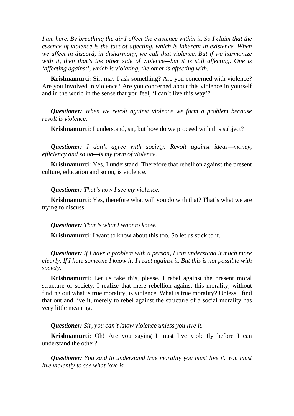*I am here. By breathing the air I affect the existence within it. So I claim that the essence of violence is the fact of affecting, which is inherent in existence. When we affect in discord, in disharmony, we call that violence. But if we harmonize*  with it, then that's the other side of violence—but it is still affecting. One is *'affecting against', which is violating, the other is affecting with.* 

**Krishnamurti:** Sir, may I ask something? Are you concerned with violence? Are you involved in violence? Are you concerned about this violence in yourself and in the world in the sense that you feel, 'I can't live this way'?

*Questioner: When we revolt against violence we form a problem because revolt is violence.* 

**Krishnamurti:** I understand, sir, but how do we proceed with this subject?

*Questioner: I don't agree with society. Revolt against ideas—money, efficiency and so on—is my form of violence.* 

**Krishnamurti:** Yes, I understand. Therefore that rebellion against the present culture, education and so on, is violence.

*Questioner: That's how I see my violence.* 

**Krishnamurti:** Yes, therefore what will you do with that? That's what we are trying to discuss.

*Questioner: That is what I want to know.* 

**Krishnamurti:** I want to know about this too. So let us stick to it.

*Questioner: If I have a problem with a person, I can understand it much more clearly. If I hate someone I know it; I react against it. But this is not possible with society.* 

**Krishnamurti:** Let us take this, please. I rebel against the present moral structure of society. I realize that mere rebellion against this morality, without finding out what is true morality, is violence. What is true morality? Unless I find that out and live it, merely to rebel against the structure of a social morality has very little meaning.

*Questioner: Sir, you can't know violence unless you live it.* 

**Krishnamurti:** Oh! Are you saying I must live violently before I can understand the other?

*Questioner: You said to understand true morality you must live it. You must live violently to see what love is.*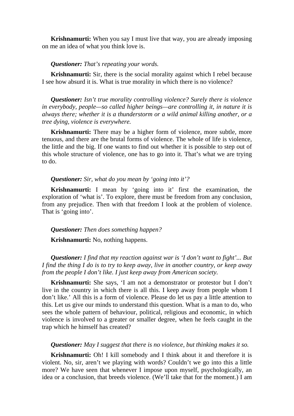**Krishnamurti:** When you say I must live that way, you are already imposing on me an idea of what you think love is.

#### *Questioner: That's repeating your words.*

**Krishnamurti:** Sir, there is the social morality against which I rebel because I see how absurd it is. What is true morality in which there is no violence?

*Questioner: Isn't true morality controlling violence? Surely there is violence in everybody, people—so called higher beings—are controlling it, in nature it is always there; whether it is a thunderstorm or a wild animal killing another, or a tree dying, violence is everywhere.* 

**Krishnamurti:** There may be a higher form of violence, more subtle, more tenuous, and there are the brutal forms of violence. The whole of life is violence, the little and the big. If one wants to find out whether it is possible to step out of this whole structure of violence, one has to go into it. That's what we are trying to do.

#### *Questioner: Sir, what do you mean by 'going into it'?*

**Krishnamurti:** I mean by 'going into it' first the examination, the exploration of 'what is'. To explore, there must be freedom from any conclusion, from any prejudice. Then with that freedom I look at the problem of violence. That is 'going into'.

*Questioner: Then does something happen?* 

**Krishnamurti:** No, nothing happens.

*Questioner: I find that my reaction against war is 'I don't want to fight'... But I find the thing I do is to try to keep away, live in another country, or keep away from the people I don't like. I just keep away from American society.* 

**Krishnamurti:** She says, 'I am not a demonstrator or protestor but I don't live in the country in which there is all this. I keep away from people whom I don't like.' All this is a form of violence. Please do let us pay a little attention to this. Let us give our minds to understand this question. What is a man to do, who sees the whole pattern of behaviour, political, religious and economic, in which violence is involved to a greater or smaller degree, when he feels caught in the trap which he himself has created?

#### *Questioner: May I suggest that there is no violence, but thinking makes it so.*

**Krishnamurti:** Oh! I kill somebody and I think about it and therefore it is violent. No, sir, aren't we playing with words? Couldn't we go into this a little more? We have seen that whenever I impose upon myself, psychologically, an idea or a conclusion, that breeds violence. (We'll take that for the moment.) I am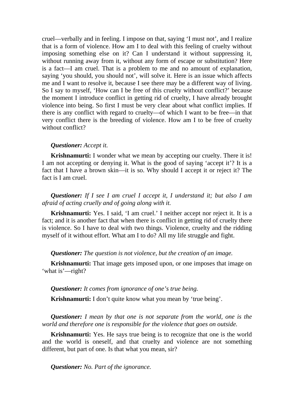cruel—verbally and in feeling. I impose on that, saying 'I must not', and I realize that is a form of violence. How am I to deal with this feeling of cruelty without imposing something else on it? Can I understand it without suppressing it, without running away from it, without any form of escape or substitution? Here is a fact—I am cruel. That is a problem to me and no amount of explanation, saying 'you should, you should not', will solve it. Here is an issue which affects me and I want to resolve it, because I see there may be a different way of living. So I say to myself, 'How can I be free of this cruelty without conflict?' because the moment I introduce conflict in getting rid of cruelty, I have already brought violence into being. So first I must be very clear about what conflict implies. If there is any conflict with regard to cruelty—of which I want to be free—in that very conflict there is the breeding of violence. How am I to be free of cruelty without conflict?

#### *Questioner: Accept it.*

**Krishnamurti:** I wonder what we mean by accepting our cruelty. There it is! I am not accepting or denying it. What is the good of saying 'accept it'? It is a fact that I have a brown skin—it is so. Why should I accept it or reject it? The fact is I am cruel.

*Questioner: If I see I am cruel I accept it, I understand it; but also I am afraid of acting cruelly and of going along with it.* 

**Krishnamurti:** Yes. I said, 'I am cruel.' I neither accept nor reject it. It is a fact; and it is another fact that when there is conflict in getting rid of cruelty there is violence. So I have to deal with two things. Violence, cruelty and the ridding myself of it without effort. What am I to do? All my life struggle and fight.

#### *Questioner: The question is not violence, but the creation of an image.*

**Krishnamurti:** That image gets imposed upon, or one imposes that image on 'what is'—right?

#### *Questioner: It comes from ignorance of one's true being.*

**Krishnamurti:** I don't quite know what you mean by 'true being'.

*Questioner: I mean by that one is not separate from the world, one is the world and therefore one is responsible for the violence that goes on outside.* 

**Krishnamurti:** Yes. He says true being is to recognize that one is the world and the world is oneself, and that cruelty and violence are not something different, but part of one. Is that what you mean, sir?

*Questioner: No. Part of the ignorance.*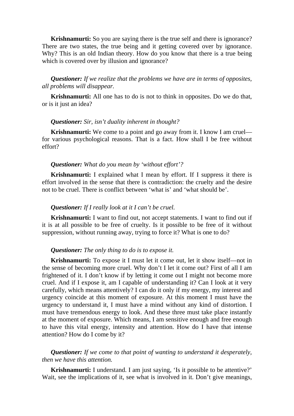**Krishnamurti:** So you are saying there is the true self and there is ignorance? There are two states, the true being and it getting covered over by ignorance. Why? This is an old Indian theory. How do you know that there is a true being which is covered over by illusion and ignorance?

*Questioner: If we realize that the problems we have are in terms of opposites, all problems will disappear.* 

**Krishnamurti:** All one has to do is not to think in opposites. Do we do that, or is it just an idea?

#### *Questioner: Sir, isn't duality inherent in thought?*

**Krishnamurti:** We come to a point and go away from it. I know I am cruel for various psychological reasons. That is a fact. How shall I be free without effort?

#### *Questioner: What do you mean by 'without effort'?*

**Krishnamurti:** I explained what I mean by effort. If I suppress it there is effort involved in the sense that there is contradiction: the cruelty and the desire not to be cruel. There is conflict between 'what is' and 'what should be'.

#### *Questioner: If I really look at it I can't be cruel.*

**Krishnamurti:** I want to find out, not accept statements. I want to find out if it is at all possible to be free of cruelty. Is it possible to be free of it without suppression, without running away, trying to force it? What is one to do?

#### *Questioner: The only thing to do is to expose it.*

**Krishnamurti:** To expose it I must let it come out, let it show itself—not in the sense of becoming more cruel. Why don't I let it come out? First of all I am frightened of it. I don't know if by letting it come out I might not become more cruel. And if I expose it, am I capable of understanding it? Can I look at it very carefully, which means attentively? I can do it only if my energy, my interest and urgency coincide at this moment of exposure. At this moment I must have the urgency to understand it, I must have a mind without any kind of distortion. I must have tremendous energy to look. And these three must take place instantly at the moment of exposure. Which means, I am sensitive enough and free enough to have this vital energy, intensity and attention. How do I have that intense attention? How do I come by it?

*Questioner: If we come to that point of wanting to understand it desperately, then we have this attention.* 

**Krishnamurti:** I understand. I am just saying, 'Is it possible to be attentive?' Wait, see the implications of it, see what is involved in it. Don't give meanings,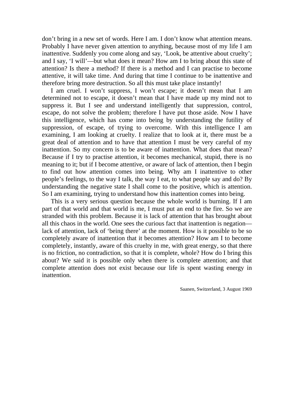don't bring in a new set of words. Here I am. I don't know what attention means. Probably I have never given attention to anything, because most of my life I am inattentive. Suddenly you come along and say, 'Look, be attentive about cruelty'; and I say, 'I will'—but what does it mean? How am I to bring about this state of attention? Is there a method? If there is a method and I can practise to become attentive, it will take time. And during that time I continue to be inattentive and therefore bring more destruction. So all this must take place instantly!

I am cruel. I won't suppress, I won't escape; it doesn't mean that I am determined not to escape, it doesn't mean that I have made up my mind not to suppress it. But I see and understand intelligently that suppression, control, escape, do not solve the problem; therefore I have put those aside. Now I have this intelligence, which has come into being by understanding the futility of suppression, of escape, of trying to overcome. With this intelligence I am examining, I am looking at cruelty. I realize that to look at it, there must be a great deal of attention and to have that attention I must be very careful of my inattention. So my concern is to be aware of inattention. What does that mean? Because if I try to practise attention, it becomes mechanical, stupid, there is no meaning to it; but if I become attentive, or aware of lack of attention, then I begin to find out how attention comes into being. Why am I inattentive to other people's feelings, to the way I talk, the way I eat, to what people say and do? By understanding the negative state I shall come to the positive, which is attention. So I am examining, trying to understand how this inattention comes into being.

This is a very serious question because the whole world is burning. If I am part of that world and that world is me, I must put an end to the fire. So we are stranded with this problem. Because it is lack of attention that has brought about all this chaos in the world. One sees the curious fact that inattention is negation lack of attention, lack of 'being there' at the moment. How is it possible to be so completely aware of inattention that it becomes attention? How am I to become completely, instantly, aware of this cruelty in me, with great energy, so that there is no friction, no contradiction, so that it is complete, whole? How do I bring this about? We said it is possible only when there is complete attention; and that complete attention does not exist because our life is spent wasting energy in inattention.

Saanen, Switzerland, 3 August 1969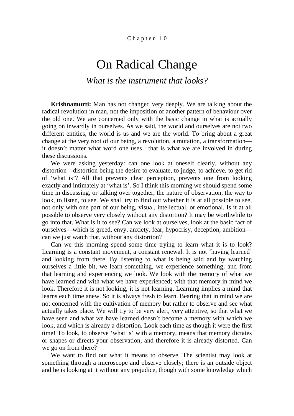# On Radical Change

### *What is the instrument that looks?*

**Krishnamurti:** Man has not changed very deeply. We are talking about the radical revolution in man, not the imposition of another pattern of behaviour over the old one. We are concerned only with the basic change in what is actually going on inwardly in ourselves. As we said, the world and ourselves are not two different entities, the world is us and we are the world. To bring about a great change at the very root of our being, a revolution, a mutation, a transformation it doesn't matter what word one uses—that is what we are involved in during these discussions.

We were asking yesterday: can one look at oneself clearly, without any distortion—distortion being the desire to evaluate, to judge, to achieve, to get rid of 'what is'? All that prevents clear perception, prevents one from looking exactly and intimately at 'what is'. So I think this morning we should spend some time in discussing, or talking over together, the nature of observation, the way to look, to listen, to see. We shall try to find out whether it is at all possible to see, not only with one part of our being, visual, intellectual, or emotional. Is it at all possible to observe very closely without any distortion? It may be worthwhile to go into that. What is it to see? Can we look at ourselves, look at the basic fact of ourselves—which is greed, envy, anxiety, fear, hypocrisy, deception, ambition can we just watch that, without any distortion?

Can we this morning spend some time trying to learn what it is to look? Learning is a constant movement, a constant renewal. It is not 'having learned' and looking from there. By listening to what is being said and by watching ourselves a little bit, we learn something, we experience something; and from that learning and experiencing we look. We look with the memory of what we have learned and with what we have experienced; with that memory in mind we look. Therefore it is not looking, it is not learning. Learning implies a mind that learns each time anew. So it is always fresh to learn. Bearing that in mind we are not concerned with the cultivation of memory but rather to observe and see what actually takes place. We will try to be very alert, very attentive, so that what we have seen and what we have learned doesn't become a memory with which we look, and which is already a distortion. Look each time as though it were the first time! To look, to observe 'what is' with a memory, means that memory dictates or shapes or directs your observation, and therefore it is already distorted. Can we go on from there?

We want to find out what it means to observe. The scientist may look at something through a microscope and observe closely; there is an outside object and he is looking at it without any prejudice, though with some knowledge which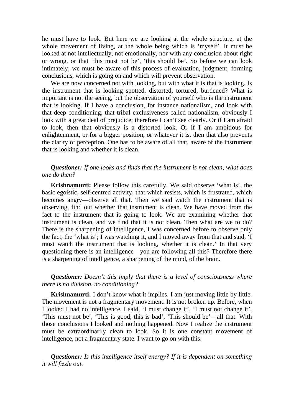he must have to look. But here we are looking at the whole structure, at the whole movement of living, at the whole being which is 'myself'. It must be looked at not intellectually, not emotionally, nor with any conclusion about right or wrong, or that 'this must not be', 'this should be'. So before we can look intimately, we must be aware of this process of evaluation, judgment, forming conclusions, which is going on and which will prevent observation.

We are now concerned not with looking, but with what it is that is looking. Is the instrument that is looking spotted, distorted, tortured, burdened? What is important is not the seeing, but the observation of yourself who is the instrument that is looking. If I have a conclusion, for instance nationalism, and look with that deep conditioning, that tribal exclusiveness called nationalism, obviously I look with a great deal of prejudice; therefore I can't see clearly. Or if I am afraid to look, then that obviously is a distorted look. Or if I am ambitious for enlightenment, or for a bigger position, or whatever it is, then that also prevents the clarity of perception. One has to be aware of all that, aware of the instrument that is looking and whether it is clean.

#### *Questioner: If one looks and finds that the instrument is not clean, what does one do then?*

**Krishnamurti:** Please follow this carefully. We said observe 'what is', the basic egoistic, self-centred activity, that which resists, which is frustrated, which becomes angry—observe all that. Then we said watch the instrument that is observing, find out whether that instrument is clean. We have moved from the fact to the instrument that is going to look. We are examining whether that instrument is clean, and we find that it is not clean. Then what are we to do? There is the sharpening of intelligence, I was concerned before to observe only the fact, the 'what is'; I was watching it, and I moved away from that and said, 'I must watch the instrument that is looking, whether it is clean.' In that very questioning there is an intelligence—you are following all this? Therefore there is a sharpening of intelligence, a sharpening of the mind, of the brain.

#### *Questioner: Doesn't this imply that there is a level of consciousness where there is no division, no conditioning?*

**Krishnamurti:** I don't know what it implies. I am just moving little by little. The movement is not a fragmentary movement. It is not broken up. Before, when I looked I had no intelligence. I said, 'I must change it', 'I must not change it', 'This must not be', 'This is good, this is bad', 'This should be'—all that. With those conclusions I looked and nothing happened. Now I realize the instrument must be extraordinarily clean to look. So it is one constant movement of intelligence, not a fragmentary state. I want to go on with this.

*Questioner: Is this intelligence itself energy? If it is dependent on something it will fizzle out.*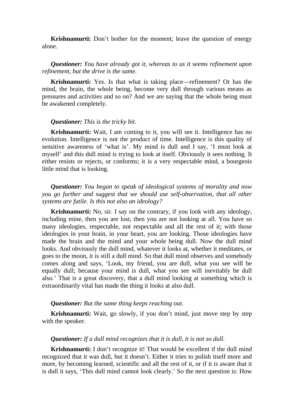**Krishnamurti:** Don't bother for the moment; leave the question of energy alone.

*Questioner: You have already got it, whereas to us it seems refinement upon refinement, but the drive is the same.* 

**Krishnamurti:** Yes. Is that what is taking place—refinement? Or has the mind, the brain, the whole being, become very dull through various means as pressures and activities and so on? And we are saying that the whole being must be awakened completely.

#### *Questioner: This is the tricky bit.*

**Krishnamurti:** Wait, I am coming to it, you will see it. Intelligence has no evolution. Intelligence is not the product of time. Intelligence is this quality of sensitive awareness of 'what is'. My mind is dull and I say, 'I must look at myself' and this dull mind is trying to look at itself. Obviously it sees nothing. It either resists or rejects, or conforms; it is a very respectable mind, a bourgeois little mind that is looking.

*Questioner: You began to speak of ideological systems of morality and now you go further and suggest that we should use self-observation, that all other systems are futile. Is this not also an ideology?* 

**Krishnamurti:** No, sir. I say on the contrary, if you look with any ideology, including mine, then you are lost, then you are not looking at all. You have so many ideologies, respectable, not respectable and all the rest of it; with those ideologies in your brain, in your heart, you are looking. Those ideologies have made the brain and the mind and your whole being dull. Now the dull mind looks. And obviously the dull mind, whatever it looks at, whether it meditates, or goes to the moon, it is still a dull mind. So that dull mind observes and somebody comes along and says, 'Look, my friend, you are dull, what you see will be equally dull; because your mind is dull, what you see will inevitably be dull also.' That is a great discovery, that a dull mind looking at something which is extraordinarily vital has made the thing it looks at also dull.

#### *Questioner: But the same thing keeps reaching out.*

**Krishnamurti:** Wait, go slowly, if you don't mind, just move step by step with the speaker.

#### *Questioner: If a dull mind recognizes that it is dull, it is not so dull.*

**Krishnamurti:** I don't recognize it! That would be excellent if the dull mind recognized that it was dull, but it doesn't. Either it tries to polish itself more and more, by becoming learned, scientific and all the rest of it, or if it is aware that it is dull it says, 'This dull mind cannot look clearly.' So the next question is: How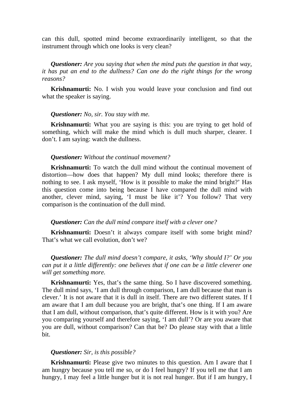can this dull, spotted mind become extraordinarily intelligent, so that the instrument through which one looks is very clean?

*Questioner: Are you saying that when the mind puts the question in that way, it has put an end to the dullness? Can one do the right things for the wrong reasons?* 

**Krishnamurti:** No. I wish you would leave your conclusion and find out what the speaker is saying.

#### *Questioner: No, sir. You stay with me.*

**Krishnamurti:** What you are saying is this: you are trying to get hold of something, which will make the mind which is dull much sharper, clearer. I don't. I am saying: watch the dullness.

#### *Questioner: Without the continual movement?*

**Krishnamurti:** To watch the dull mind without the continual movement of distortion—how does that happen? My dull mind looks; therefore there is nothing to see. I ask myself, 'How is it possible to make the mind bright?' Has this question come into being because I have compared the dull mind with another, clever mind, saying, 'I must be like it'? You follow? That very comparison is the continuation of the dull mind.

#### *Questioner: Can the dull mind compare itself with a clever one?*

**Krishnamurti:** Doesn't it always compare itself with some bright mind? That's what we call evolution, don't we?

*Questioner: The dull mind doesn't compare, it asks, 'Why should I?' Or you can put it a little differently: one believes that if one can be a little cleverer one will get something more.* 

**Krishnamurti:** Yes, that's the same thing. So I have discovered something. The dull mind says, 'I am dull through comparison, I am dull because that man is clever.' It is not aware that it is dull in itself. There are two different states. If I am aware that I am dull because you are bright, that's one thing. If I am aware that I am dull, without comparison, that's quite different. How is it with you? Are you comparing yourself and therefore saying, 'I am dull'? Or are you aware that you are dull, without comparison? Can that be? Do please stay with that a little bit.

#### *Questioner: Sir, is this possible?*

**Krishnamurti:** Please give two minutes to this question. Am I aware that I am hungry because you tell me so, or do I feel hungry? If you tell me that I am hungry, I may feel a little hunger but it is not real hunger. But if I am hungry, I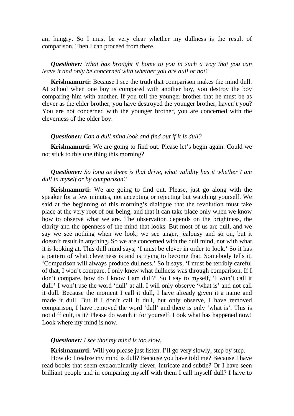am hungry. So I must be very clear whether my dullness is the result of comparison. Then I can proceed from there.

#### *Questioner: What has brought it home to you in such a way that you can leave it and only be concerned with whether you are dull or not?*

**Krishnamurti:** Because I see the truth that comparison makes the mind dull. At school when one boy is compared with another boy, you destroy the boy comparing him with another. If you tell the younger brother that he must be as clever as the elder brother, you have destroyed the younger brother, haven't you? You are not concerned with the younger brother, you are concerned with the cleverness of the older boy.

#### *Questioner: Can a dull mind look and find out if it is dull?*

**Krishnamurti:** We are going to find out. Please let's begin again. Could we not stick to this one thing this morning?

#### *Questioner: So long as there is that drive, what validity has it whether I am dull in myself or by comparison?*

**Krishnamurti:** We are going to find out. Please, just go along with the speaker for a few minutes, not accepting or rejecting but watching yourself. We said at the beginning of this morning's dialogue that the revolution must take place at the very root of our being, and that it can take place only when we know how to observe what we are. The observation depends on the brightness, the clarity and the openness of the mind that looks. But most of us are dull, and we say we see nothing when we look; we see anger, jealousy and so on, but it doesn't result in anything. So we are concerned with the dull mind, not with what it is looking at. This dull mind says, 'I must be clever in order to look.' So it has a pattern of what cleverness is and is trying to become that. Somebody tells it, 'Comparison will always produce dullness.' So it says, 'I must be terribly careful of that, I won't compare. I only knew what dullness was through comparison. If I don't compare, how do I know I am dull?' So I say to myself, 'I won't call it dull.' I won't use the word 'dull' at all. I will only observe 'what is' and not call it dull. Because the moment I call it dull, I have already given it a name and made it dull. But if I don't call it dull, but only observe, I have removed comparison, I have removed the word 'dull' and there is only 'what is'. This is not difficult, is it? Please do watch it for yourself. Look what has happened now! Look where my mind is now.

#### *Questioner: I see that my mind is too slow.*

**Krishnamurti:** Will you please just listen. I'll go very slowly, step by step.

How do I realize my mind is dull? Because you have told me? Because I have read books that seem extraordinarily clever, intricate and subtle? Or I have seen brilliant people and in comparing myself with them I call myself dull? I have to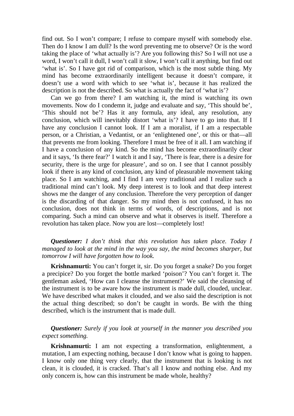find out. So I won't compare; I refuse to compare myself with somebody else. Then do I know I am dull? Is the word preventing me to observe? Or is the word taking the place of 'what actually is'? Are you following this? So I will not use a word, I won't call it dull, I won't call it slow, I won't call it anything, but find out 'what is'. So I have got rid of comparison, which is the most subtle thing. My mind has become extraordinarily intelligent because it doesn't compare, it doesn't use a word with which to see 'what is', because it has realized the description is not the described. So what is actually the fact of 'what is'?

Can we go from there? I am watching it, the mind is watching its own movements. Now do I condemn it, judge and evaluate and say, 'This should be', 'This should not be'? Has it any formula, any ideal, any resolution, any conclusion, which will inevitably distort 'what is'? I have to go into that. If I have any conclusion I cannot look. If I am a moralist, if I am a respectable person, or a Christian, a Vedantist, or an 'enlightened one', or this or that—all that prevents me from looking. Therefore I must be free of it all. I am watching if I have a conclusion of any kind. So the mind has become extraordinarily clear and it says, 'Is there fear?' I watch it and I say, 'There is fear, there is a desire for security, there is the urge for pleasure', and so on. I see that I cannot possibly look if there is any kind of conclusion, any kind of pleasurable movement taking place. So I am watching, and I find I am very traditional and I realize such a traditional mind can't look. My deep interest is to look and that deep interest shows me the danger of any conclusion. Therefore the very perception of danger is the discarding of that danger. So my mind then is not confused, it has no conclusion, does not think in terms of words, of descriptions, and is not comparing. Such a mind can observe and what it observes is itself. Therefore a revolution has taken place. Now you are lost—completely lost!

*Questioner: I don't think that this revolution has taken place. Today I managed to look at the mind in the way you say, the mind becomes sharper, but tomorrow I will have forgotten how to look.* 

**Krishnamurti:** You can't forget it, sir. Do you forget a snake? Do you forget a precipice? Do you forget the bottle marked 'poison'? You can't forget it. The gentleman asked, 'How can I cleanse the instrument?' We said the cleansing of the instrument is to be aware how the instrument is made dull, clouded, unclear. We have described what makes it clouded, and we also said the description is not the actual thing described; so don't be caught in words. Be with the thing described, which is the instrument that is made dull.

*Questioner: Surely if you look at yourself in the manner you described you expect something.* 

**Krishnamurti:** I am not expecting a transformation, enlightenment, a mutation, I am expecting nothing, because I don't know what is going to happen. I know only one thing very clearly, that the instrument that is looking is not clean, it is clouded, it is cracked. That's all I know and nothing else. And my only concern is, how can this instrument be made whole, healthy?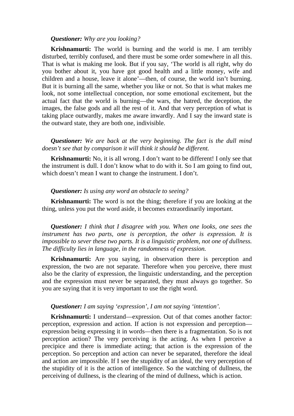#### *Questioner: Why are you looking?*

**Krishnamurti:** The world is burning and the world is me. I am terribly disturbed, terribly confused, and there must be some order somewhere in all this. That is what is making me look. But if you say, 'The world is all right, why do you bother about it, you have got good health and a little money, wife and children and a house, leave it alone'—then, of course, the world isn't burning. But it is burning all the same, whether you like or not. So that is what makes me look, not some intellectual conception, nor some emotional excitement, but the actual fact that the world is burning—the wars, the hatred, the deception, the images, the false gods and all the rest of it. And that very perception of what is taking place outwardly, makes me aware inwardly. And I say the inward state is the outward state, they are both one, indivisible.

#### *Questioner: We are back at the very beginning. The fact is the dull mind doesn't see that by comparison it will think it should be different.*

**Krishnamurti:** No, it is all wrong. I don't want to be different! I only see that the instrument is dull. I don't know what to do with it. So I am going to find out, which doesn't mean I want to change the instrument. I don't.

#### *Questioner: Is using any word an obstacle to seeing?*

**Krishnamurti:** The word is not the thing; therefore if you are looking at the thing, unless you put the word aside, it becomes extraordinarily important.

*Questioner: I think that I disagree with you. When one looks, one sees the instrument has two parts, one is perception, the other is expression. It is impossible to sever these two parts. It is a linguistic problem, not one of dullness. The difficulty lies in language, in the randomness of expression.* 

**Krishnamurti:** Are you saying, in observation there is perception and expression, the two are not separate. Therefore when you perceive, there must also be the clarity of expression, the linguistic understanding, and the perception and the expression must never be separated, they must always go together. So you are saying that it is very important to use the right word.

#### *Questioner: I am saying 'expression', I am not saying 'intention'.*

**Krishnamurti:** I understand—expression. Out of that comes another factor: perception, expression and action. If action is not expression and perception expression being expressing it in words—then there is a fragmentation. So is not perception action? The very perceiving is the acting. As when I perceive a precipice and there is immediate acting; that action is the expression of the perception. So perception and action can never be separated, therefore the ideal and action are impossible. If I see the stupidity of an ideal, the very perception of the stupidity of it is the action of intelligence. So the watching of dullness, the perceiving of dullness, is the clearing of the mind of dullness, which is action.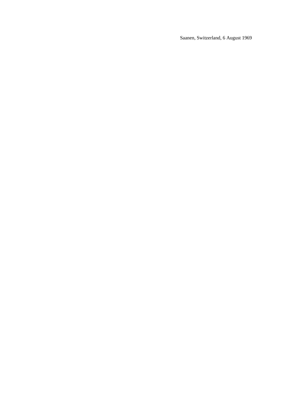Saanen, Switzerland, 6 August 1969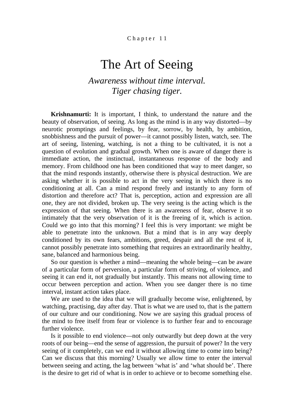# The Art of Seeing

## *Awareness without time interval. Tiger chasing tiger.*

**Krishnamurti:** It is important, I think, to understand the nature and the beauty of observation, of seeing. As long as the mind is in any way distorted—by neurotic promptings and feelings, by fear, sorrow, by health, by ambition, snobbishness and the pursuit of power—it cannot possibly listen, watch, see. The art of seeing, listening, watching, is not a thing to be cultivated, it is not a question of evolution and gradual growth. When one is aware of danger there is immediate action, the instinctual, instantaneous response of the body and memory. From childhood one has been conditioned that way to meet danger, so that the mind responds instantly, otherwise there is physical destruction. We are asking whether it is possible to act in the very seeing in which there is no conditioning at all. Can a mind respond freely and instantly to any form of distortion and therefore act? That is, perception, action and expression are all one, they are not divided, broken up. The very seeing is the acting which is the expression of that seeing. When there is an awareness of fear, observe it so intimately that the very observation of it is the freeing of it, which is action. Could we go into that this morning? I feel this is very important: we might be able to penetrate into the unknown. But a mind that is in any way deeply conditioned by its own fears, ambitions, greed, despair and all the rest of it, cannot possibly penetrate into something that requires an extraordinarily healthy, sane, balanced and harmonious being.

So our question is whether a mind—meaning the whole being—can be aware of a particular form of perversion, a particular form of striving, of violence, and seeing it can end it, not gradually but instantly. This means not allowing time to occur between perception and action. When you see danger there is no time interval, instant action takes place.

We are used to the idea that we will gradually become wise, enlightened, by watching, practising, day after day. That is what we are used to, that is the pattern of our culture and our conditioning. Now we are saying this gradual process of the mind to free itself from fear or violence is to further fear and to encourage further violence.

Is it possible to end violence—not only outwardly but deep down at the very roots of our being—end the sense of aggression, the pursuit of power? In the very seeing of it completely, can we end it without allowing time to come into being? Can we discuss that this morning? Usually we allow time to enter the interval between seeing and acting, the lag between 'what is' and 'what should be'. There is the desire to get rid of what is in order to achieve or to become something else.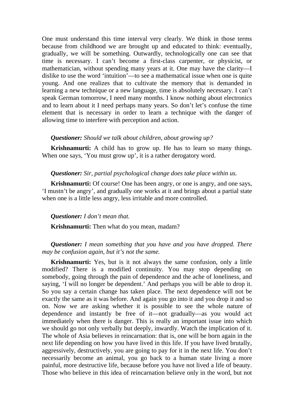One must understand this time interval very clearly. We think in those terms because from childhood we are brought up and educated to think: eventually, gradually, we will be something. Outwardly, technologically one can see that time is necessary. I can't become a first-class carpenter, or physicist, or mathematician, without spending many years at it. One may have the clarity—I dislike to use the word 'intuition'—to see a mathematical issue when one is quite young. And one realizes that to cultivate the memory that is demanded in learning a new technique or a new language, time is absolutely necessary. I can't speak German tomorrow, I need many months. I know nothing about electronics and to learn about it I need perhaps many years. So don't let's confuse the time element that is necessary in order to learn a technique with the danger of allowing time to interfere with perception and action.

#### *Questioner: Should we talk about children, about growing up?*

**Krishnamurti:** A child has to grow up. He has to learn so many things. When one says, 'You must grow up', it is a rather derogatory word.

#### *Questioner: Sir, partial psychological change does take place within us.*

**Krishnamurti:** Of course! One has been angry, or one is angry, and one says, 'I mustn't be angry', and gradually one works at it and brings about a partial state when one is a little less angry, less irritable and more controlled.

#### *Questioner: I don't mean that.*

**Krishnamurti:** Then what do you mean, madam?

#### *Questioner: I mean something that you have and you have dropped. There may be confusion again, but it's not the same.*

**Krishnamurti:** Yes, but is it not always the same confusion, only a little modified? There is a modified continuity. You may stop depending on somebody, going through the pain of dependence and the ache of loneliness, and saying, 'I will no longer be dependent.' And perhaps you will be able to drop it. So you say a certain change has taken place. The next dependence will not be exactly the same as it was before. And again you go into it and you drop it and so on. Now we are asking whether it is possible to see the whole nature of dependence and instantly be free of it—not gradually—as you would act immediately when there is danger. This is really an important issue into which we should go not only verbally but deeply, inwardly. Watch the implication of it. The whole of Asia believes in reincarnation: that is, one will be born again in the next life depending on how you have lived in this life. If you have lived brutally, aggressively, destructively, you are going to pay for it in the next life. You don't necessarily become an animal, you go back to a human state living a more painful, more destructive life, because before you have not lived a life of beauty. Those who believe in this idea of reincarnation believe only in the word, but not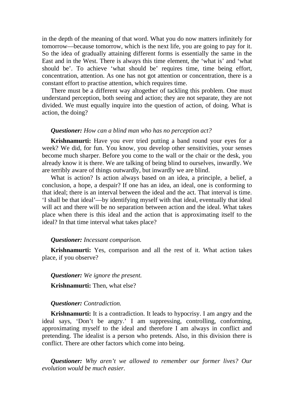in the depth of the meaning of that word. What you do now matters infinitely for tomorrow—because tomorrow, which is the next life, you are going to pay for it. So the idea of gradually attaining different forms is essentially the same in the East and in the West. There is always this time element, the 'what is' and 'what should be'. To achieve 'what should be' requires time, time being effort, concentration, attention. As one has not got attention or concentration, there is a constant effort to practise attention, which requires time.

There must be a different way altogether of tackling this problem. One must understand perception, both seeing and action; they are not separate, they are not divided. We must equally inquire into the question of action, of doing. What is action, the doing?

#### *Questioner: How can a blind man who has no perception act?*

**Krishnamurti:** Have you ever tried putting a band round your eyes for a week? We did, for fun. You know, you develop other sensitivities, your senses become much sharper. Before you come to the wall or the chair or the desk, you already know it is there. We are talking of being blind to ourselves, inwardly. We are terribly aware of things outwardly, but inwardly we are blind.

What is action? Is action always based on an idea, a principle, a belief, a conclusion, a hope, a despair? If one has an idea, an ideal, one is conforming to that ideal; there is an interval between the ideal and the act. That interval is time. 'I shall be that ideal'—by identifying myself with that ideal, eventually that ideal will act and there will be no separation between action and the ideal. What takes place when there is this ideal and the action that is approximating itself to the ideal? In that time interval what takes place?

#### *Questioner: Incessant comparison.*

**Krishnamurti:** Yes, comparison and all the rest of it. What action takes place, if you observe?

*Questioner: We ignore the present.*  **Krishnamurti:** Then, what else?

#### *Questioner: Contradiction.*

**Krishnamurti:** It is a contradiction. It leads to hypocrisy. I am angry and the ideal says, 'Don't be angry.' I am suppressing, controlling, conforming, approximating myself to the ideal and therefore I am always in conflict and pretending. The idealist is a person who pretends. Also, in this division there is conflict. There are other factors which come into being.

*Questioner: Why aren't we allowed to remember our former lives? Our evolution would be much easier.*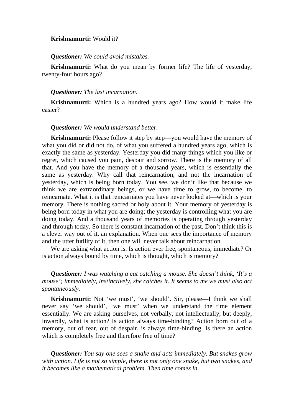#### **Krishnamurti:** Would it?

#### *Questioner: We could avoid mistakes.*

**Krishnamurti:** What do you mean by former life? The life of yesterday, twenty-four hours ago?

#### *Questioner: The last incarnation.*

**Krishnamurti:** Which is a hundred years ago? How would it make life easier?

#### *Questioner: We would understand better.*

**Krishnamurti:** Please follow it step by step—you would have the memory of what you did or did not do, of what you suffered a hundred years ago, which is exactly the same as yesterday. Yesterday you did many things which you like or regret, which caused you pain, despair and sorrow. There is the memory of all that. And you have the memory of a thousand years, which is essentially the same as yesterday. Why call that reincarnation, and not the incarnation of yesterday, which is being born today. You see, we don't like that because we think we are extraordinary beings, or we have time to grow, to become, to reincarnate. What it is that reincarnates you have never looked at—which is your memory. There is nothing sacred or holy about it. Your memory of yesterday is being born today in what you are doing; the yesterday is controlling what you are doing today. And a thousand years of memories is operating through yesterday and through today. So there is constant incarnation of the past. Don't think this is a clever way out of it, an explanation. When one sees the importance of memory and the utter futility of it, then one will never talk about reincarnation.

We are asking what action is. Is action ever free, spontaneous, immediate? Or is action always bound by time, which is thought, which is memory?

*Questioner: I was watching a cat catching a mouse. She doesn't think, 'It's a mouse'; immediately, instinctively, she catches it. It seems to me we must also act spontaneously.* 

**Krishnamurti:** Not 'we must', 'we should'. Sir, please—I think we shall never say 'we should', 'we must' when we understand the time element essentially. We are asking ourselves, not verbally, not intellectually, but deeply, inwardly, what is action? Is action always time-binding? Action born out of a memory, out of fear, out of despair, is always time-binding. Is there an action which is completely free and therefore free of time?

*Questioner: You say one sees a snake and acts immediately. But snakes grow with action. Life is not so simple, there is not only one snake, but two snakes, and it becomes like a mathematical problem. Then time comes in.*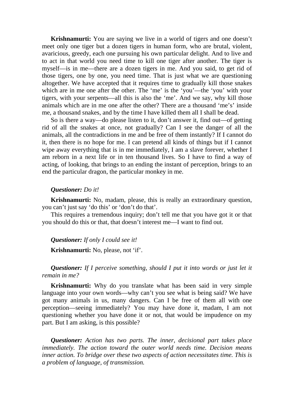**Krishnamurti:** You are saying we live in a world of tigers and one doesn't meet only one tiger but a dozen tigers in human form, who are brutal, violent, avaricious, greedy, each one pursuing his own particular delight. And to live and to act in that world you need time to kill one tiger after another. The tiger is myself—is in me—there are a dozen tigers in me. And you said, to get rid of those tigers, one by one, you need time. That is just what we are questioning altogether. We have accepted that it requires time to gradually kill those snakes which are in me one after the other. The 'me' is the 'you'—the 'you' with your tigers, with your serpents—all this is also the 'me'. And we say, why kill those animals which are in me one after the other? There are a thousand 'me's' inside me, a thousand snakes, and by the time I have killed them all I shall be dead.

So is there a way—do please listen to it, don't answer it, find out—of getting rid of all the snakes at once, not gradually? Can I see the danger of all the animals, all the contradictions in me and be free of them instantly? If I cannot do it, then there is no hope for me. I can pretend all kinds of things but if I cannot wipe away everything that is in me immediately, I am a slave forever, whether I am reborn in a next life or in ten thousand lives. So I have to find a way of acting, of looking, that brings to an ending the instant of perception, brings to an end the particular dragon, the particular monkey in me.

#### *Questioner: Do it!*

**Krishnamurti:** No, madam, please, this is really an extraordinary question, you can't just say 'do this' or 'don't do that'.

This requires a tremendous inquiry; don't tell me that you have got it or that you should do this or that, that doesn't interest me—I want to find out.

#### *Questioner: If only I could see it!*

**Krishnamurti:** No, please, not 'if'.

#### *Questioner: If I perceive something, should I put it into words or just let it remain in me?*

**Krishnamurti:** Why do you translate what has been said in very simple language into your own words—why can't you see what is being said? We have got many animals in us, many dangers. Can I be free of them all with one perception—seeing immediately? You may have done it, madam, I am not questioning whether you have done it or not, that would be impudence on my part. But I am asking, is this possible?

*Questioner: Action has two parts. The inner, decisional part takes place immediately. The action toward the outer world needs time. Decision means inner action. To bridge over these two aspects of action necessitates time. This is a problem of language, of transmission.*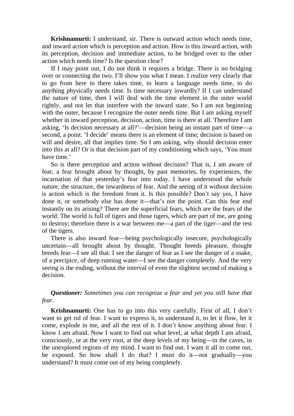**Krishnamurti:** I understand, sir. There is outward action which needs time, and inward action which is perception and action. How is this inward action, with its perception, decision and immediate action, to be bridged over to the other action which needs time? Is the question clear?

If I may point out, I do not think it requires a bridge. There is no bridging over or connecting the two. I'll show you what I mean. I realize very clearly that to go from here to there takes time, to learn a language needs time, to do anything physically needs time. Is time necessary inwardly? If I can understand the nature of time, then I will deal with the time element in the outer world rightly, and not let that interfere with the inward state. So I am not beginning with the outer, because I recognize the outer needs time. But I am asking myself whether in inward perception, decision, action, time is there at all. Therefore I am asking, 'Is decision necessary at all?'—decision being an instant part of time—a second, a point. 'I decide' means there is an element of time; decision is based on will and desire, all that implies time. So I am asking, why should decision enter into this at all? Or is that decision part of my conditioning which says, 'You must have time.'

So is there perception and action without decision? That is, I am aware of fear, a fear brought about by thought, by past memories, by experiences, the incarnation of that yesterday's fear into today. I have understood the whole nature, the structure, the inwardness of fear. And the seeing of it without decision is action which is the freedom from it. Is this possible? Don't say yes, I have done it, or somebody else has done it—that's not the point. Can this fear end instantly on its arising? There are the superficial fears, which are the fears of the world. The world is full of tigers and those tigers, which are part of me, are going to destroy; therefore there is a war between me—a part of the tiger—and the rest of the tigers.

There is also inward fear—being psychologically insecure, psychologically uncertain—all brought about by thought. Thought breeds pleasure, thought breeds fear—I see all that. I see the danger of fear as I see the danger of a snake, of a precipice, of deep running water—I see the danger completely. And the very seeing is the ending, without the interval of even the slightest second of making a decision.

#### *Questioner: Sometimes you can recognize a fear and yet you still have that fear.*

**Krishnamurti:** One has to go into this very carefully. First of all, I don't want to get rid of fear. I want to express it, to understand it, to let it flow, let it come, explode in me, and all the rest of it. I don't know anything about fear. I know I am afraid. Now I want to find out what level, at what depth I am afraid, consciously, or at the very root, at the deep levels of my being—in the caves, in the unexplored regions of my mind. I want to find out. I want it all to come out, be exposed. So how shall I do that? I must do it—not gradually—you understand? It must come out of my being completely.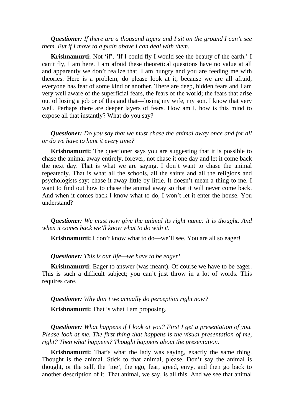#### *Questioner: If there are a thousand tigers and I sit on the ground I can't see them. But if I move to a plain above I can deal with them.*

**Krishnamurti:** Not 'if'. 'If I could fly I would see the beauty of the earth.' I can't fly, I am here. I am afraid these theoretical questions have no value at all and apparently we don't realize that. I am hungry and you are feeding me with theories. Here is a problem, do please look at it, because we are all afraid, everyone has fear of some kind or another. There are deep, hidden fears and I am very well aware of the superficial fears, the fears of the world; the fears that arise out of losing a job or of this and that—losing my wife, my son. I know that very well. Perhaps there are deeper layers of fears. How am I, how is this mind to expose all that instantly? What do you say?

#### *Questioner: Do you say that we must chase the animal away once and for all or do we have to hunt it every time?*

**Krishnamurti:** The questioner says you are suggesting that it is possible to chase the animal away entirely, forever, not chase it one day and let it come back the next day. That is what we are saying. I don't want to chase the animal repeatedly. That is what all the schools, all the saints and all the religions and psychologists say: chase it away little by little. It doesn't mean a thing to me. I want to find out how to chase the animal away so that it will never come back. And when it comes back I know what to do, I won't let it enter the house. You understand?

*Questioner: We must now give the animal its right name: it is thought. And when it comes back we'll know what to do with it.* 

**Krishnamurti:** I don't know what to do—we'll see. You are all so eager!

#### *Questioner: This is our life—we have to be eager!*

**Krishnamurti:** Eager to answer (was meant). Of course we have to be eager. This is such a difficult subject; you can't just throw in a lot of words. This requires care.

*Questioner: Why don't we actually do perception right now?* 

**Krishnamurti:** That is what I am proposing.

*Questioner: What happens if I look at you? First I get a presentation of you. Please look at me. The first thing that happens is the visual presentation of me, right? Then what happens? Thought happens about the presentation.* 

**Krishnamurti:** That's what the lady was saying, exactly the same thing. Thought is the animal. Stick to that animal, please. Don't say the animal is thought, or the self, the 'me', the ego, fear, greed, envy, and then go back to another description of it. That animal, we say, is all this. And we see that animal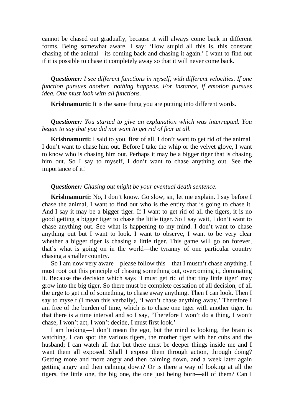cannot be chased out gradually, because it will always come back in different forms. Being somewhat aware, I say: 'How stupid all this is, this constant chasing of the animal—its coming back and chasing it again.' I want to find out if it is possible to chase it completely away so that it will never come back.

*Questioner: I see different functions in myself, with different velocities. If one function pursues another, nothing happens. For instance, if emotion pursues idea. One must look with all functions.* 

**Krishnamurti:** It is the same thing you are putting into different words.

#### *Questioner: You started to give an explanation which was interrupted. You began to say that you did not want to get rid of fear at all.*

**Krishnamurti:** I said to you, first of all, I don't want to get rid of the animal. I don't want to chase him out. Before I take the whip or the velvet glove, I want to know who is chasing him out. Perhaps it may be a bigger tiger that is chasing him out. So I say to myself, I don't want to chase anything out. See the importance of it!

#### *Questioner: Chasing out might be your eventual death sentence.*

**Krishnamurti:** No, I don't know. Go slow, sir, let me explain. I say before I chase the animal, I want to find out who is the entity that is going to chase it. And I say it may be a bigger tiger. If I want to get rid of all the tigers, it is no good getting a bigger tiger to chase the little tiger. So I say wait, I don't want to chase anything out. See what is happening to my mind. I don't want to chase anything out but I want to look. I want to observe, I want to be very clear whether a bigger tiger is chasing a little tiger. This game will go on forever, that's what is going on in the world—the tyranny of one particular country chasing a smaller country.

So I am now very aware—please follow this—that I mustn't chase anything. I must root out this principle of chasing something out, overcoming it, dominating it. Because the decision which says 'I must get rid of that tiny little tiger' may grow into the big tiger. So there must be complete cessation of all decision, of all the urge to get rid of something, to chase away anything. Then I can look. Then I say to myself (I mean this verbally), 'I won't chase anything away.' Therefore I am free of the burden of time, which is to chase one tiger with another tiger. In that there is a time interval and so I say, 'Therefore I won't do a thing, I won't chase, I won't act, I won't decide, I must first look.'

I am looking—I don't mean the ego, but the mind is looking, the brain is watching. I can spot the various tigers, the mother tiger with her cubs and the husband; I can watch all that but there must be deeper things inside me and I want them all exposed. Shall I expose them through action, through doing? Getting more and more angry and then calming down, and a week later again getting angry and then calming down? Or is there a way of looking at all the tigers, the little one, the big one, the one just being born—all of them? Can I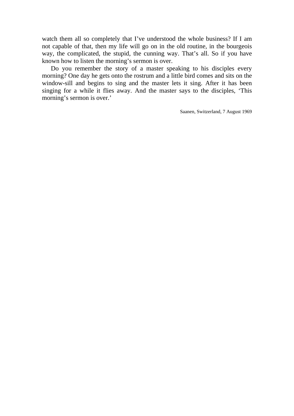watch them all so completely that I've understood the whole business? If I am not capable of that, then my life will go on in the old routine, in the bourgeois way, the complicated, the stupid, the cunning way. That's all. So if you have known how to listen the morning's sermon is over.

Do you remember the story of a master speaking to his disciples every morning? One day he gets onto the rostrum and a little bird comes and sits on the window-sill and begins to sing and the master lets it sing. After it has been singing for a while it flies away. And the master says to the disciples, 'This morning's sermon is over.'

Saanen, Switzerland, 7 August 1969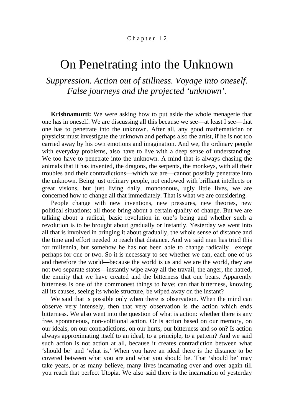## On Penetrating into the Unknown

## *Suppression. Action out of stillness. Voyage into oneself. False journeys and the projected 'unknown'.*

**Krishnamurti:** We were asking how to put aside the whole menagerie that one has in oneself. We are discussing all this because we see—at least I see—that one has to penetrate into the unknown. After all, any good mathematician or physicist must investigate the unknown and perhaps also the artist, if he is not too carried away by his own emotions and imagination. And we, the ordinary people with everyday problems, also have to live with a deep sense of understanding. We too have to penetrate into the unknown. A mind that is always chasing the animals that it has invented, the dragons, the serpents, the monkeys, with all their troubles and their contradictions—which we are—cannot possibly penetrate into the unknown. Being just ordinary people, not endowed with brilliant intellects or great visions, but just living daily, monotonous, ugly little lives, we are concerned how to change all that immediately. That is what we are considering.

People change with new inventions, new pressures, new theories, new political situations; all those bring about a certain quality of change. But we are talking about a radical, basic revolution in one's being and whether such a revolution is to be brought about gradually or instantly. Yesterday we went into all that is involved in bringing it about gradually, the whole sense of distance and the time and effort needed to reach that distance. And we said man has tried this for millennia, but somehow he has not been able to change radically—except perhaps for one or two. So it is necessary to see whether we can, each one of us and therefore the world—because the world is us and we are the world, they are not two separate states—instantly wipe away all the travail, the anger, the hatred, the enmity that we have created and the bitterness that one bears. Apparently bitterness is one of the commonest things to have; can that bitterness, knowing all its causes, seeing its whole structure, be wiped away on the instant?

We said that is possible only when there is observation. When the mind can observe very intensely, then that very observation is the action which ends bitterness. We also went into the question of what is action: whether there is any free, spontaneous, non-volitional action. Or is action based on our memory, on our ideals, on our contradictions, on our hurts, our bitterness and so on? Is action always approximating itself to an ideal, to a principle, to a pattern? And we said such action is not action at all, because it creates contradiction between what 'should be' and 'what is.' When you have an ideal there is the distance to be covered between what you are and what you should be. That 'should be' may take years, or as many believe, many lives incarnating over and over again till you reach that perfect Utopia. We also said there is the incarnation of yesterday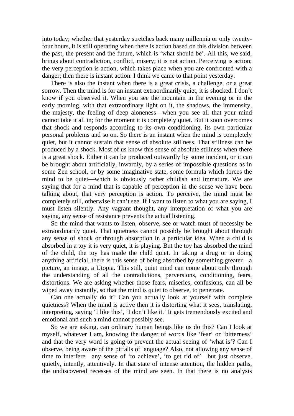into today; whether that yesterday stretches back many millennia or only twentyfour hours, it is still operating when there is action based on this division between the past, the present and the future, which is 'what should be'. All this, we said, brings about contradiction, conflict, misery; it is not action. Perceiving is action; the very perception is action, which takes place when you are confronted with a danger; then there is instant action. I think we came to that point yesterday.

There is also the instant when there is a great crisis, a challenge, or a great sorrow. Then the mind is for an instant extraordinarily quiet, it is shocked. I don't know if you observed it. When you see the mountain in the evening or in the early morning, with that extraordinary light on it, the shadows, the immensity, the majesty, the feeling of deep aloneness—when you see all that your mind cannot take it all in; for the moment it is completely quiet. But it soon overcomes that shock and responds according to its own conditioning, its own particular personal problems and so on. So there is an instant when the mind is completely quiet, but it cannot sustain that sense of absolute stillness. That stillness can be produced by a shock. Most of us know this sense of absolute stillness when there is a great shock. Either it can be produced outwardly by some incident, or it can be brought about artificially, inwardly, by a series of impossible questions as in some Zen school, or by some imaginative state, some formula which forces the mind to be quiet—which is obviously rather childish and immature. We are saying that for a mind that is capable of perception in the sense we have been talking about, that very perception is action. To perceive, the mind must be completely still, otherwise it can't see. If I want to listen to what you are saying, I must listen silently. Any vagrant thought, any interpretation of what you are saying, any sense of resistance prevents the actual listening.

So the mind that wants to listen, observe, see or watch must of necessity be extraordinarily quiet. That quietness cannot possibly be brought about through any sense of shock or through absorption in a particular idea. When a child is absorbed in a toy it is very quiet, it is playing. But the toy has absorbed the mind of the child, the toy has made the child quiet. In taking a drug or in doing anything artificial, there is this sense of being absorbed by something greater—a picture, an image, a Utopia. This still, quiet mind can come about only through the understanding of all the contradictions, perversions, conditioning, fears, distortions. We are asking whether those fears, miseries, confusions, can all be wiped away instantly, so that the mind is quiet to observe, to penetrate.

Can one actually do it? Can you actually look at yourself with complete quietness? When the mind is active then it is distorting what it sees, translating, interpreting, saying 'I like this', 'I don't like it.' It gets tremendously excited and emotional and such a mind cannot possibly see.

So we are asking, can ordinary human beings like us do this? Can I look at myself, whatever I am, knowing the danger of words like 'fear' or 'bitterness' and that the very word is going to prevent the actual seeing of 'what is'? Can I observe, being aware of the pitfalls of language? Also, not allowing any sense of time to interfere—any sense of 'to achieve', 'to get rid of'—but just observe, quietly, intently, attentively. In that state of intense attention, the hidden paths, the undiscovered recesses of the mind are seen. In that there is no analysis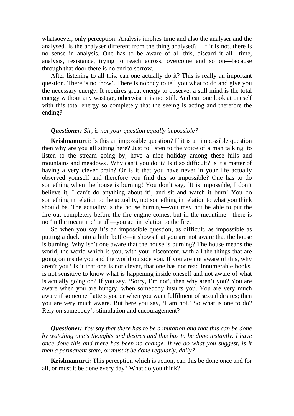whatsoever, only perception. Analysis implies time and also the analyser and the analysed. Is the analyser different from the thing analysed?—if it is not, there is no sense in analysis. One has to be aware of all this, discard it all—time, analysis, resistance, trying to reach across, overcome and so on—because through that door there is no end to sorrow.

After listening to all this, can one actually do it? This is really an important question. There is no 'how'. There is nobody to tell you what to do and give you the necessary energy. It requires great energy to observe: a still mind is the total energy without any wastage, otherwise it is not still. And can one look at oneself with this total energy so completely that the seeing is acting and therefore the ending?

#### *Questioner: Sir, is not your question equally impossible?*

**Krishnamurti:** Is this an impossible question? If it is an impossible question then why are you all sitting here? Just to listen to the voice of a man talking, to listen to the stream going by, have a nice holiday among these hills and mountains and meadows? Why can't you do it? Is it so difficult? Is it a matter of having a very clever brain? Or is it that you have never in your life actually observed yourself and therefore you find this so impossible? One has to do something when the house is burning! You don't say, 'It is impossible, I don't believe it, I can't do anything about it', and sit and watch it burn! You do something in relation to the actuality, not something in relation to what you think should be. The actuality is the house burning—you may not be able to put the fire out completely before the fire engine comes, but in the meantime—there is no 'in the meantime' at all—you act in relation to the fire.

So when you say it's an impossible question, as difficult, as impossible as putting a duck into a little bottle—it shows that you are not aware that the house is burning. Why isn't one aware that the house is burning? The house means the world, the world which is you, with your discontent, with all the things that are going on inside you and the world outside you. If you are not aware of this, why aren't you? Is it that one is not clever, that one has not read innumerable books, is not sensitive to know what is happening inside oneself and not aware of what is actually going on? If you say, 'Sorry, I'm not', then why aren't you? You are aware when you are hungry, when somebody insults you. You are very much aware if someone flatters you or when you want fulfilment of sexual desires; then you are very much aware. But here you say, 'I am not.' So what is one to do? Rely on somebody's stimulation and encouragement?

*Questioner: You say that there has to be a mutation and that this can be done by watching one's thoughts and desires and this has to be done instantly. I have once done this and there has been no change. If we do what you suggest, is it then a permanent state, or must it be done regularly, daily?* 

**Krishnamurti:** This perception which is action, can this be done once and for all, or must it be done every day? What do you think?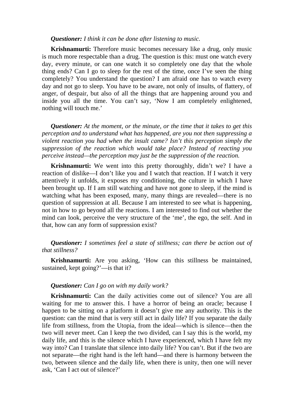#### *Questioner: I think it can be done after listening to music.*

**Krishnamurti:** Therefore music becomes necessary like a drug, only music is much more respectable than a drug. The question is this: must one watch every day, every minute, or can one watch it so completely one day that the whole thing ends? Can I go to sleep for the rest of the time, once I've seen the thing completely? You understand the question? I am afraid one has to watch every day and not go to sleep. You have to be aware, not only of insults, of flattery, of anger, of despair, but also of all the things that are happening around you and inside you all the time. You can't say, 'Now I am completely enlightened, nothing will touch me.'

*Questioner: At the moment, or the minute, or the time that it takes to get this perception and to understand what has happened, are you not then suppressing a violent reaction you had when the insult came? Isn't this perception simply the suppression of the reaction which would take place? Instead of reacting you perceive instead—the perception may just be the suppression of the reaction.* 

**Krishnamurti:** We went into this pretty thoroughly, didn't we? I have a reaction of dislike—I don't like you and I watch that reaction. If I watch it very attentively it unfolds, it exposes my conditioning, the culture in which I have been brought up. If I am still watching and have not gone to sleep, if the mind is watching what has been exposed, many, many things are revealed—there is no question of suppression at all. Because I am interested to see what is happening, not in how to go beyond all the reactions. I am interested to find out whether the mind can look, perceive the very structure of the 'me', the ego, the self. And in that, how can any form of suppression exist?

*Questioner: I sometimes feel a state of stillness; can there be action out of that stillness?* 

**Krishnamurti:** Are you asking, 'How can this stillness be maintained, sustained, kept going?'—is that it?

#### *Questioner: Can I go on with my daily work?*

**Krishnamurti:** Can the daily activities come out of silence? You are all waiting for me to answer this. I have a horror of being an oracle; because I happen to be sitting on a platform it doesn't give me any authority. This is the question: can the mind that is very still act in daily life? If you separate the daily life from stillness, from the Utopia, from the ideal—which is silence—then the two will never meet. Can I keep the two divided, can I say this is the world, my daily life, and this is the silence which I have experienced, which I have felt my way into? Can I translate that silence into daily life? You can't. But if the two are not separate—the right hand is the left hand—and there is harmony between the two, between silence and the daily life, when there is unity, then one will never ask, 'Can I act out of silence?'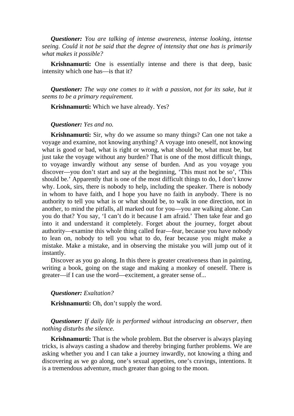*Questioner: You are talking of intense awareness, intense looking, intense seeing. Could it not be said that the degree of intensity that one has is primarily what makes it possible?* 

**Krishnamurti:** One is essentially intense and there is that deep, basic intensity which one has—is that it?

*Questioner: The way one comes to it with a passion, not for its sake, but it seems to be a primary requirement.* 

**Krishnamurti:** Which we have already. Yes?

#### *Questioner: Yes and no.*

**Krishnamurti:** Sir, why do we assume so many things? Can one not take a voyage and examine, not knowing anything? A voyage into oneself, not knowing what is good or bad, what is right or wrong, what should be, what must be, but just take the voyage without any burden? That is one of the most difficult things, to voyage inwardly without any sense of burden. And as you voyage you discover—you don't start and say at the beginning, 'This must not be so', 'This should be.' Apparently that is one of the most difficult things to do, I don't know why. Look, sirs, there is nobody to help, including the speaker. There is nobody in whom to have faith, and I hope you have no faith in anybody. There is no authority to tell you what is or what should be, to walk in one direction, not in another, to mind the pitfalls, all marked out for you—you are walking alone. Can you do that? You say, 'I can't do it because I am afraid.' Then take fear and go into it and understand it completely. Forget about the journey, forget about authority—examine this whole thing called fear—fear, because you have nobody to lean on, nobody to tell you what to do, fear because you might make a mistake. Make a mistake, and in observing the mistake you will jump out of it instantly.

Discover as you go along. In this there is greater creativeness than in painting, writing a book, going on the stage and making a monkey of oneself. There is greater—if I can use the word—excitement, a greater sense of...

#### *Questioner: Exaltation?*

**Krishnamurti:** Oh, don't supply the word.

*Questioner: If daily life is performed without introducing an observer, then nothing disturbs the silence.* 

**Krishnamurti:** That is the whole problem. But the observer is always playing tricks, is always casting a shadow and thereby bringing further problems. We are asking whether you and I can take a journey inwardly, not knowing a thing and discovering as we go along, one's sexual appetites, one's cravings, intentions. It is a tremendous adventure, much greater than going to the moon.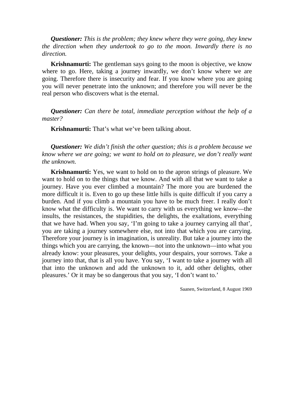*Questioner: This is the problem; they knew where they were going, they knew the direction when they undertook to go to the moon. Inwardly there is no direction.* 

**Krishnamurti:** The gentleman says going to the moon is objective, we know where to go. Here, taking a journey inwardly, we don't know where we are going. Therefore there is insecurity and fear. If you know where you are going you will never penetrate into the unknown; and therefore you will never be the real person who discovers what is the eternal.

*Questioner: Can there be total, immediate perception without the help of a master?* 

**Krishnamurti:** That's what we've been talking about.

*Questioner: We didn't finish the other question; this is a problem because we know where we are going; we want to hold on to pleasure, we don't really want the unknown.* 

**Krishnamurti:** Yes, we want to hold on to the apron strings of pleasure. We want to hold on to the things that we know. And with all that we want to take a journey. Have you ever climbed a mountain? The more you are burdened the more difficult it is. Even to go up these little hills is quite difficult if you carry a burden. And if you climb a mountain you have to be much freer. I really don't know what the difficulty is. We want to carry with us everything we know—the insults, the resistances, the stupidities, the delights, the exaltations, everything that we have had. When you say, 'I'm going to take a journey carrying all that', you are taking a journey somewhere else, not into that which you are carrying. Therefore your journey is in imagination, is unreality. But take a journey into the things which you are carrying, the known—not into the unknown—into what you already know: your pleasures, your delights, your despairs, your sorrows. Take a journey into that, that is all you have. You say, 'I want to take a journey with all that into the unknown and add the unknown to it, add other delights, other pleasures.' Or it may be so dangerous that you say, 'I don't want to.'

Saanen, Switzerland, 8 August 1969